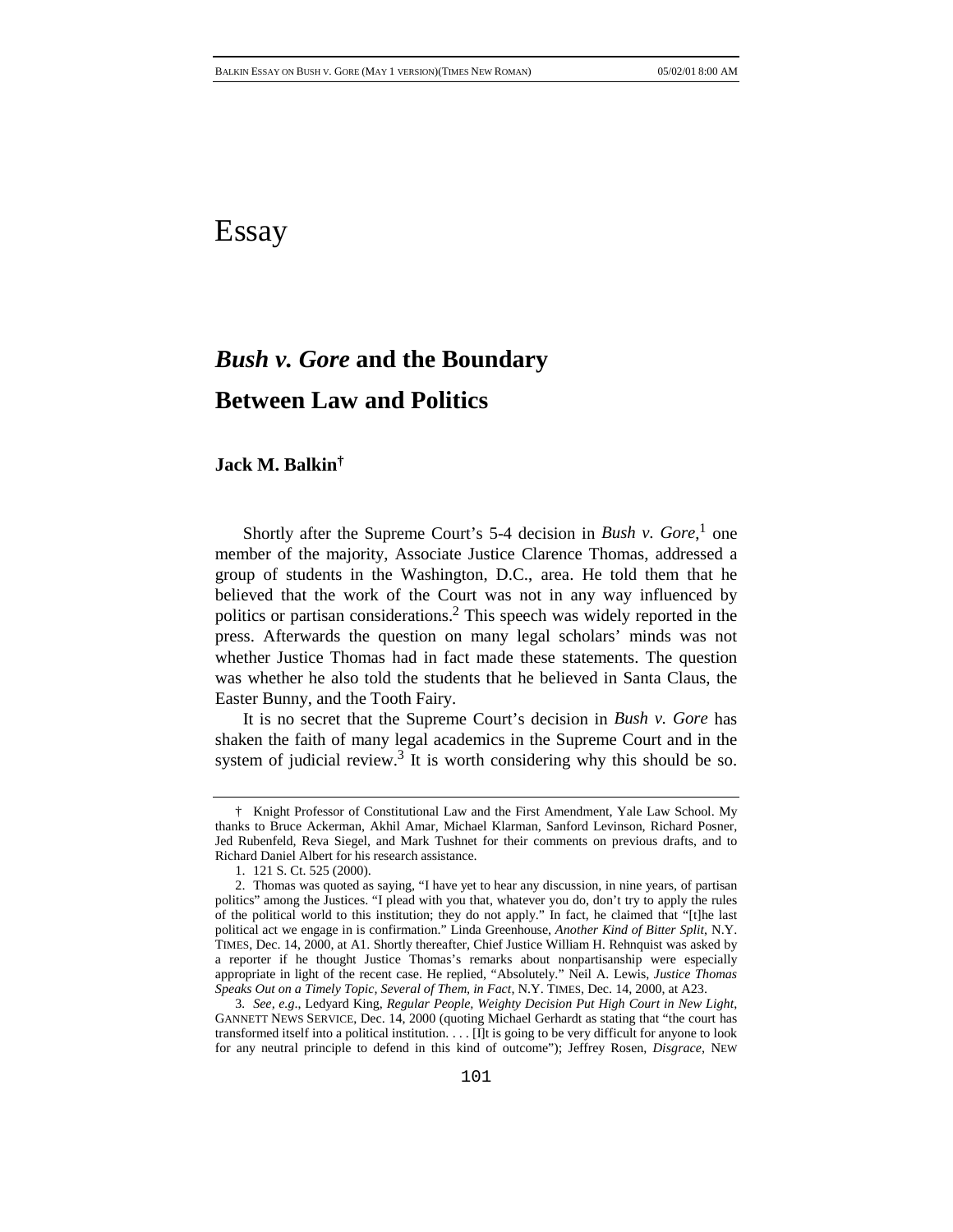## Essay

# *Bush v. Gore* **and the Boundary Between Law and Politics**

## **Jack M. Balkin†**

Shortly after the Supreme Court's 5-4 decision in *Bush v. Gore*,<sup>1</sup> one member of the majority, Associate Justice Clarence Thomas, addressed a group of students in the Washington, D.C., area. He told them that he believed that the work of the Court was not in any way influenced by politics or partisan considerations.2 This speech was widely reported in the press. Afterwards the question on many legal scholars' minds was not whether Justice Thomas had in fact made these statements. The question was whether he also told the students that he believed in Santa Claus, the Easter Bunny, and the Tooth Fairy.

It is no secret that the Supreme Court's decision in *Bush v. Gore* has shaken the faith of many legal academics in the Supreme Court and in the system of judicial review.<sup>3</sup> It is worth considering why this should be so.

<sup>†</sup> Knight Professor of Constitutional Law and the First Amendment, Yale Law School. My thanks to Bruce Ackerman, Akhil Amar, Michael Klarman, Sanford Levinson, Richard Posner, Jed Rubenfeld, Reva Siegel, and Mark Tushnet for their comments on previous drafts, and to Richard Daniel Albert for his research assistance.

<sup>1. 121</sup> S. Ct. 525 (2000).

<sup>2.</sup> Thomas was quoted as saying, "I have yet to hear any discussion, in nine years, of partisan politics" among the Justices. "I plead with you that, whatever you do, don't try to apply the rules of the political world to this institution; they do not apply." In fact, he claimed that "[t]he last political act we engage in is confirmation." Linda Greenhouse, *Another Kind of Bitter Split*, N.Y. TIMES, Dec. 14, 2000, at A1. Shortly thereafter, Chief Justice William H. Rehnquist was asked by a reporter if he thought Justice Thomas's remarks about nonpartisanship were especially appropriate in light of the recent case. He replied, "Absolutely." Neil A. Lewis, *Justice Thomas Speaks Out on a Timely Topic, Several of Them, in Fact*, N.Y. TIMES, Dec. 14, 2000, at A23.

<sup>3</sup>*. See, e.g*., Ledyard King, *Regular People, Weighty Decision Put High Court in New Light*, GANNETT NEWS SERVICE, Dec. 14, 2000 (quoting Michael Gerhardt as stating that "the court has transformed itself into a political institution. . . . [I]t is going to be very difficult for anyone to look for any neutral principle to defend in this kind of outcome"); Jeffrey Rosen, *Disgrace*, NEW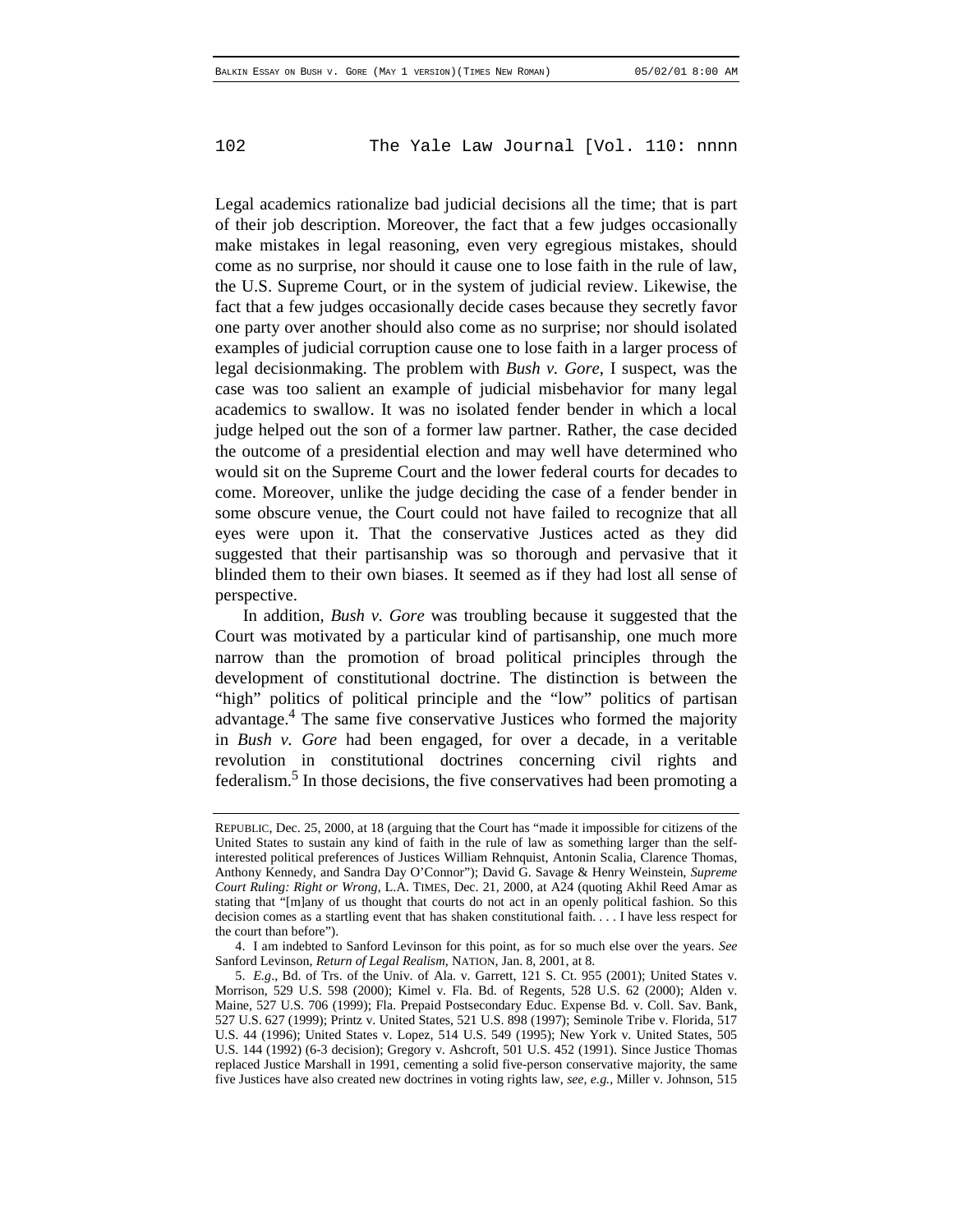Legal academics rationalize bad judicial decisions all the time; that is part of their job description. Moreover, the fact that a few judges occasionally make mistakes in legal reasoning, even very egregious mistakes, should come as no surprise, nor should it cause one to lose faith in the rule of law, the U.S. Supreme Court, or in the system of judicial review. Likewise, the fact that a few judges occasionally decide cases because they secretly favor one party over another should also come as no surprise; nor should isolated examples of judicial corruption cause one to lose faith in a larger process of legal decisionmaking. The problem with *Bush v. Gore*, I suspect, was the case was too salient an example of judicial misbehavior for many legal academics to swallow. It was no isolated fender bender in which a local judge helped out the son of a former law partner. Rather, the case decided the outcome of a presidential election and may well have determined who would sit on the Supreme Court and the lower federal courts for decades to come. Moreover, unlike the judge deciding the case of a fender bender in some obscure venue, the Court could not have failed to recognize that all eyes were upon it. That the conservative Justices acted as they did suggested that their partisanship was so thorough and pervasive that it blinded them to their own biases. It seemed as if they had lost all sense of perspective.

In addition, *Bush v. Gore* was troubling because it suggested that the Court was motivated by a particular kind of partisanship, one much more narrow than the promotion of broad political principles through the development of constitutional doctrine. The distinction is between the "high" politics of political principle and the "low" politics of partisan advantage.4 The same five conservative Justices who formed the majority in *Bush v. Gore* had been engaged, for over a decade, in a veritable revolution in constitutional doctrines concerning civil rights and federalism.<sup>5</sup> In those decisions, the five conservatives had been promoting a

REPUBLIC, Dec. 25, 2000, at 18 (arguing that the Court has "made it impossible for citizens of the United States to sustain any kind of faith in the rule of law as something larger than the selfinterested political preferences of Justices William Rehnquist, Antonin Scalia, Clarence Thomas, Anthony Kennedy, and Sandra Day O'Connor"); David G. Savage & Henry Weinstein, *Supreme Court Ruling: Right or Wrong*, L.A. TIMES, Dec. 21, 2000, at A24 (quoting Akhil Reed Amar as stating that "[m]any of us thought that courts do not act in an openly political fashion. So this decision comes as a startling event that has shaken constitutional faith. . . . I have less respect for the court than before").

<sup>4.</sup> I am indebted to Sanford Levinson for this point, as for so much else over the years. *See* Sanford Levinson, *Return of Legal Realism*, NATION, Jan. 8, 2001, at 8.

<sup>5.</sup> *E.g*., Bd. of Trs. of the Univ. of Ala. v. Garrett, 121 S. Ct. 955 (2001); United States v. Morrison, 529 U.S. 598 (2000); Kimel v. Fla. Bd. of Regents, 528 U.S. 62 (2000); Alden v. Maine, 527 U.S. 706 (1999); Fla. Prepaid Postsecondary Educ. Expense Bd. v. Coll. Sav. Bank, 527 U.S. 627 (1999); Printz v. United States, 521 U.S. 898 (1997); Seminole Tribe v. Florida, 517 U.S. 44 (1996); United States v. Lopez, 514 U.S. 549 (1995); New York v. United States, 505 U.S. 144 (1992) (6-3 decision); Gregory v. Ashcroft, 501 U.S. 452 (1991). Since Justice Thomas replaced Justice Marshall in 1991, cementing a solid five-person conservative majority, the same five Justices have also created new doctrines in voting rights law, *see, e.g.*, Miller v. Johnson, 515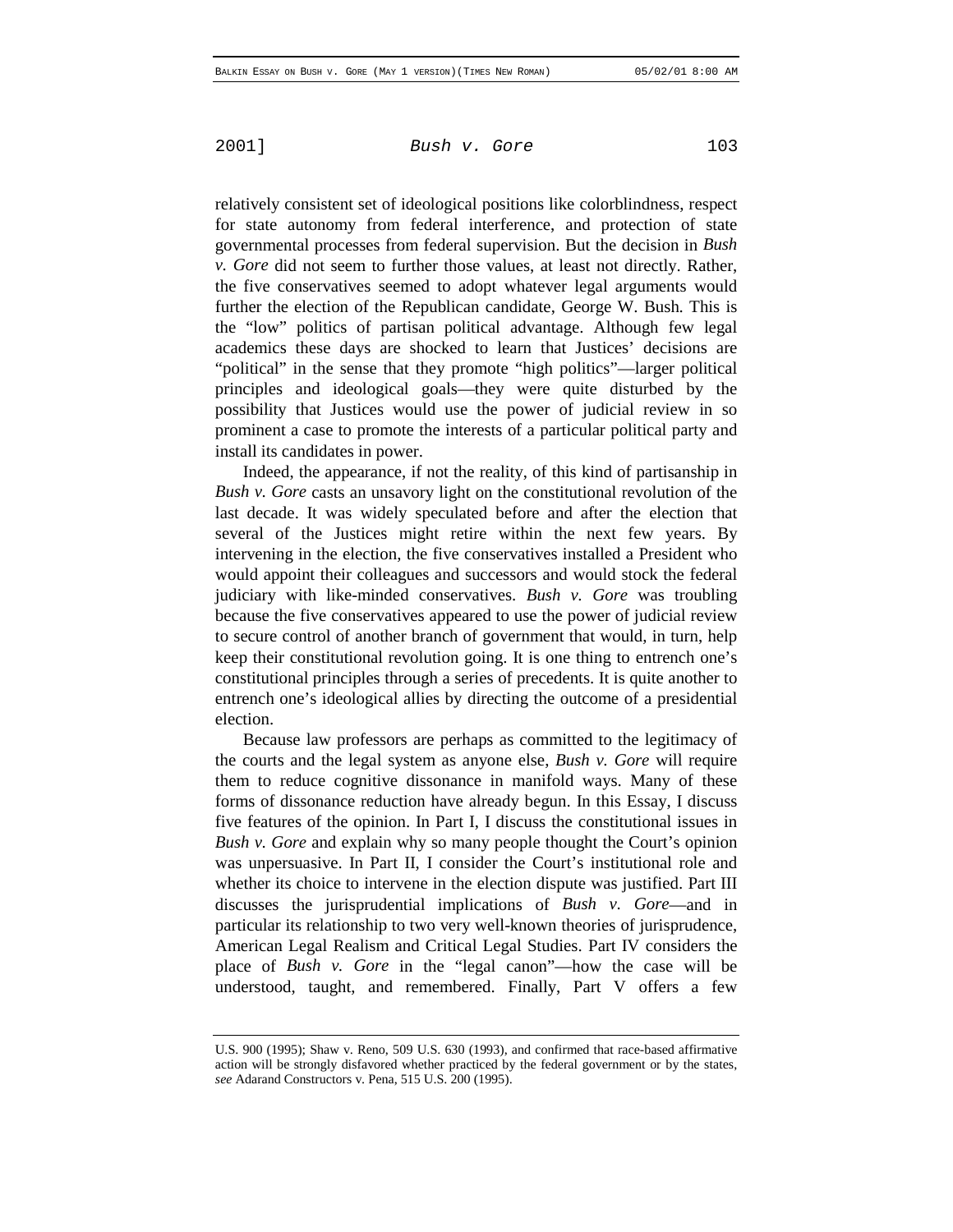relatively consistent set of ideological positions like colorblindness, respect for state autonomy from federal interference, and protection of state governmental processes from federal supervision. But the decision in *Bush v. Gore* did not seem to further those values, at least not directly. Rather, the five conservatives seemed to adopt whatever legal arguments would further the election of the Republican candidate, George W. Bush. This is the "low" politics of partisan political advantage. Although few legal academics these days are shocked to learn that Justices' decisions are "political" in the sense that they promote "high politics"—larger political principles and ideological goals—they were quite disturbed by the possibility that Justices would use the power of judicial review in so prominent a case to promote the interests of a particular political party and install its candidates in power.

Indeed, the appearance, if not the reality, of this kind of partisanship in *Bush v. Gore* casts an unsavory light on the constitutional revolution of the last decade. It was widely speculated before and after the election that several of the Justices might retire within the next few years. By intervening in the election, the five conservatives installed a President who would appoint their colleagues and successors and would stock the federal judiciary with like-minded conservatives. *Bush v. Gore* was troubling because the five conservatives appeared to use the power of judicial review to secure control of another branch of government that would, in turn, help keep their constitutional revolution going. It is one thing to entrench one's constitutional principles through a series of precedents. It is quite another to entrench one's ideological allies by directing the outcome of a presidential election.

Because law professors are perhaps as committed to the legitimacy of the courts and the legal system as anyone else, *Bush v. Gore* will require them to reduce cognitive dissonance in manifold ways. Many of these forms of dissonance reduction have already begun. In this Essay, I discuss five features of the opinion. In Part I, I discuss the constitutional issues in *Bush v. Gore* and explain why so many people thought the Court's opinion was unpersuasive. In Part II, I consider the Court's institutional role and whether its choice to intervene in the election dispute was justified. Part III discusses the jurisprudential implications of *Bush v. Gore*—and in particular its relationship to two very well-known theories of jurisprudence, American Legal Realism and Critical Legal Studies. Part IV considers the place of *Bush v. Gore* in the "legal canon"—how the case will be understood, taught, and remembered. Finally, Part V offers a few

U.S. 900 (1995); Shaw v. Reno, 509 U.S. 630 (1993), and confirmed that race-based affirmative action will be strongly disfavored whether practiced by the federal government or by the states, *see* Adarand Constructors v. Pena, 515 U.S. 200 (1995).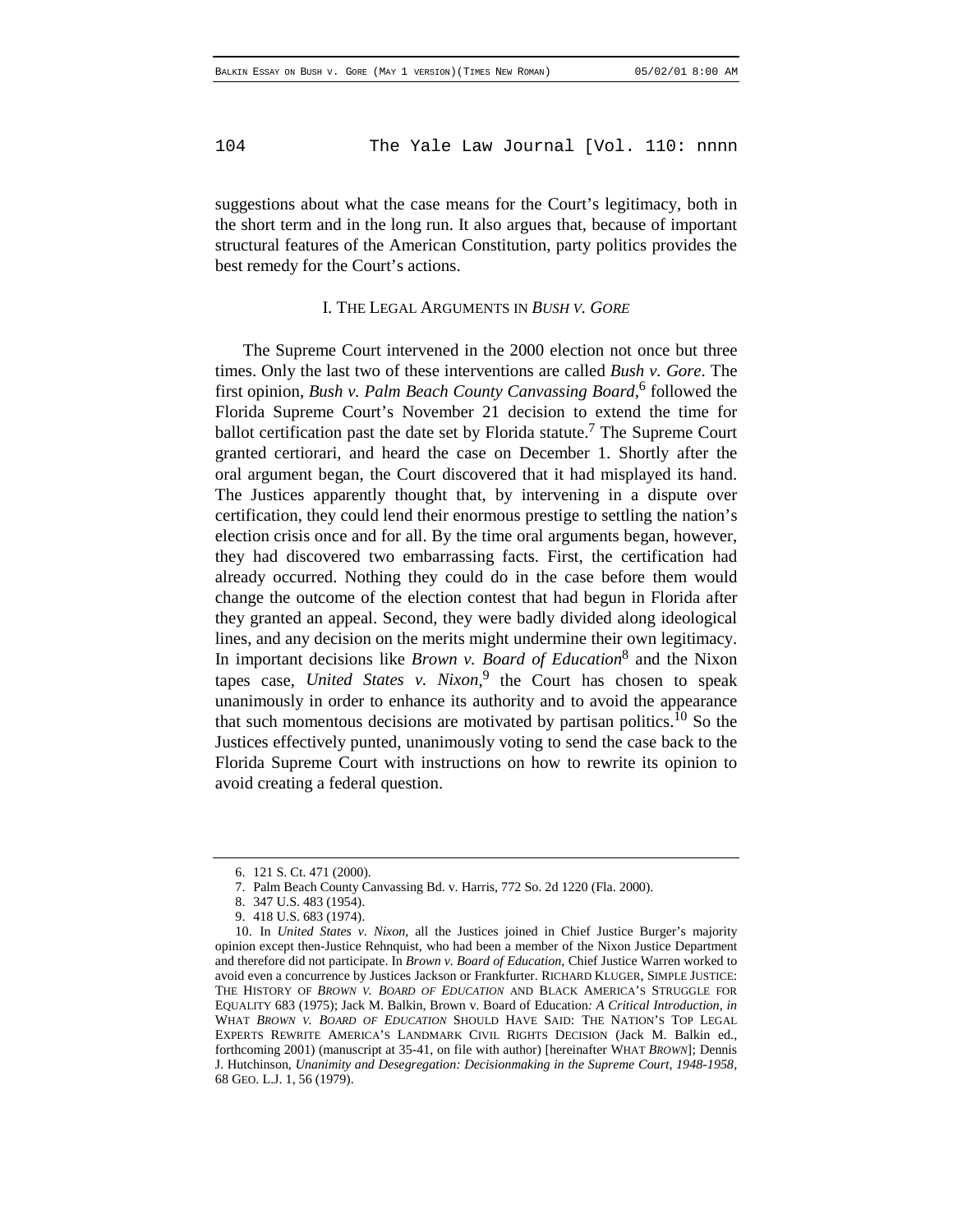suggestions about what the case means for the Court's legitimacy, both in the short term and in the long run. It also argues that, because of important structural features of the American Constitution, party politics provides the best remedy for the Court's actions.

#### I. THE LEGAL ARGUMENTS IN *BUSH V. GORE*

The Supreme Court intervened in the 2000 election not once but three times. Only the last two of these interventions are called *Bush v. Gore*. The first opinion, *Bush v. Palm Beach County Canvassing Board*,<sup>6</sup> followed the Florida Supreme Court's November 21 decision to extend the time for ballot certification past the date set by Florida statute.<sup>7</sup> The Supreme Court granted certiorari, and heard the case on December 1. Shortly after the oral argument began, the Court discovered that it had misplayed its hand. The Justices apparently thought that, by intervening in a dispute over certification, they could lend their enormous prestige to settling the nation's election crisis once and for all. By the time oral arguments began, however, they had discovered two embarrassing facts. First, the certification had already occurred. Nothing they could do in the case before them would change the outcome of the election contest that had begun in Florida after they granted an appeal. Second, they were badly divided along ideological lines, and any decision on the merits might undermine their own legitimacy. In important decisions like *Brown v. Board of Education*8 and the Nixon tapes case, *United States v. Nixon*, 9 the Court has chosen to speak unanimously in order to enhance its authority and to avoid the appearance that such momentous decisions are motivated by partisan politics.<sup>10</sup> So the Justices effectively punted, unanimously voting to send the case back to the Florida Supreme Court with instructions on how to rewrite its opinion to avoid creating a federal question.

<sup>6. 121</sup> S. Ct. 471 (2000).

<sup>7.</sup> Palm Beach County Canvassing Bd. v. Harris, 772 So. 2d 1220 (Fla. 2000).

<sup>8. 347</sup> U.S. 483 (1954).

<sup>9. 418</sup> U.S. 683 (1974).

<sup>10.</sup> In *United States v. Nixon*, all the Justices joined in Chief Justice Burger's majority opinion except then-Justice Rehnquist, who had been a member of the Nixon Justice Department and therefore did not participate. In *Brown v. Board of Education*, Chief Justice Warren worked to avoid even a concurrence by Justices Jackson or Frankfurter. RICHARD KLUGER, SIMPLE JUSTICE: THE HISTORY OF *BROWN V. BOARD OF EDUCATION* AND BLACK AMERICA'S STRUGGLE FOR EQUALITY 683 (1975); Jack M. Balkin, Brown v. Board of Education*: A Critical Introduction*, *in* WHAT *BROWN V. BOARD OF EDUCATION* SHOULD HAVE SAID: THE NATION'S TOP LEGAL EXPERTS REWRITE AMERICA'S LANDMARK CIVIL RIGHTS DECISION (Jack M. Balkin ed., forthcoming 2001) (manuscript at 35-41, on file with author) [hereinafter WHAT *BROWN*]; Dennis J. Hutchinson, *Unanimity and Desegregation: Decisionmaking in the Supreme Court, 1948-1958*, 68 GEO. L.J. 1, 56 (1979).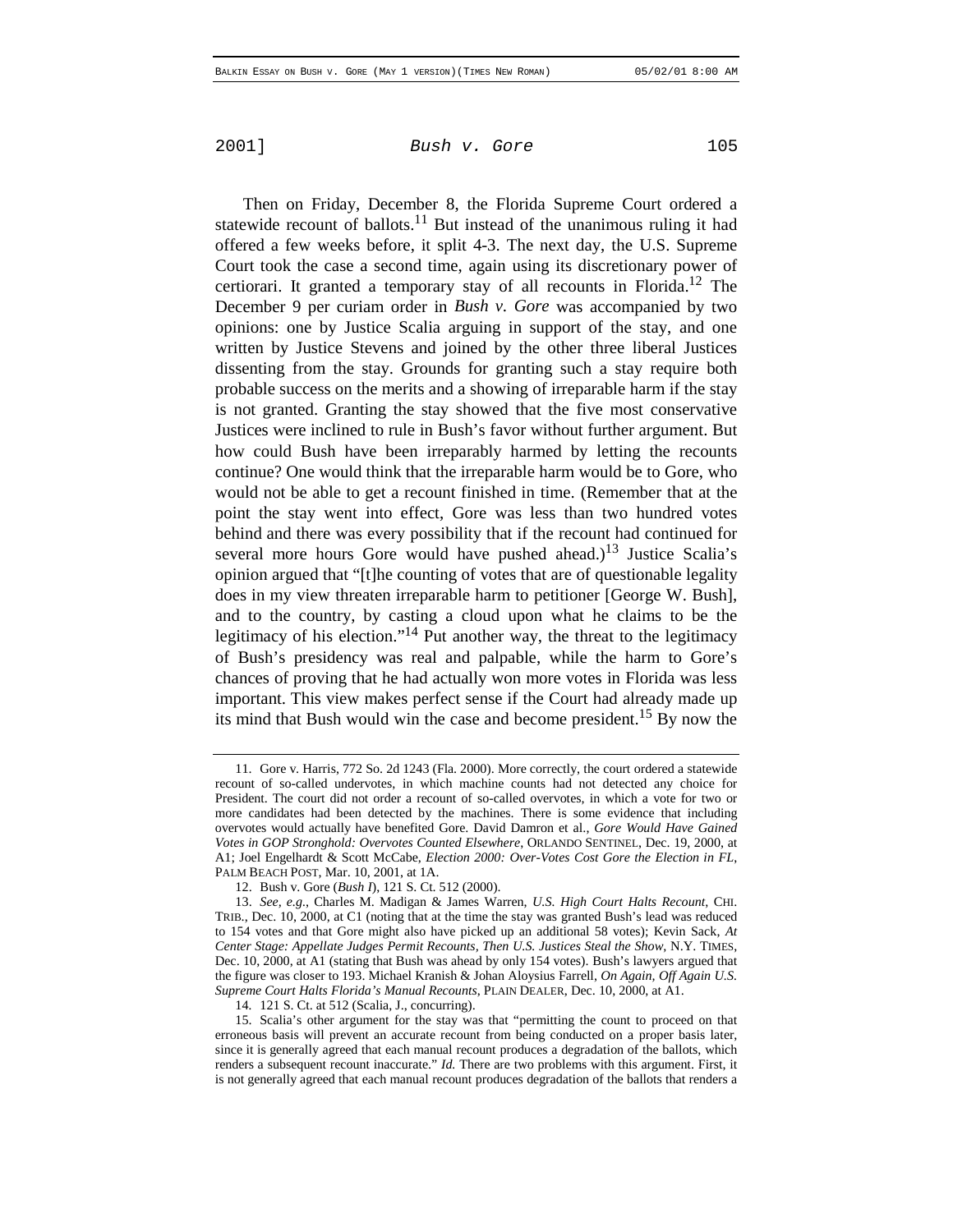Then on Friday, December 8, the Florida Supreme Court ordered a statewide recount of ballots.<sup>11</sup> But instead of the unanimous ruling it had offered a few weeks before, it split 4-3. The next day, the U.S. Supreme Court took the case a second time, again using its discretionary power of certiorari. It granted a temporary stay of all recounts in Florida.<sup>12</sup> The December 9 per curiam order in *Bush v. Gore* was accompanied by two opinions: one by Justice Scalia arguing in support of the stay, and one written by Justice Stevens and joined by the other three liberal Justices dissenting from the stay. Grounds for granting such a stay require both probable success on the merits and a showing of irreparable harm if the stay is not granted. Granting the stay showed that the five most conservative Justices were inclined to rule in Bush's favor without further argument. But how could Bush have been irreparably harmed by letting the recounts continue? One would think that the irreparable harm would be to Gore, who would not be able to get a recount finished in time. (Remember that at the point the stay went into effect, Gore was less than two hundred votes behind and there was every possibility that if the recount had continued for several more hours Gore would have pushed ahead.)<sup>13</sup> Justice Scalia's opinion argued that "[t]he counting of votes that are of questionable legality does in my view threaten irreparable harm to petitioner [George W. Bush], and to the country, by casting a cloud upon what he claims to be the legitimacy of his election."<sup>14</sup> Put another way, the threat to the legitimacy of Bush's presidency was real and palpable, while the harm to Gore's chances of proving that he had actually won more votes in Florida was less important. This view makes perfect sense if the Court had already made up its mind that Bush would win the case and become president.<sup>15</sup> By now the

<sup>11.</sup> Gore v. Harris, 772 So. 2d 1243 (Fla. 2000). More correctly, the court ordered a statewide recount of so-called undervotes, in which machine counts had not detected any choice for President. The court did not order a recount of so-called overvotes, in which a vote for two or more candidates had been detected by the machines. There is some evidence that including overvotes would actually have benefited Gore. David Damron et al., *Gore Would Have Gained Votes in GOP Stronghold: Overvotes Counted Elsewhere*, ORLANDO SENTINEL, Dec. 19, 2000, at A1; Joel Engelhardt & Scott McCabe, *Election 2000: Over-Votes Cost Gore the Election in FL*, PALM BEACH POST, Mar. 10, 2001, at 1A.

<sup>12.</sup> Bush v. Gore (*Bush I*), 121 S. Ct. 512 (2000).

<sup>13.</sup> *See, e.g.*, Charles M. Madigan & James Warren, *U.S. High Court Halts Recount*, CHI. TRIB., Dec. 10, 2000, at C1 (noting that at the time the stay was granted Bush's lead was reduced to 154 votes and that Gore might also have picked up an additional 58 votes); Kevin Sack, *At Center Stage: Appellate Judges Permit Recounts, Then U.S. Justices Steal the Show*, N.Y. TIMES, Dec. 10, 2000, at A1 (stating that Bush was ahead by only 154 votes). Bush's lawyers argued that the figure was closer to 193. Michael Kranish & Johan Aloysius Farrell, *On Again, Off Again U.S. Supreme Court Halts Florida's Manual Recounts*, PLAIN DEALER, Dec. 10, 2000, at A1.

<sup>14</sup>*.* 121 S. Ct. at 512 (Scalia, J., concurring).

<sup>15.</sup> Scalia's other argument for the stay was that "permitting the count to proceed on that erroneous basis will prevent an accurate recount from being conducted on a proper basis later, since it is generally agreed that each manual recount produces a degradation of the ballots, which renders a subsequent recount inaccurate." *Id.* There are two problems with this argument. First, it is not generally agreed that each manual recount produces degradation of the ballots that renders a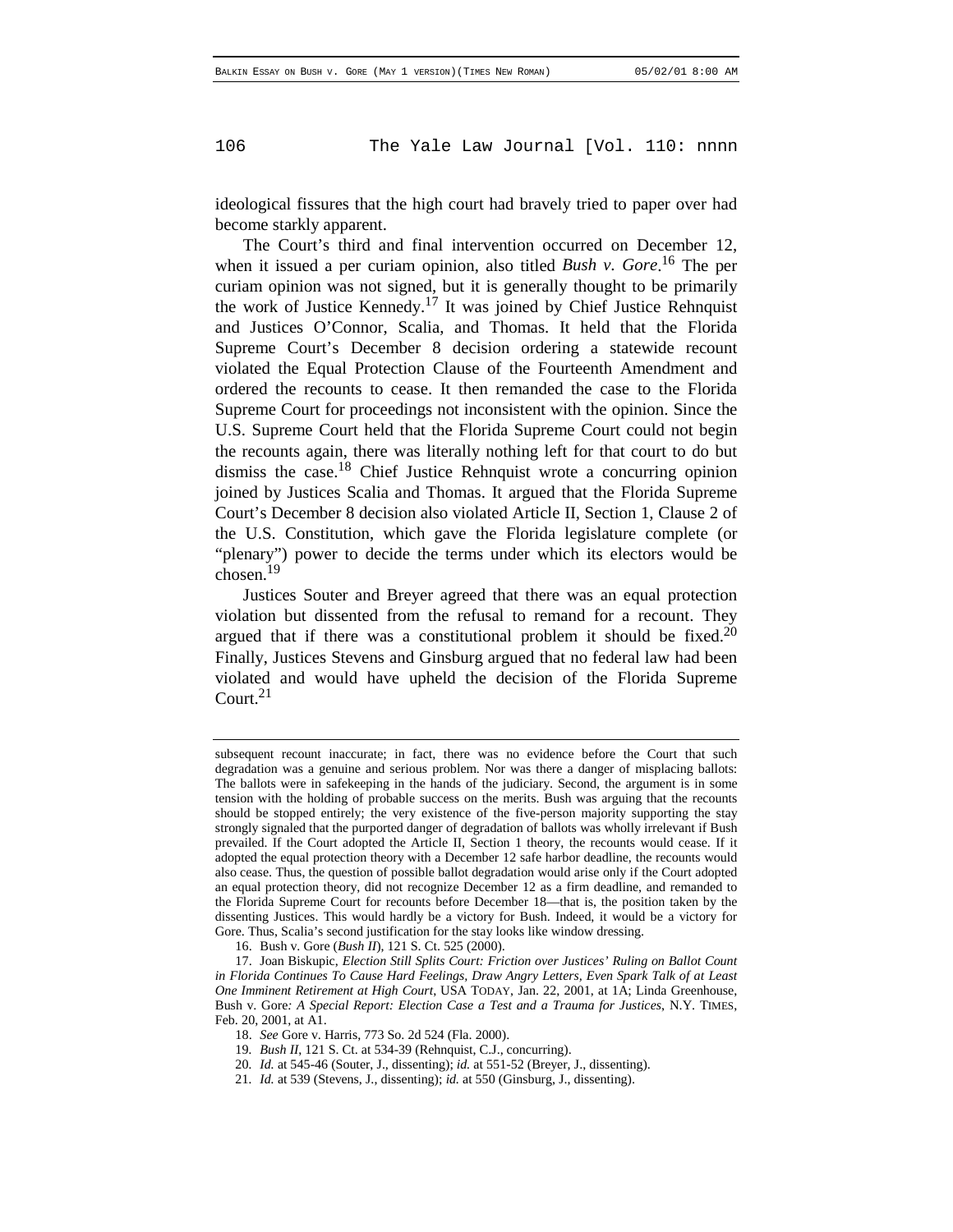ideological fissures that the high court had bravely tried to paper over had become starkly apparent.

The Court's third and final intervention occurred on December 12, when it issued a per curiam opinion, also titled *Bush v. Gore*. 16 The per curiam opinion was not signed, but it is generally thought to be primarily the work of Justice Kennedy.<sup>17</sup> It was joined by Chief Justice Rehnquist and Justices O'Connor, Scalia, and Thomas. It held that the Florida Supreme Court's December 8 decision ordering a statewide recount violated the Equal Protection Clause of the Fourteenth Amendment and ordered the recounts to cease. It then remanded the case to the Florida Supreme Court for proceedings not inconsistent with the opinion. Since the U.S. Supreme Court held that the Florida Supreme Court could not begin the recounts again, there was literally nothing left for that court to do but dismiss the case.18 Chief Justice Rehnquist wrote a concurring opinion joined by Justices Scalia and Thomas. It argued that the Florida Supreme Court's December 8 decision also violated Article II, Section 1, Clause 2 of the U.S. Constitution, which gave the Florida legislature complete (or "plenary") power to decide the terms under which its electors would be chosen.19

Justices Souter and Breyer agreed that there was an equal protection violation but dissented from the refusal to remand for a recount. They argued that if there was a constitutional problem it should be fixed.<sup>20</sup> Finally, Justices Stevens and Ginsburg argued that no federal law had been violated and would have upheld the decision of the Florida Supreme Court. $21$ 

subsequent recount inaccurate; in fact, there was no evidence before the Court that such degradation was a genuine and serious problem. Nor was there a danger of misplacing ballots: The ballots were in safekeeping in the hands of the judiciary. Second, the argument is in some tension with the holding of probable success on the merits. Bush was arguing that the recounts should be stopped entirely; the very existence of the five-person majority supporting the stay strongly signaled that the purported danger of degradation of ballots was wholly irrelevant if Bush prevailed. If the Court adopted the Article II, Section 1 theory, the recounts would cease. If it adopted the equal protection theory with a December 12 safe harbor deadline, the recounts would also cease. Thus, the question of possible ballot degradation would arise only if the Court adopted an equal protection theory, did not recognize December 12 as a firm deadline, and remanded to the Florida Supreme Court for recounts before December 18—that is, the position taken by the dissenting Justices. This would hardly be a victory for Bush. Indeed, it would be a victory for Gore. Thus, Scalia's second justification for the stay looks like window dressing.

<sup>16.</sup> Bush v. Gore (*Bush II*), 121 S. Ct. 525 (2000).

<sup>17.</sup> Joan Biskupic, *Election Still Splits Court: Friction over Justices' Ruling on Ballot Count in Florida Continues To Cause Hard Feelings, Draw Angry Letters, Even Spark Talk of at Least One Imminent Retirement at High Court*, USA TODAY, Jan. 22, 2001, at 1A; Linda Greenhouse, Bush v. Gore*: A Special Report: Election Case a Test and a Trauma for Justices*, N.Y. TIMES, Feb. 20, 2001, at A1.

<sup>18.</sup> *See* Gore v. Harris, 773 So. 2d 524 (Fla. 2000).

<sup>19</sup>*. Bush II*, 121 S. Ct. at 534-39 (Rehnquist, C.J., concurring).

<sup>20</sup>*. Id.* at 545-46 (Souter, J., dissenting); *id.* at 551-52 (Breyer, J., dissenting).

<sup>21</sup>*. Id.* at 539 (Stevens, J., dissenting); *id.* at 550 (Ginsburg, J., dissenting).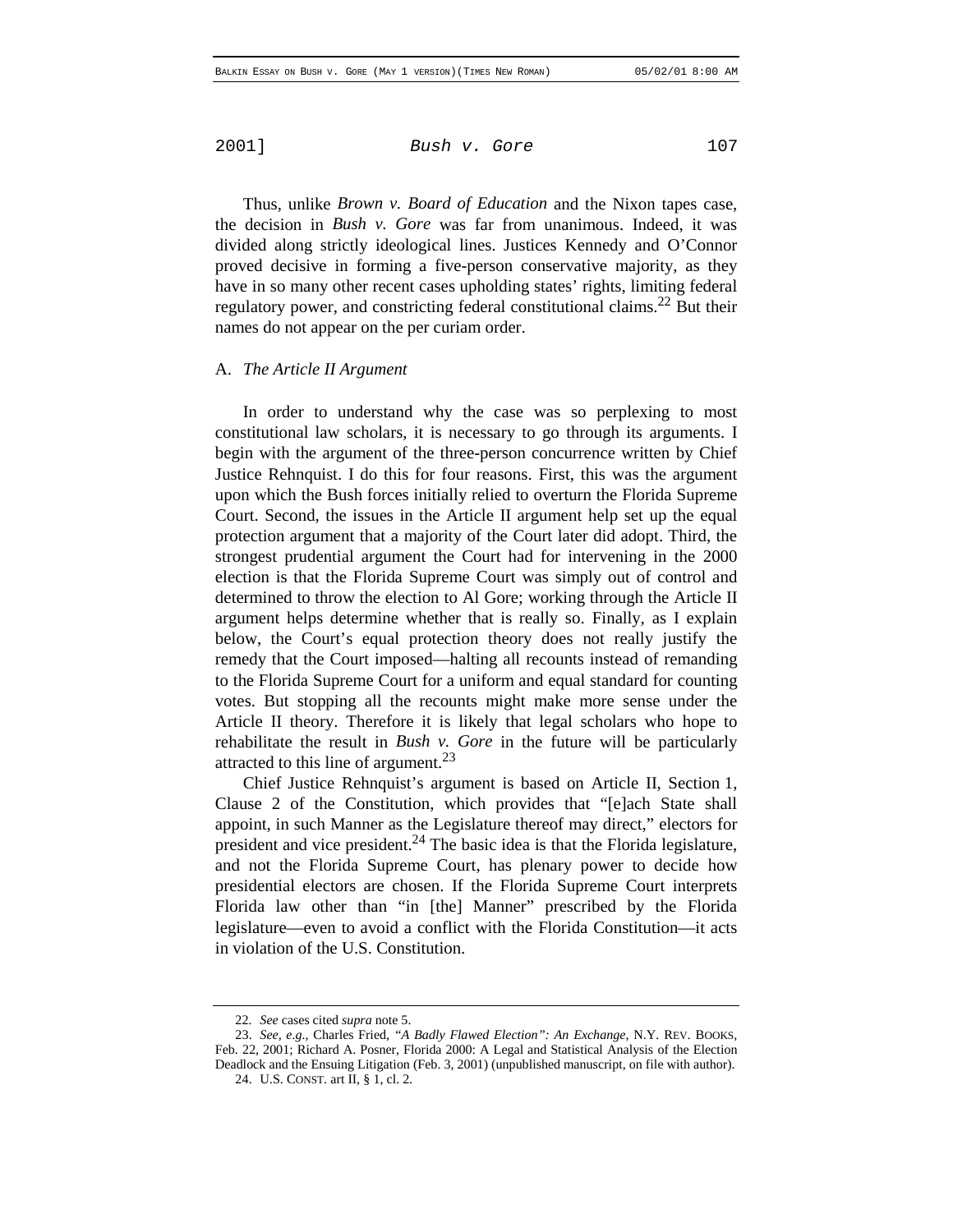Thus, unlike *Brown v. Board of Education* and the Nixon tapes case, the decision in *Bush v. Gore* was far from unanimous. Indeed, it was divided along strictly ideological lines. Justices Kennedy and O'Connor proved decisive in forming a five-person conservative majority, as they have in so many other recent cases upholding states' rights, limiting federal regulatory power, and constricting federal constitutional claims.<sup>22</sup> But their names do not appear on the per curiam order.

#### A. *The Article II Argument*

In order to understand why the case was so perplexing to most constitutional law scholars, it is necessary to go through its arguments. I begin with the argument of the three-person concurrence written by Chief Justice Rehnquist. I do this for four reasons. First, this was the argument upon which the Bush forces initially relied to overturn the Florida Supreme Court. Second, the issues in the Article II argument help set up the equal protection argument that a majority of the Court later did adopt. Third, the strongest prudential argument the Court had for intervening in the 2000 election is that the Florida Supreme Court was simply out of control and determined to throw the election to Al Gore; working through the Article II argument helps determine whether that is really so. Finally, as I explain below, the Court's equal protection theory does not really justify the remedy that the Court imposed—halting all recounts instead of remanding to the Florida Supreme Court for a uniform and equal standard for counting votes. But stopping all the recounts might make more sense under the Article II theory. Therefore it is likely that legal scholars who hope to rehabilitate the result in *Bush v. Gore* in the future will be particularly attracted to this line of argument. $^{23}$ 

Chief Justice Rehnquist's argument is based on Article II, Section 1, Clause 2 of the Constitution, which provides that "[e]ach State shall appoint, in such Manner as the Legislature thereof may direct," electors for president and vice president. $^{24}$  The basic idea is that the Florida legislature, and not the Florida Supreme Court, has plenary power to decide how presidential electors are chosen. If the Florida Supreme Court interprets Florida law other than "in [the] Manner" prescribed by the Florida legislature—even to avoid a conflict with the Florida Constitution—it acts in violation of the U.S. Constitution.

<sup>22</sup>*. See* cases cited *supra* note 5.

<sup>23.</sup> *See, e.g.*, Charles Fried, *"A Badly Flawed Election": An Exchange*, N.Y. REV. BOOKS, Feb. 22, 2001; Richard A. Posner, Florida 2000: A Legal and Statistical Analysis of the Election Deadlock and the Ensuing Litigation (Feb. 3, 2001) (unpublished manuscript, on file with author).

<sup>24.</sup> U.S. CONST. art II, § 1, cl. 2.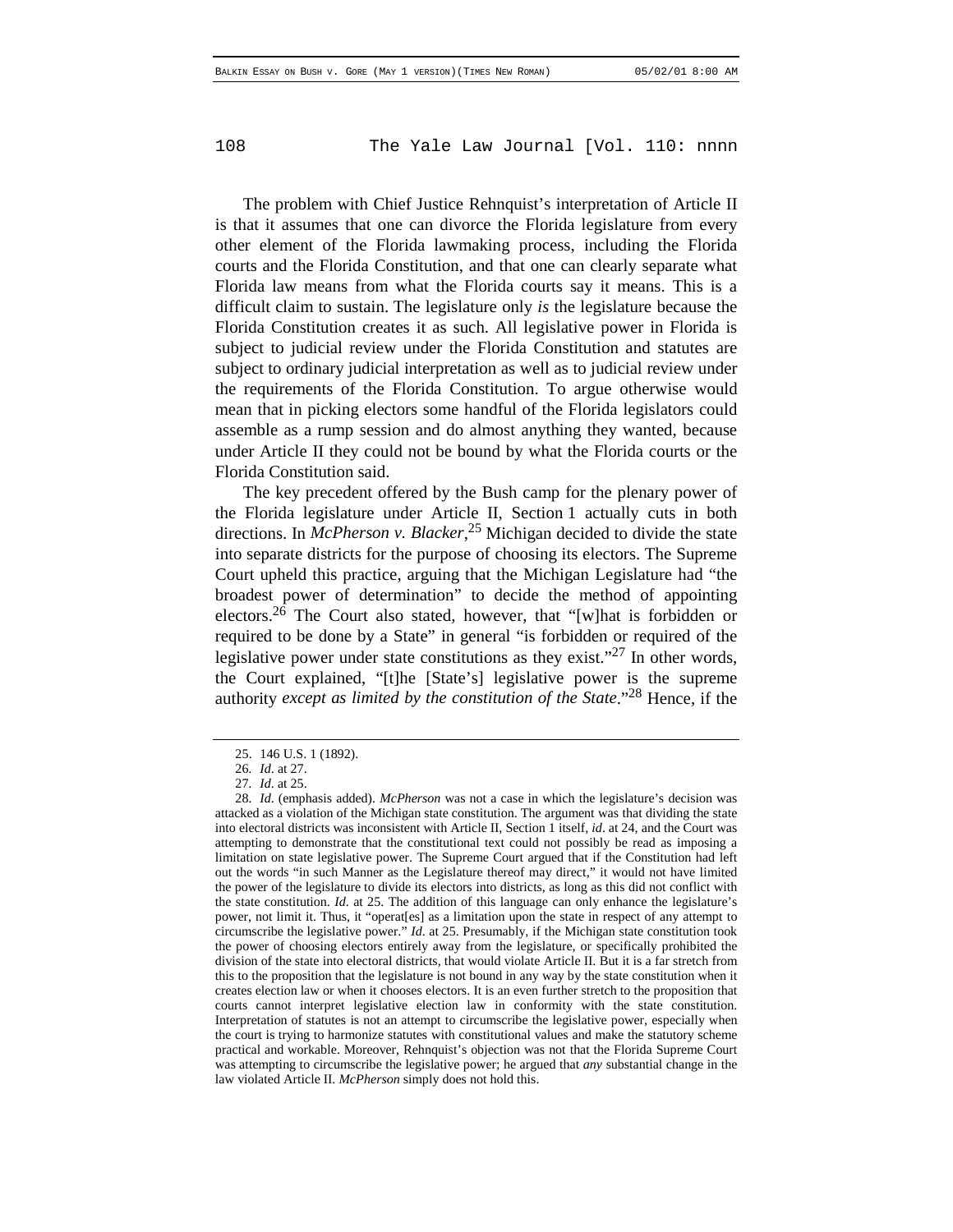The problem with Chief Justice Rehnquist's interpretation of Article II is that it assumes that one can divorce the Florida legislature from every other element of the Florida lawmaking process, including the Florida courts and the Florida Constitution, and that one can clearly separate what Florida law means from what the Florida courts say it means. This is a difficult claim to sustain. The legislature only *is* the legislature because the Florida Constitution creates it as such. All legislative power in Florida is subject to judicial review under the Florida Constitution and statutes are subject to ordinary judicial interpretation as well as to judicial review under the requirements of the Florida Constitution. To argue otherwise would mean that in picking electors some handful of the Florida legislators could assemble as a rump session and do almost anything they wanted, because under Article II they could not be bound by what the Florida courts or the Florida Constitution said.

The key precedent offered by the Bush camp for the plenary power of the Florida legislature under Article II, Section 1 actually cuts in both directions. In *McPherson v. Blacker*, 25 Michigan decided to divide the state into separate districts for the purpose of choosing its electors. The Supreme Court upheld this practice, arguing that the Michigan Legislature had "the broadest power of determination" to decide the method of appointing electors.26 The Court also stated, however, that "[w]hat is forbidden or required to be done by a State" in general "is forbidden or required of the legislative power under state constitutions as they exist."<sup>27</sup> In other words, the Court explained, "[t]he [State's] legislative power is the supreme authority *except as limited by the constitution of the State*."28 Hence, if the

<sup>25. 146</sup> U.S. 1 (1892).

<sup>26</sup>*. Id*. at 27.

<sup>27</sup>*. Id*. at 25.

<sup>28</sup>*. Id*. (emphasis added). *McPherson* was not a case in which the legislature's decision was attacked as a violation of the Michigan state constitution. The argument was that dividing the state into electoral districts was inconsistent with Article II, Section 1 itself, *id*. at 24, and the Court was attempting to demonstrate that the constitutional text could not possibly be read as imposing a limitation on state legislative power. The Supreme Court argued that if the Constitution had left out the words "in such Manner as the Legislature thereof may direct," it would not have limited the power of the legislature to divide its electors into districts, as long as this did not conflict with the state constitution. *Id*. at 25. The addition of this language can only enhance the legislature's power, not limit it. Thus, it "operat[es] as a limitation upon the state in respect of any attempt to circumscribe the legislative power." *Id*. at 25. Presumably, if the Michigan state constitution took the power of choosing electors entirely away from the legislature, or specifically prohibited the division of the state into electoral districts, that would violate Article II. But it is a far stretch from this to the proposition that the legislature is not bound in any way by the state constitution when it creates election law or when it chooses electors. It is an even further stretch to the proposition that courts cannot interpret legislative election law in conformity with the state constitution. Interpretation of statutes is not an attempt to circumscribe the legislative power, especially when the court is trying to harmonize statutes with constitutional values and make the statutory scheme practical and workable. Moreover, Rehnquist's objection was not that the Florida Supreme Court was attempting to circumscribe the legislative power; he argued that *any* substantial change in the law violated Article II. *McPherson* simply does not hold this.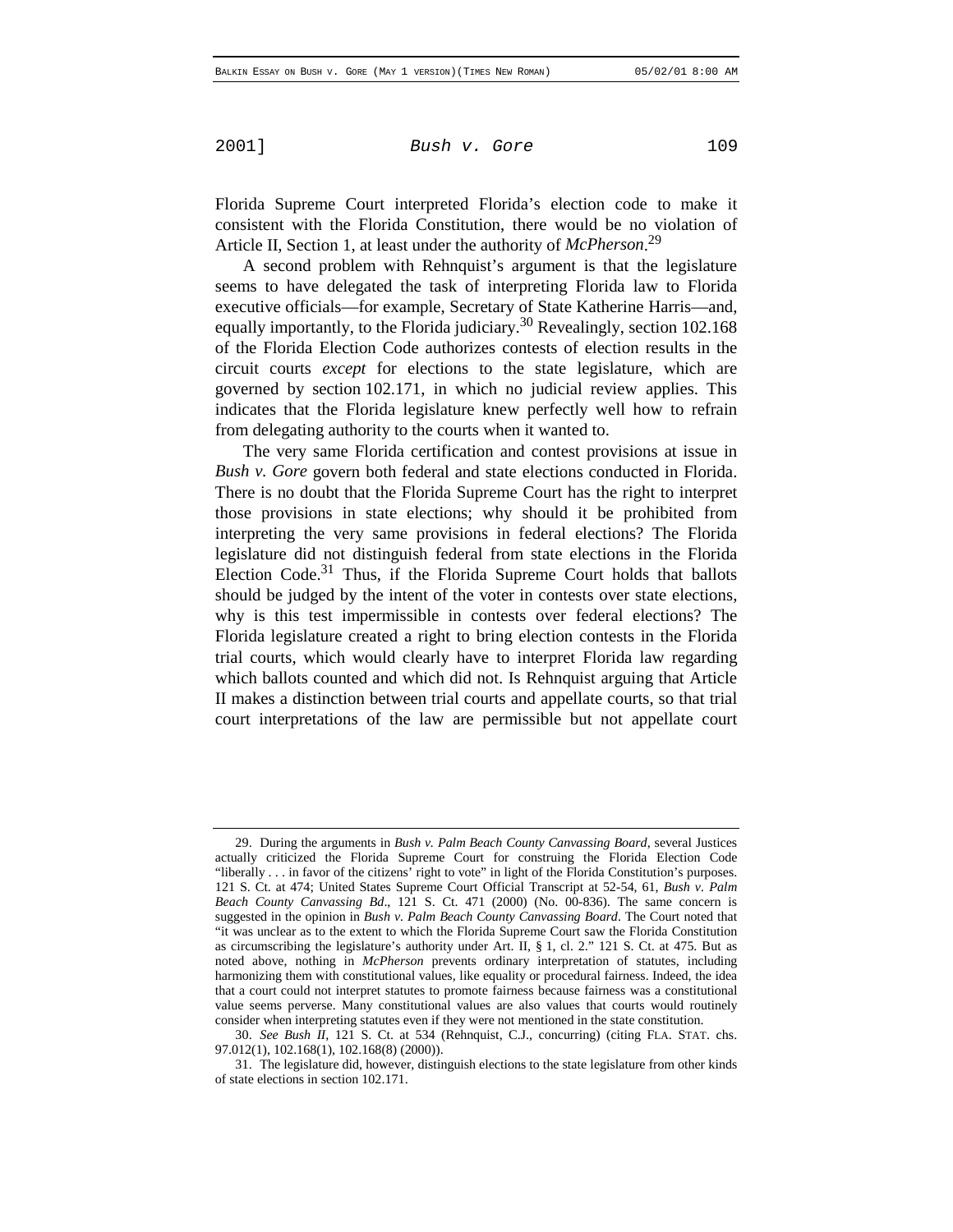Florida Supreme Court interpreted Florida's election code to make it consistent with the Florida Constitution, there would be no violation of Article II, Section 1, at least under the authority of *McPherson*. 29

A second problem with Rehnquist's argument is that the legislature seems to have delegated the task of interpreting Florida law to Florida executive officials—for example, Secretary of State Katherine Harris—and, equally importantly, to the Florida judiciary.<sup>30</sup> Revealingly, section 102.168 of the Florida Election Code authorizes contests of election results in the circuit courts *except* for elections to the state legislature, which are governed by section 102.171, in which no judicial review applies. This indicates that the Florida legislature knew perfectly well how to refrain from delegating authority to the courts when it wanted to.

The very same Florida certification and contest provisions at issue in *Bush v. Gore* govern both federal and state elections conducted in Florida. There is no doubt that the Florida Supreme Court has the right to interpret those provisions in state elections; why should it be prohibited from interpreting the very same provisions in federal elections? The Florida legislature did not distinguish federal from state elections in the Florida Election Code.31 Thus, if the Florida Supreme Court holds that ballots should be judged by the intent of the voter in contests over state elections, why is this test impermissible in contests over federal elections? The Florida legislature created a right to bring election contests in the Florida trial courts, which would clearly have to interpret Florida law regarding which ballots counted and which did not. Is Rehnquist arguing that Article II makes a distinction between trial courts and appellate courts, so that trial court interpretations of the law are permissible but not appellate court

<sup>29.</sup> During the arguments in *Bush v. Palm Beach County Canvassing Board*, several Justices actually criticized the Florida Supreme Court for construing the Florida Election Code "liberally . . . in favor of the citizens' right to vote" in light of the Florida Constitution's purposes. 121 S. Ct. at 474; United States Supreme Court Official Transcript at 52-54, 61, *Bush v. Palm Beach County Canvassing Bd*., 121 S. Ct. 471 (2000) (No. 00-836). The same concern is suggested in the opinion in *Bush v. Palm Beach County Canvassing Board*. The Court noted that "it was unclear as to the extent to which the Florida Supreme Court saw the Florida Constitution as circumscribing the legislature's authority under Art. II, § 1, cl. 2." 121 S. Ct. at 475. But as noted above, nothing in *McPherson* prevents ordinary interpretation of statutes, including harmonizing them with constitutional values, like equality or procedural fairness. Indeed, the idea that a court could not interpret statutes to promote fairness because fairness was a constitutional value seems perverse. Many constitutional values are also values that courts would routinely consider when interpreting statutes even if they were not mentioned in the state constitution.

<sup>30.</sup> *See Bush II*, 121 S. Ct. at 534 (Rehnquist, C.J., concurring) (citing FLA. STAT. chs. 97.012(1), 102.168(1), 102.168(8) (2000)).

<sup>31.</sup> The legislature did, however, distinguish elections to the state legislature from other kinds of state elections in section 102.171.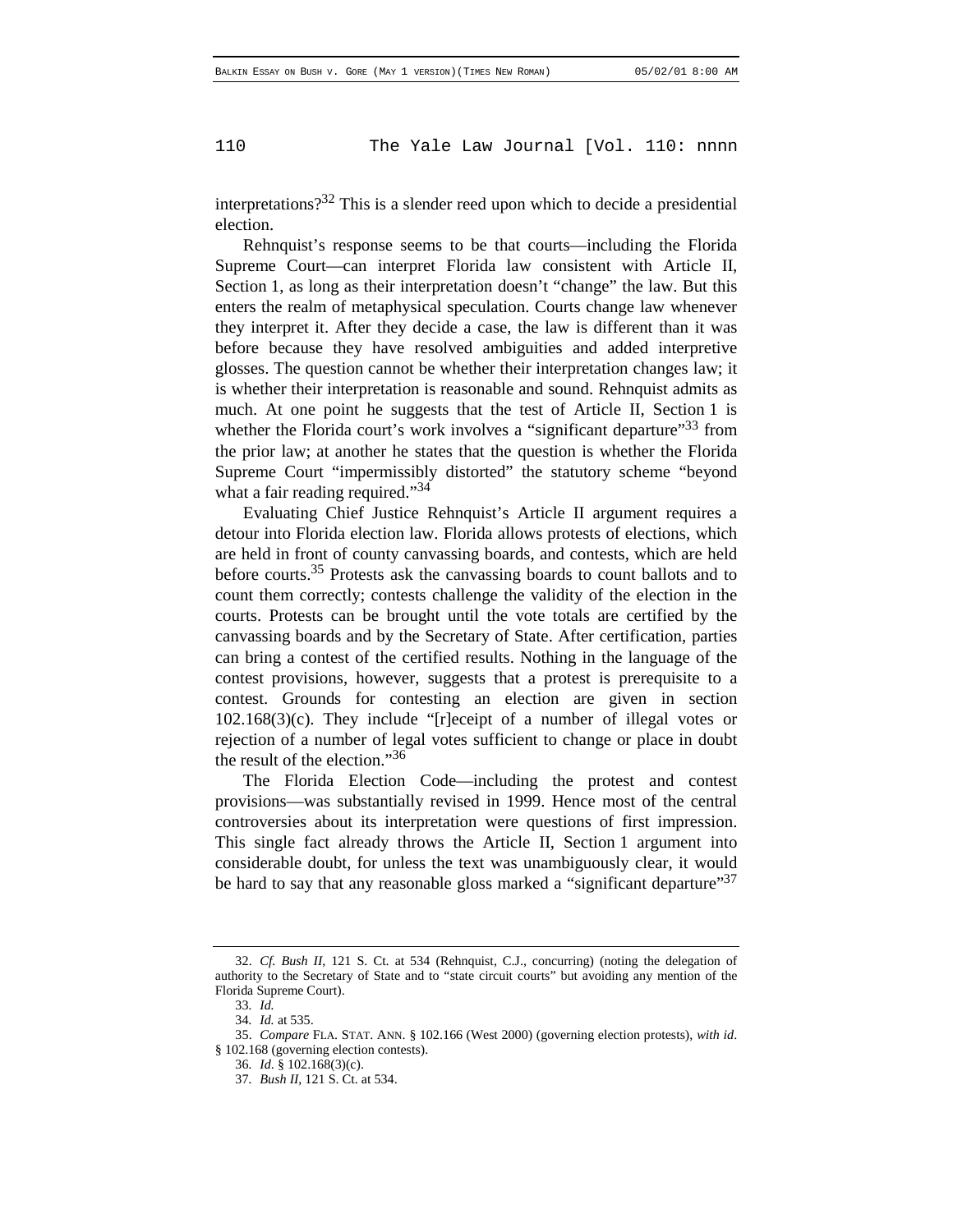interpretations? $32$  This is a slender reed upon which to decide a presidential election.

Rehnquist's response seems to be that courts—including the Florida Supreme Court—can interpret Florida law consistent with Article II, Section 1, as long as their interpretation doesn't "change" the law. But this enters the realm of metaphysical speculation. Courts change law whenever they interpret it. After they decide a case, the law is different than it was before because they have resolved ambiguities and added interpretive glosses. The question cannot be whether their interpretation changes law; it is whether their interpretation is reasonable and sound. Rehnquist admits as much. At one point he suggests that the test of Article II, Section 1 is whether the Florida court's work involves a "significant departure"<sup>33</sup> from the prior law; at another he states that the question is whether the Florida Supreme Court "impermissibly distorted" the statutory scheme "beyond what a fair reading required."<sup>34</sup>

Evaluating Chief Justice Rehnquist's Article II argument requires a detour into Florida election law. Florida allows protests of elections, which are held in front of county canvassing boards, and contests, which are held before courts.<sup>35</sup> Protests ask the canvassing boards to count ballots and to count them correctly; contests challenge the validity of the election in the courts. Protests can be brought until the vote totals are certified by the canvassing boards and by the Secretary of State. After certification, parties can bring a contest of the certified results. Nothing in the language of the contest provisions, however, suggests that a protest is prerequisite to a contest. Grounds for contesting an election are given in section 102.168(3)(c). They include "[r]eceipt of a number of illegal votes or rejection of a number of legal votes sufficient to change or place in doubt the result of the election." $36$ 

The Florida Election Code—including the protest and contest provisions—was substantially revised in 1999. Hence most of the central controversies about its interpretation were questions of first impression. This single fact already throws the Article II, Section 1 argument into considerable doubt, for unless the text was unambiguously clear, it would be hard to say that any reasonable gloss marked a "significant departure"<sup>37</sup>

<sup>32.</sup> *Cf. Bush II*, 121 S. Ct. at 534 (Rehnquist, C.J., concurring) (noting the delegation of authority to the Secretary of State and to "state circuit courts" but avoiding any mention of the Florida Supreme Court).

<sup>33</sup>*. Id.*

<sup>34</sup>*. Id.* at 535.

<sup>35.</sup> *Compare* FLA. STAT. ANN. § 102.166 (West 2000) (governing election protests), *with id*. § 102.168 (governing election contests).

<sup>36</sup>*. Id*. § 102.168(3)(c).

<sup>37</sup>*. Bush II*, 121 S. Ct. at 534.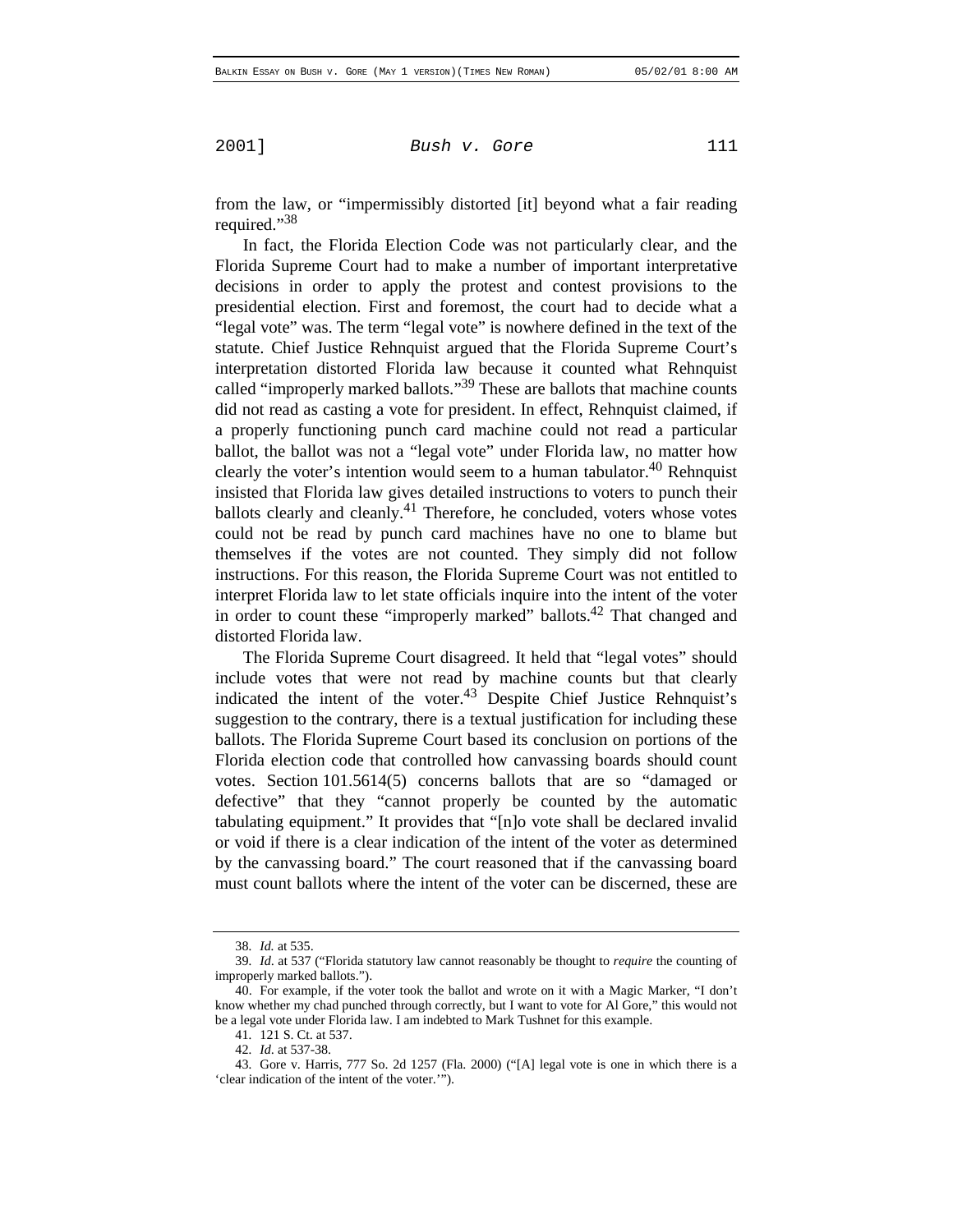from the law, or "impermissibly distorted [it] beyond what a fair reading required."<sup>38</sup>

In fact, the Florida Election Code was not particularly clear, and the Florida Supreme Court had to make a number of important interpretative decisions in order to apply the protest and contest provisions to the presidential election. First and foremost, the court had to decide what a "legal vote" was. The term "legal vote" is nowhere defined in the text of the statute. Chief Justice Rehnquist argued that the Florida Supreme Court's interpretation distorted Florida law because it counted what Rehnquist called "improperly marked ballots."<sup>39</sup> These are ballots that machine counts did not read as casting a vote for president. In effect, Rehnquist claimed, if a properly functioning punch card machine could not read a particular ballot, the ballot was not a "legal vote" under Florida law, no matter how clearly the voter's intention would seem to a human tabulator. $40$  Rehnquist insisted that Florida law gives detailed instructions to voters to punch their ballots clearly and cleanly. $41$  Therefore, he concluded, voters whose votes could not be read by punch card machines have no one to blame but themselves if the votes are not counted. They simply did not follow instructions. For this reason, the Florida Supreme Court was not entitled to interpret Florida law to let state officials inquire into the intent of the voter in order to count these "improperly marked" ballots. $42$  That changed and distorted Florida law.

The Florida Supreme Court disagreed. It held that "legal votes" should include votes that were not read by machine counts but that clearly indicated the intent of the voter.43 Despite Chief Justice Rehnquist's suggestion to the contrary, there is a textual justification for including these ballots. The Florida Supreme Court based its conclusion on portions of the Florida election code that controlled how canvassing boards should count votes. Section 101.5614(5) concerns ballots that are so "damaged or defective" that they "cannot properly be counted by the automatic tabulating equipment." It provides that "[n]o vote shall be declared invalid or void if there is a clear indication of the intent of the voter as determined by the canvassing board." The court reasoned that if the canvassing board must count ballots where the intent of the voter can be discerned, these are

<sup>38</sup>*. Id.* at 535.

<sup>39</sup>*. Id*. at 537 ("Florida statutory law cannot reasonably be thought to *require* the counting of improperly marked ballots.").

<sup>40.</sup> For example, if the voter took the ballot and wrote on it with a Magic Marker, "I don't know whether my chad punched through correctly, but I want to vote for Al Gore," this would not be a legal vote under Florida law. I am indebted to Mark Tushnet for this example.

<sup>41</sup>*.* 121 S. Ct. at 537.

<sup>42</sup>*. Id*. at 537-38.

<sup>43</sup>*.* Gore v. Harris, 777 So. 2d 1257 (Fla. 2000) ("[A] legal vote is one in which there is a 'clear indication of the intent of the voter.'").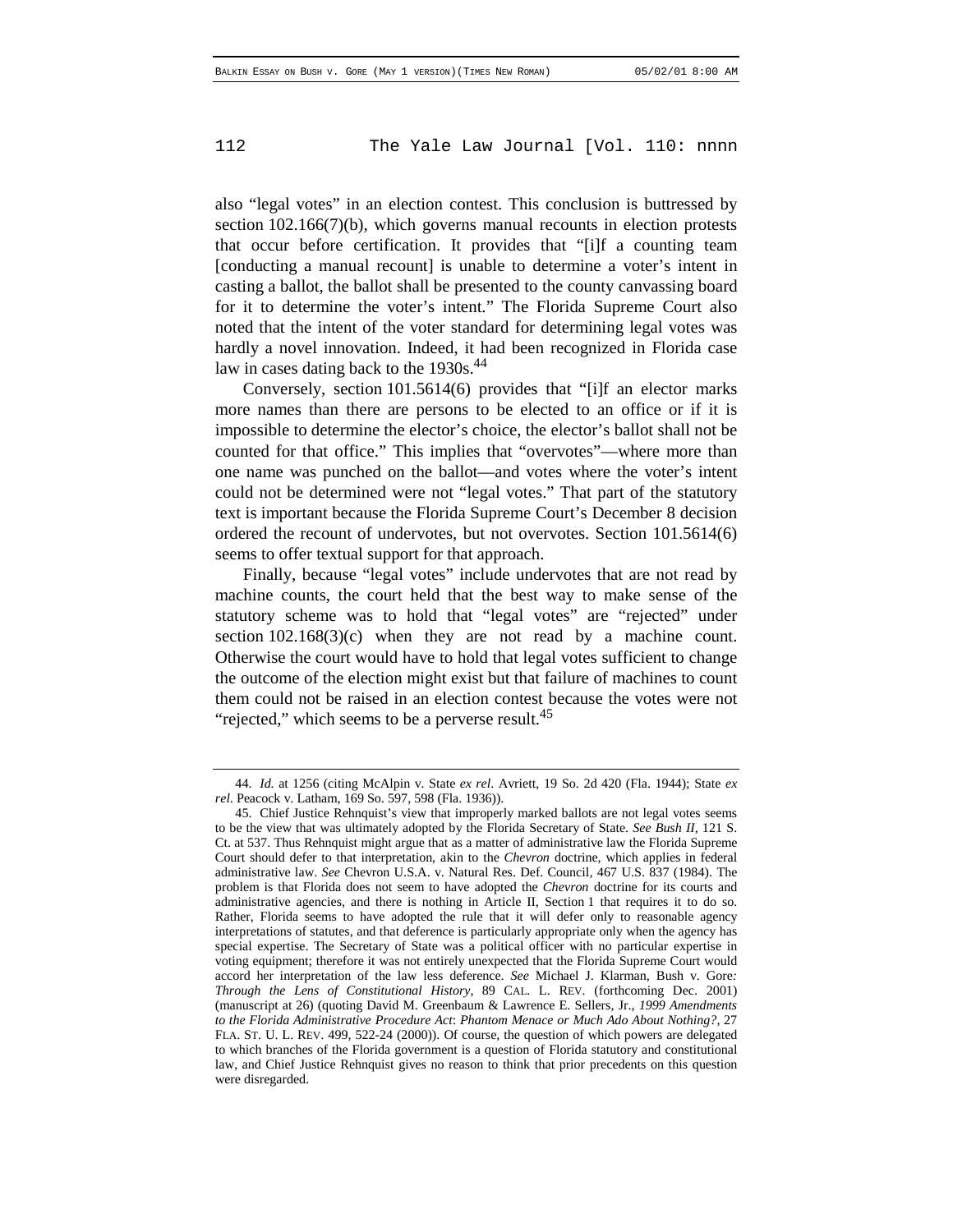also "legal votes" in an election contest. This conclusion is buttressed by section 102.166(7)(b), which governs manual recounts in election protests that occur before certification. It provides that "[i]f a counting team [conducting a manual recount] is unable to determine a voter's intent in casting a ballot, the ballot shall be presented to the county canvassing board for it to determine the voter's intent." The Florida Supreme Court also noted that the intent of the voter standard for determining legal votes was hardly a novel innovation. Indeed, it had been recognized in Florida case law in cases dating back to the 1930s.<sup>44</sup>

Conversely, section 101.5614(6) provides that "[i]f an elector marks more names than there are persons to be elected to an office or if it is impossible to determine the elector's choice, the elector's ballot shall not be counted for that office." This implies that "overvotes"—where more than one name was punched on the ballot—and votes where the voter's intent could not be determined were not "legal votes." That part of the statutory text is important because the Florida Supreme Court's December 8 decision ordered the recount of undervotes, but not overvotes. Section 101.5614(6) seems to offer textual support for that approach.

Finally, because "legal votes" include undervotes that are not read by machine counts, the court held that the best way to make sense of the statutory scheme was to hold that "legal votes" are "rejected" under section 102.168(3)(c) when they are not read by a machine count. Otherwise the court would have to hold that legal votes sufficient to change the outcome of the election might exist but that failure of machines to count them could not be raised in an election contest because the votes were not "rejected," which seems to be a perverse result.<sup>45</sup>

<sup>44</sup>*. Id.* at 1256 (citing McAlpin v. State *ex rel*. Avriett, 19 So. 2d 420 (Fla. 1944); State *ex rel*. Peacock v. Latham, 169 So. 597, 598 (Fla. 1936)).

<sup>45.</sup> Chief Justice Rehnquist's view that improperly marked ballots are not legal votes seems to be the view that was ultimately adopted by the Florida Secretary of State. *See Bush II*, 121 S. Ct. at 537. Thus Rehnquist might argue that as a matter of administrative law the Florida Supreme Court should defer to that interpretation, akin to the *Chevron* doctrine, which applies in federal administrative law. *See* Chevron U.S.A. v. Natural Res. Def. Council, 467 U.S. 837 (1984). The problem is that Florida does not seem to have adopted the *Chevron* doctrine for its courts and administrative agencies, and there is nothing in Article II, Section 1 that requires it to do so. Rather, Florida seems to have adopted the rule that it will defer only to reasonable agency interpretations of statutes, and that deference is particularly appropriate only when the agency has special expertise. The Secretary of State was a political officer with no particular expertise in voting equipment; therefore it was not entirely unexpected that the Florida Supreme Court would accord her interpretation of the law less deference. *See* Michael J. Klarman, Bush v. Gore*: Through the Lens of Constitutional History*, 89 CAL. L. REV. (forthcoming Dec. 2001) (manuscript at 26) (quoting David M. Greenbaum & Lawrence E. Sellers, Jr., *1999 Amendments to the Florida Administrative Procedure Act*: *Phantom Menace or Much Ado About Nothing?*, 27 FLA. ST. U. L. REV. 499, 522-24 (2000)). Of course, the question of which powers are delegated to which branches of the Florida government is a question of Florida statutory and constitutional law, and Chief Justice Rehnquist gives no reason to think that prior precedents on this question were disregarded.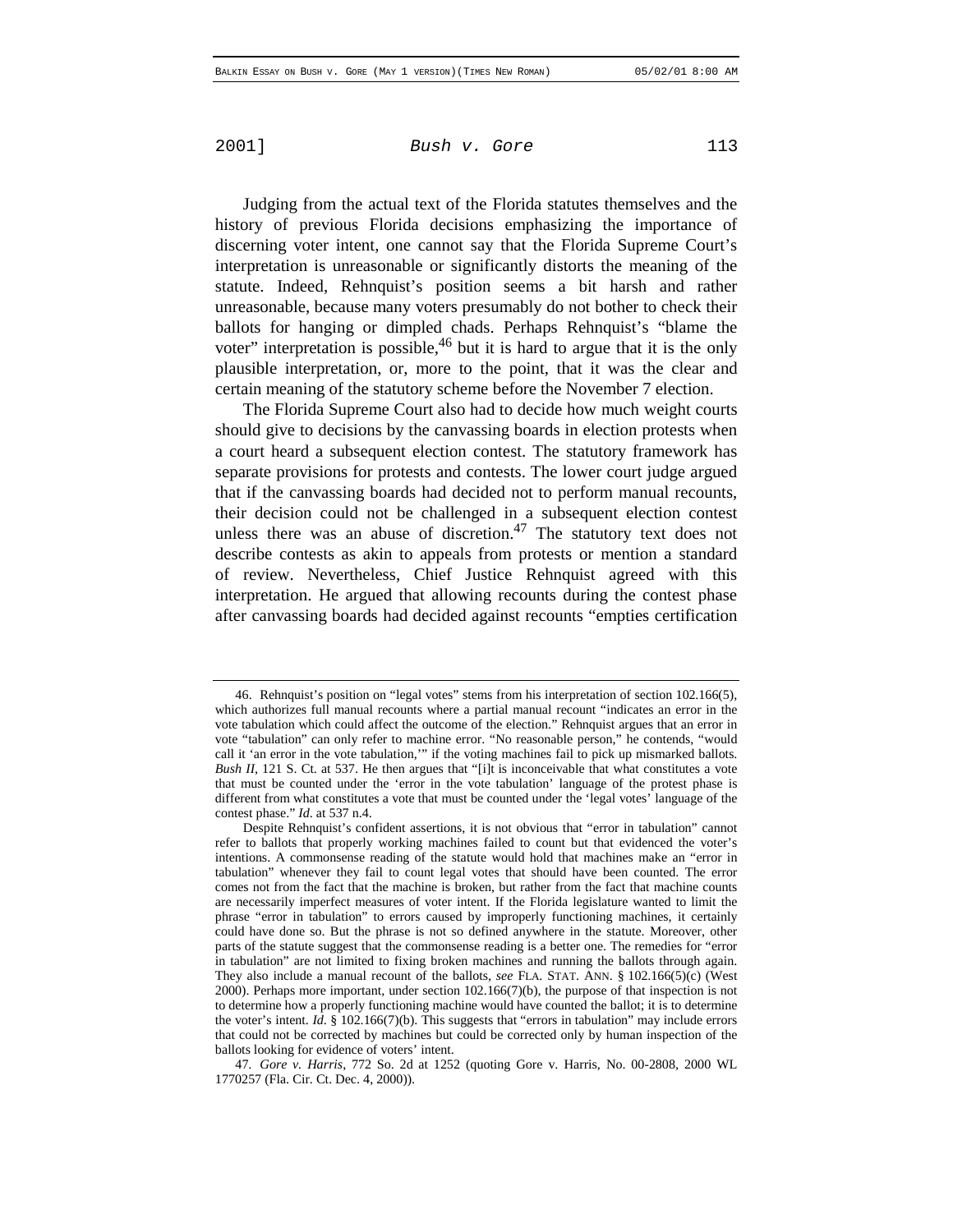Judging from the actual text of the Florida statutes themselves and the history of previous Florida decisions emphasizing the importance of discerning voter intent, one cannot say that the Florida Supreme Court's interpretation is unreasonable or significantly distorts the meaning of the statute. Indeed, Rehnquist's position seems a bit harsh and rather unreasonable, because many voters presumably do not bother to check their ballots for hanging or dimpled chads. Perhaps Rehnquist's "blame the voter" interpretation is possible,  $46$  but it is hard to argue that it is the only plausible interpretation, or, more to the point, that it was the clear and certain meaning of the statutory scheme before the November 7 election.

The Florida Supreme Court also had to decide how much weight courts should give to decisions by the canvassing boards in election protests when a court heard a subsequent election contest. The statutory framework has separate provisions for protests and contests. The lower court judge argued that if the canvassing boards had decided not to perform manual recounts, their decision could not be challenged in a subsequent election contest unless there was an abuse of discretion.<sup>47</sup> The statutory text does not describe contests as akin to appeals from protests or mention a standard of review. Nevertheless, Chief Justice Rehnquist agreed with this interpretation. He argued that allowing recounts during the contest phase after canvassing boards had decided against recounts "empties certification

<sup>46.</sup> Rehnquist's position on "legal votes" stems from his interpretation of section 102.166(5), which authorizes full manual recounts where a partial manual recount "indicates an error in the vote tabulation which could affect the outcome of the election." Rehnquist argues that an error in vote "tabulation" can only refer to machine error. "No reasonable person," he contends, "would call it 'an error in the vote tabulation,"" if the voting machines fail to pick up mismarked ballots. *Bush II*, 121 S. Ct. at 537. He then argues that "[i]t is inconceivable that what constitutes a vote that must be counted under the 'error in the vote tabulation' language of the protest phase is different from what constitutes a vote that must be counted under the 'legal votes' language of the contest phase." *Id*. at 537 n.4.

Despite Rehnquist's confident assertions, it is not obvious that "error in tabulation" cannot refer to ballots that properly working machines failed to count but that evidenced the voter's intentions. A commonsense reading of the statute would hold that machines make an "error in tabulation" whenever they fail to count legal votes that should have been counted. The error comes not from the fact that the machine is broken, but rather from the fact that machine counts are necessarily imperfect measures of voter intent. If the Florida legislature wanted to limit the phrase "error in tabulation" to errors caused by improperly functioning machines, it certainly could have done so. But the phrase is not so defined anywhere in the statute. Moreover, other parts of the statute suggest that the commonsense reading is a better one. The remedies for "error in tabulation" are not limited to fixing broken machines and running the ballots through again. They also include a manual recount of the ballots, *see* FLA. STAT. ANN. § 102.166(5)(c) (West 2000). Perhaps more important, under section 102.166(7)(b), the purpose of that inspection is not to determine how a properly functioning machine would have counted the ballot; it is to determine the voter's intent. *Id*. § 102.166(7)(b). This suggests that "errors in tabulation" may include errors that could not be corrected by machines but could be corrected only by human inspection of the ballots looking for evidence of voters' intent.

<sup>47</sup>*. Gore v. Harris*, 772 So. 2d at 1252 (quoting Gore v. Harris, No. 00-2808, 2000 WL 1770257 (Fla. Cir. Ct. Dec. 4, 2000)).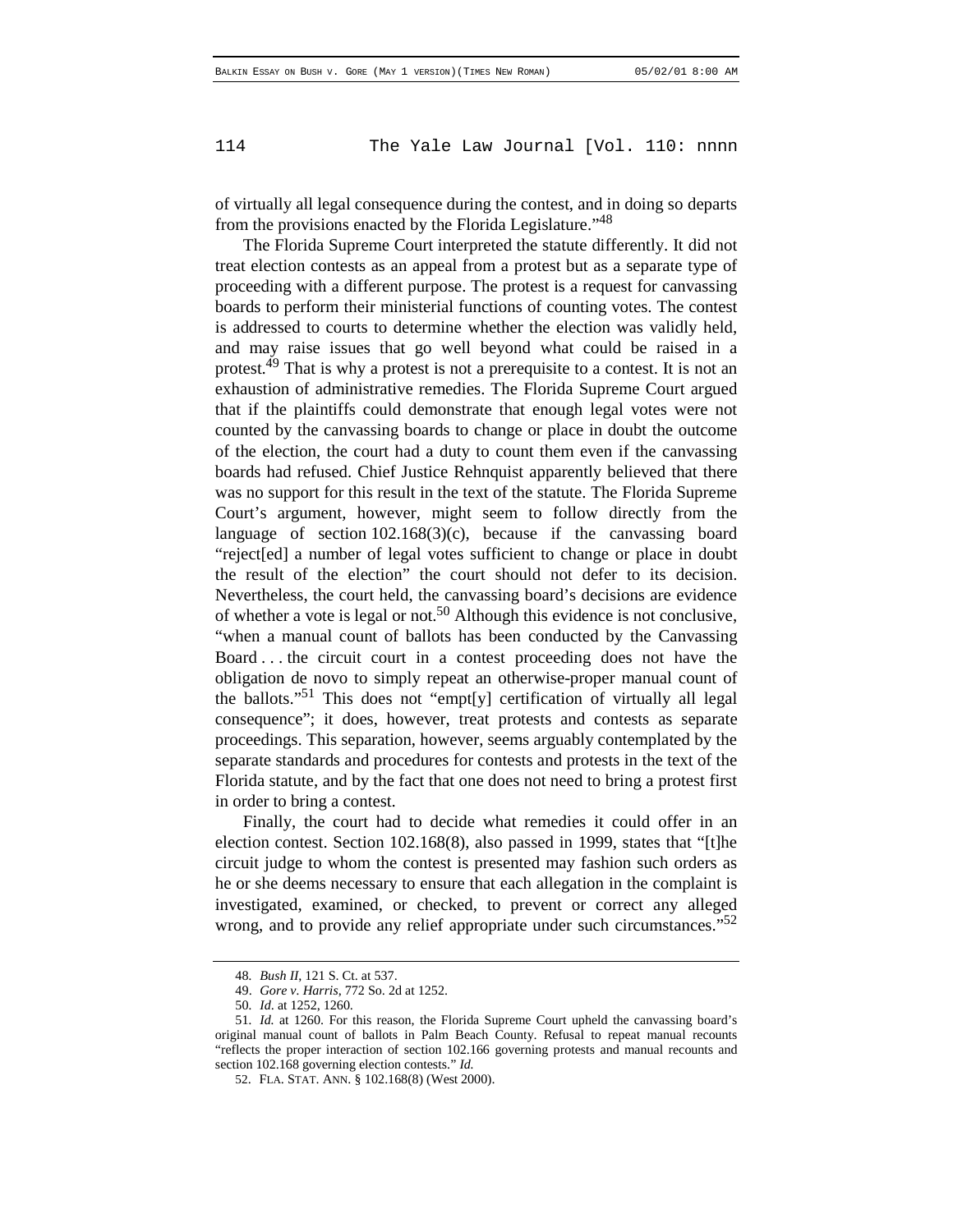of virtually all legal consequence during the contest, and in doing so departs from the provisions enacted by the Florida Legislature.<sup>148</sup>

The Florida Supreme Court interpreted the statute differently. It did not treat election contests as an appeal from a protest but as a separate type of proceeding with a different purpose. The protest is a request for canvassing boards to perform their ministerial functions of counting votes. The contest is addressed to courts to determine whether the election was validly held, and may raise issues that go well beyond what could be raised in a protest.<sup>49</sup> That is why a protest is not a prerequisite to a contest. It is not an exhaustion of administrative remedies. The Florida Supreme Court argued that if the plaintiffs could demonstrate that enough legal votes were not counted by the canvassing boards to change or place in doubt the outcome of the election, the court had a duty to count them even if the canvassing boards had refused. Chief Justice Rehnquist apparently believed that there was no support for this result in the text of the statute. The Florida Supreme Court's argument, however, might seem to follow directly from the language of section 102.168(3)(c), because if the canvassing board "reject[ed] a number of legal votes sufficient to change or place in doubt the result of the election" the court should not defer to its decision. Nevertheless, the court held, the canvassing board's decisions are evidence of whether a vote is legal or not.50 Although this evidence is not conclusive, "when a manual count of ballots has been conducted by the Canvassing Board . . . the circuit court in a contest proceeding does not have the obligation de novo to simply repeat an otherwise-proper manual count of the ballots."<sup>51</sup> This does not "empt[y] certification of virtually all legal consequence"; it does, however, treat protests and contests as separate proceedings. This separation, however, seems arguably contemplated by the separate standards and procedures for contests and protests in the text of the Florida statute, and by the fact that one does not need to bring a protest first in order to bring a contest.

Finally, the court had to decide what remedies it could offer in an election contest. Section 102.168(8), also passed in 1999, states that "[t]he circuit judge to whom the contest is presented may fashion such orders as he or she deems necessary to ensure that each allegation in the complaint is investigated, examined, or checked, to prevent or correct any alleged wrong, and to provide any relief appropriate under such circumstances."<sup>52</sup>

<sup>48</sup>*. Bush II*, 121 S. Ct. at 537.

<sup>49.</sup> *Gore v. Harris*, 772 So. 2d at 1252.

<sup>50</sup>*. Id*. at 1252, 1260.

<sup>51</sup>*. Id.* at 1260. For this reason, the Florida Supreme Court upheld the canvassing board's original manual count of ballots in Palm Beach County. Refusal to repeat manual recounts "reflects the proper interaction of section 102.166 governing protests and manual recounts and section 102.168 governing election contests." *Id.*

<sup>52.</sup> FLA. STAT. ANN. § 102.168(8) (West 2000).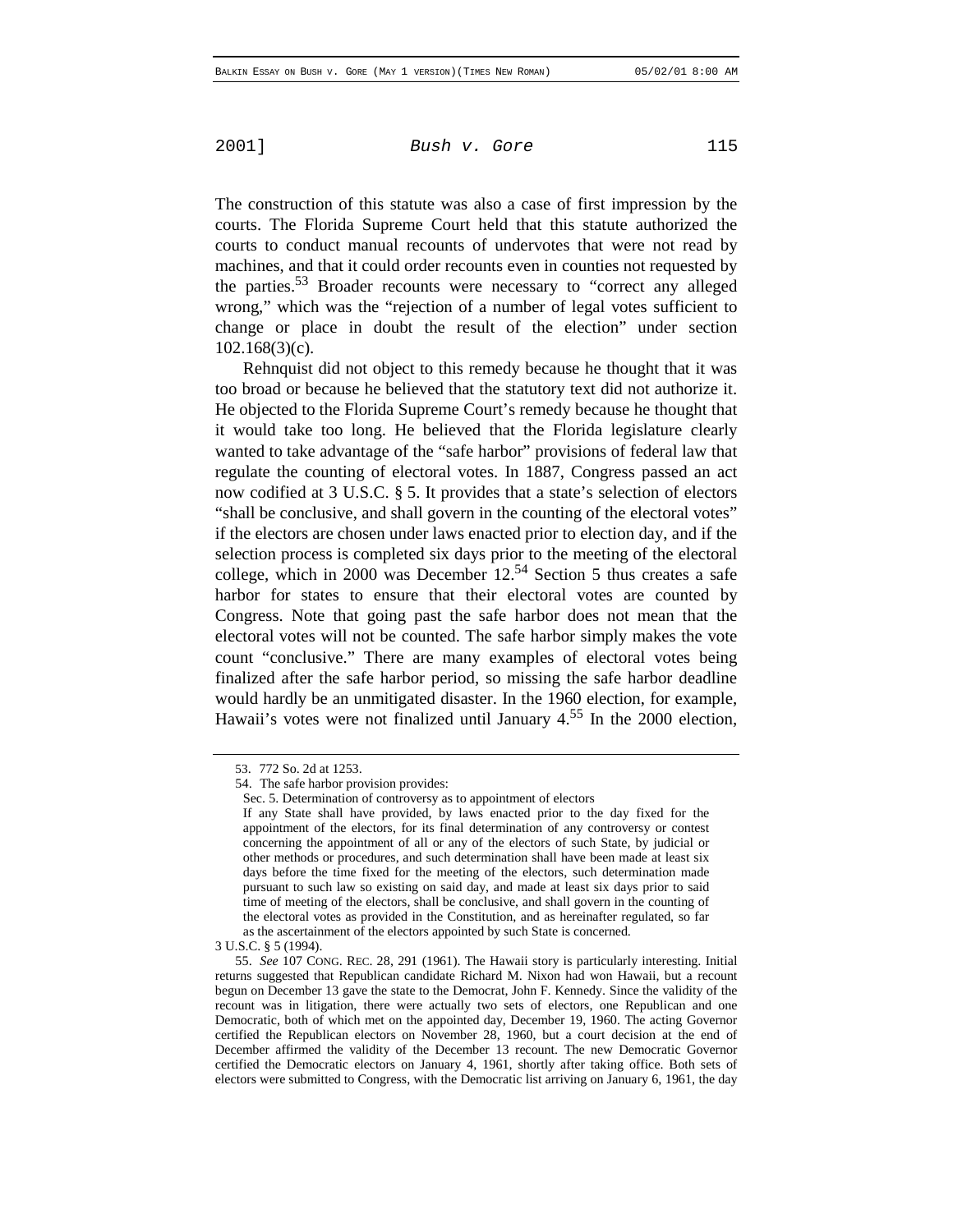The construction of this statute was also a case of first impression by the courts. The Florida Supreme Court held that this statute authorized the courts to conduct manual recounts of undervotes that were not read by machines, and that it could order recounts even in counties not requested by the parties.<sup>53</sup> Broader recounts were necessary to "correct any alleged" wrong," which was the "rejection of a number of legal votes sufficient to change or place in doubt the result of the election" under section 102.168(3)(c).

Rehnquist did not object to this remedy because he thought that it was too broad or because he believed that the statutory text did not authorize it. He objected to the Florida Supreme Court's remedy because he thought that it would take too long. He believed that the Florida legislature clearly wanted to take advantage of the "safe harbor" provisions of federal law that regulate the counting of electoral votes. In 1887, Congress passed an act now codified at 3 U.S.C. § 5. It provides that a state's selection of electors "shall be conclusive, and shall govern in the counting of the electoral votes" if the electors are chosen under laws enacted prior to election day, and if the selection process is completed six days prior to the meeting of the electoral college, which in 2000 was December  $12<sup>54</sup>$  Section 5 thus creates a safe harbor for states to ensure that their electoral votes are counted by Congress. Note that going past the safe harbor does not mean that the electoral votes will not be counted. The safe harbor simply makes the vote count "conclusive." There are many examples of electoral votes being finalized after the safe harbor period, so missing the safe harbor deadline would hardly be an unmitigated disaster. In the 1960 election, for example, Hawaii's votes were not finalized until January  $4.55$  In the 2000 election,

<sup>53. 772</sup> So. 2d at 1253.

<sup>54.</sup> The safe harbor provision provides:

Sec. 5. Determination of controversy as to appointment of electors

If any State shall have provided, by laws enacted prior to the day fixed for the appointment of the electors, for its final determination of any controversy or contest concerning the appointment of all or any of the electors of such State, by judicial or other methods or procedures, and such determination shall have been made at least six days before the time fixed for the meeting of the electors, such determination made pursuant to such law so existing on said day, and made at least six days prior to said time of meeting of the electors, shall be conclusive, and shall govern in the counting of the electoral votes as provided in the Constitution, and as hereinafter regulated, so far as the ascertainment of the electors appointed by such State is concerned.

<sup>3</sup> U.S.C. § 5 (1994).

<sup>55.</sup> *See* 107 CONG. REC. 28, 291 (1961). The Hawaii story is particularly interesting. Initial returns suggested that Republican candidate Richard M. Nixon had won Hawaii, but a recount begun on December 13 gave the state to the Democrat, John F. Kennedy. Since the validity of the recount was in litigation, there were actually two sets of electors, one Republican and one Democratic, both of which met on the appointed day, December 19, 1960. The acting Governor certified the Republican electors on November 28, 1960, but a court decision at the end of December affirmed the validity of the December 13 recount. The new Democratic Governor certified the Democratic electors on January 4, 1961, shortly after taking office. Both sets of electors were submitted to Congress, with the Democratic list arriving on January 6, 1961, the day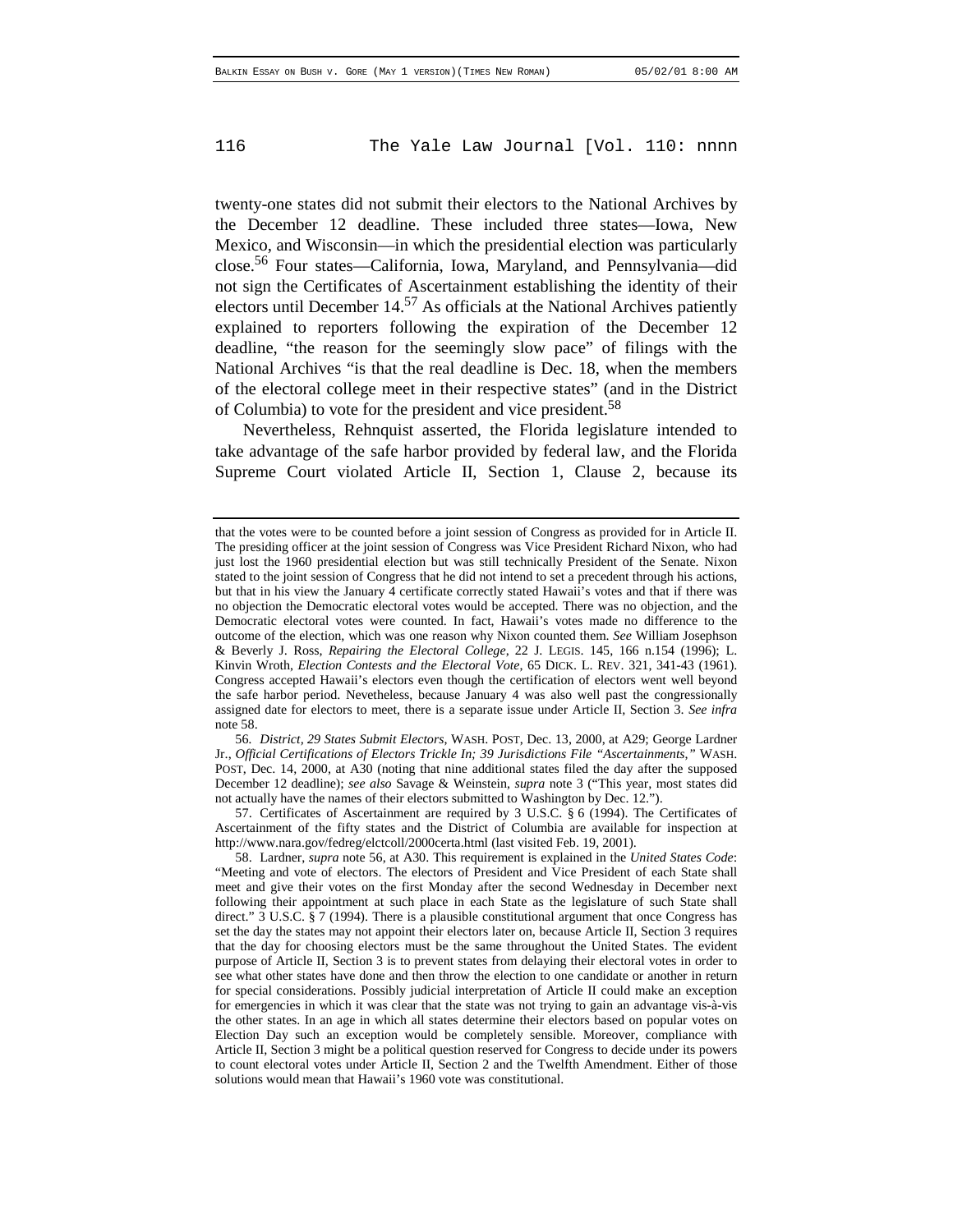twenty-one states did not submit their electors to the National Archives by the December 12 deadline. These included three states—Iowa, New Mexico, and Wisconsin—in which the presidential election was particularly close.56 Four states—California, Iowa, Maryland, and Pennsylvania—did not sign the Certificates of Ascertainment establishing the identity of their electors until December  $14<sup>57</sup>$  As officials at the National Archives patiently explained to reporters following the expiration of the December 12 deadline, "the reason for the seemingly slow pace" of filings with the National Archives "is that the real deadline is Dec. 18, when the members of the electoral college meet in their respective states" (and in the District of Columbia) to vote for the president and vice president.<sup>58</sup>

Nevertheless, Rehnquist asserted, the Florida legislature intended to take advantage of the safe harbor provided by federal law, and the Florida Supreme Court violated Article II, Section 1, Clause 2, because its

56*. District, 29 States Submit Electors*, WASH. POST, Dec. 13, 2000, at A29; George Lardner Jr., *Official Certifications of Electors Trickle In; 39 Jurisdictions File "Ascertainments*,*"* WASH. POST, Dec. 14, 2000, at A30 (noting that nine additional states filed the day after the supposed December 12 deadline); *see also* Savage & Weinstein, *supra* note 3 ("This year, most states did not actually have the names of their electors submitted to Washington by Dec. 12.").

57. Certificates of Ascertainment are required by 3 U.S.C. § 6 (1994). The Certificates of Ascertainment of the fifty states and the District of Columbia are available for inspection at http://www.nara.gov/fedreg/elctcoll/2000certa.html (last visited Feb. 19, 2001).

that the votes were to be counted before a joint session of Congress as provided for in Article II. The presiding officer at the joint session of Congress was Vice President Richard Nixon, who had just lost the 1960 presidential election but was still technically President of the Senate. Nixon stated to the joint session of Congress that he did not intend to set a precedent through his actions, but that in his view the January 4 certificate correctly stated Hawaii's votes and that if there was no objection the Democratic electoral votes would be accepted. There was no objection, and the Democratic electoral votes were counted. In fact, Hawaii's votes made no difference to the outcome of the election, which was one reason why Nixon counted them. *See* William Josephson & Beverly J. Ross, *Repairing the Electoral College*, 22 J. LEGIS. 145, 166 n.154 (1996); L. Kinvin Wroth, *Election Contests and the Electoral Vote*, 65 DICK. L. REV. 321, 341-43 (1961). Congress accepted Hawaii's electors even though the certification of electors went well beyond the safe harbor period. Nevetheless, because January 4 was also well past the congressionally assigned date for electors to meet, there is a separate issue under Article II, Section 3. *See infra* note 58.

<sup>58.</sup> Lardner, *supra* note 56, at A30. This requirement is explained in the *United States Code*: "Meeting and vote of electors. The electors of President and Vice President of each State shall meet and give their votes on the first Monday after the second Wednesday in December next following their appointment at such place in each State as the legislature of such State shall direct." 3 U.S.C. § 7 (1994). There is a plausible constitutional argument that once Congress has set the day the states may not appoint their electors later on, because Article II, Section 3 requires that the day for choosing electors must be the same throughout the United States. The evident purpose of Article II, Section 3 is to prevent states from delaying their electoral votes in order to see what other states have done and then throw the election to one candidate or another in return for special considerations. Possibly judicial interpretation of Article II could make an exception for emergencies in which it was clear that the state was not trying to gain an advantage vis-à-vis the other states. In an age in which all states determine their electors based on popular votes on Election Day such an exception would be completely sensible. Moreover, compliance with Article II, Section 3 might be a political question reserved for Congress to decide under its powers to count electoral votes under Article II, Section 2 and the Twelfth Amendment. Either of those solutions would mean that Hawaii's 1960 vote was constitutional.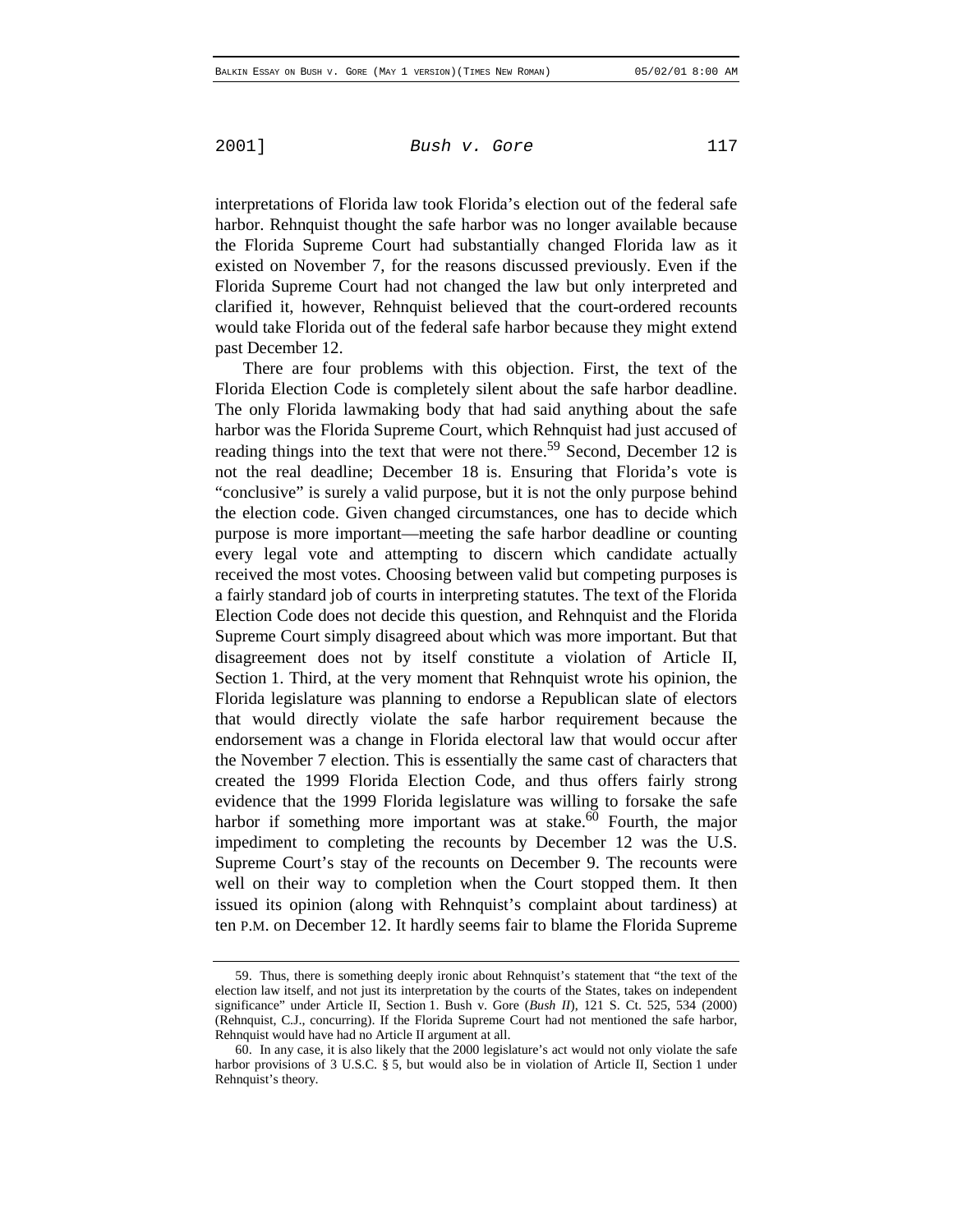interpretations of Florida law took Florida's election out of the federal safe harbor. Rehnquist thought the safe harbor was no longer available because the Florida Supreme Court had substantially changed Florida law as it existed on November 7, for the reasons discussed previously. Even if the Florida Supreme Court had not changed the law but only interpreted and clarified it, however, Rehnquist believed that the court-ordered recounts would take Florida out of the federal safe harbor because they might extend past December 12.

There are four problems with this objection. First, the text of the Florida Election Code is completely silent about the safe harbor deadline. The only Florida lawmaking body that had said anything about the safe harbor was the Florida Supreme Court, which Rehnquist had just accused of reading things into the text that were not there.<sup>59</sup> Second, December 12 is not the real deadline; December 18 is. Ensuring that Florida's vote is "conclusive" is surely a valid purpose, but it is not the only purpose behind the election code. Given changed circumstances, one has to decide which purpose is more important—meeting the safe harbor deadline or counting every legal vote and attempting to discern which candidate actually received the most votes. Choosing between valid but competing purposes is a fairly standard job of courts in interpreting statutes. The text of the Florida Election Code does not decide this question, and Rehnquist and the Florida Supreme Court simply disagreed about which was more important. But that disagreement does not by itself constitute a violation of Article II, Section 1. Third, at the very moment that Rehnquist wrote his opinion, the Florida legislature was planning to endorse a Republican slate of electors that would directly violate the safe harbor requirement because the endorsement was a change in Florida electoral law that would occur after the November 7 election. This is essentially the same cast of characters that created the 1999 Florida Election Code, and thus offers fairly strong evidence that the 1999 Florida legislature was willing to forsake the safe harbor if something more important was at stake.<sup>60</sup> Fourth, the major impediment to completing the recounts by December 12 was the U.S. Supreme Court's stay of the recounts on December 9. The recounts were well on their way to completion when the Court stopped them. It then issued its opinion (along with Rehnquist's complaint about tardiness) at ten P.M. on December 12. It hardly seems fair to blame the Florida Supreme

<sup>59.</sup> Thus, there is something deeply ironic about Rehnquist's statement that "the text of the election law itself, and not just its interpretation by the courts of the States, takes on independent significance" under Article II, Section 1. Bush v. Gore (*Bush II*), 121 S. Ct. 525, 534 (2000) (Rehnquist, C.J., concurring). If the Florida Supreme Court had not mentioned the safe harbor, Rehnquist would have had no Article II argument at all.

<sup>60.</sup> In any case, it is also likely that the 2000 legislature's act would not only violate the safe harbor provisions of 3 U.S.C. § 5, but would also be in violation of Article II, Section 1 under Rehnquist's theory.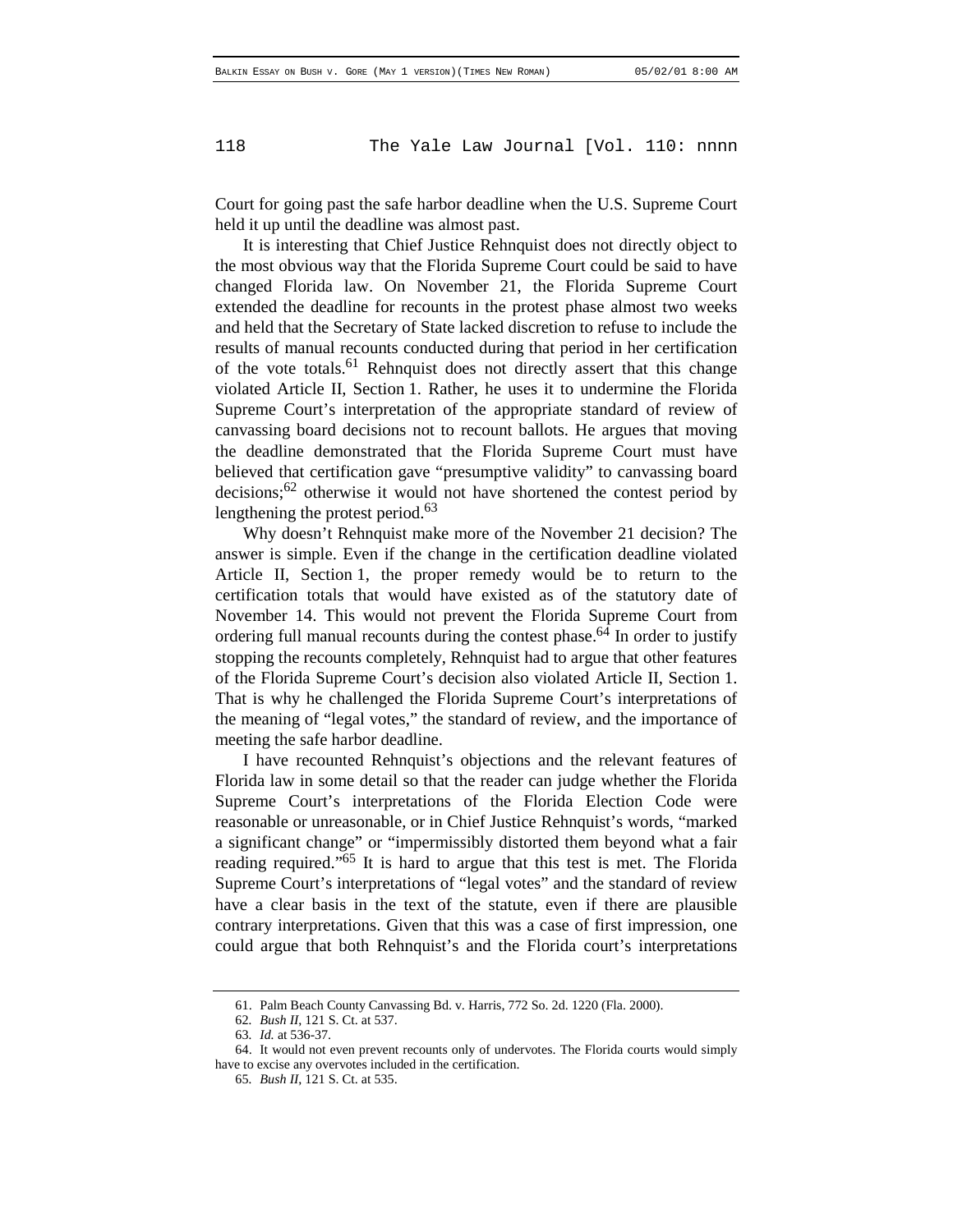Court for going past the safe harbor deadline when the U.S. Supreme Court held it up until the deadline was almost past.

It is interesting that Chief Justice Rehnquist does not directly object to the most obvious way that the Florida Supreme Court could be said to have changed Florida law. On November 21, the Florida Supreme Court extended the deadline for recounts in the protest phase almost two weeks and held that the Secretary of State lacked discretion to refuse to include the results of manual recounts conducted during that period in her certification of the vote totals.<sup>61</sup> Rehnquist does not directly assert that this change violated Article II, Section 1. Rather, he uses it to undermine the Florida Supreme Court's interpretation of the appropriate standard of review of canvassing board decisions not to recount ballots. He argues that moving the deadline demonstrated that the Florida Supreme Court must have believed that certification gave "presumptive validity" to canvassing board decisions; $62$  otherwise it would not have shortened the contest period by lengthening the protest period.<sup>63</sup>

Why doesn't Rehnquist make more of the November 21 decision? The answer is simple. Even if the change in the certification deadline violated Article II, Section 1, the proper remedy would be to return to the certification totals that would have existed as of the statutory date of November 14. This would not prevent the Florida Supreme Court from ordering full manual recounts during the contest phase.<sup>64</sup> In order to justify stopping the recounts completely, Rehnquist had to argue that other features of the Florida Supreme Court's decision also violated Article II, Section 1. That is why he challenged the Florida Supreme Court's interpretations of the meaning of "legal votes," the standard of review, and the importance of meeting the safe harbor deadline.

I have recounted Rehnquist's objections and the relevant features of Florida law in some detail so that the reader can judge whether the Florida Supreme Court's interpretations of the Florida Election Code were reasonable or unreasonable, or in Chief Justice Rehnquist's words, "marked a significant change" or "impermissibly distorted them beyond what a fair reading required."65 It is hard to argue that this test is met. The Florida Supreme Court's interpretations of "legal votes" and the standard of review have a clear basis in the text of the statute, even if there are plausible contrary interpretations. Given that this was a case of first impression, one could argue that both Rehnquist's and the Florida court's interpretations

<sup>61.</sup> Palm Beach County Canvassing Bd. v. Harris, 772 So. 2d. 1220 (Fla. 2000).

<sup>62</sup>*. Bush II*, 121 S. Ct. at 537.

<sup>63</sup>*. Id.* at 536-37.

<sup>64.</sup> It would not even prevent recounts only of undervotes. The Florida courts would simply have to excise any overvotes included in the certification.

<sup>65</sup>*. Bush II*, 121 S. Ct. at 535.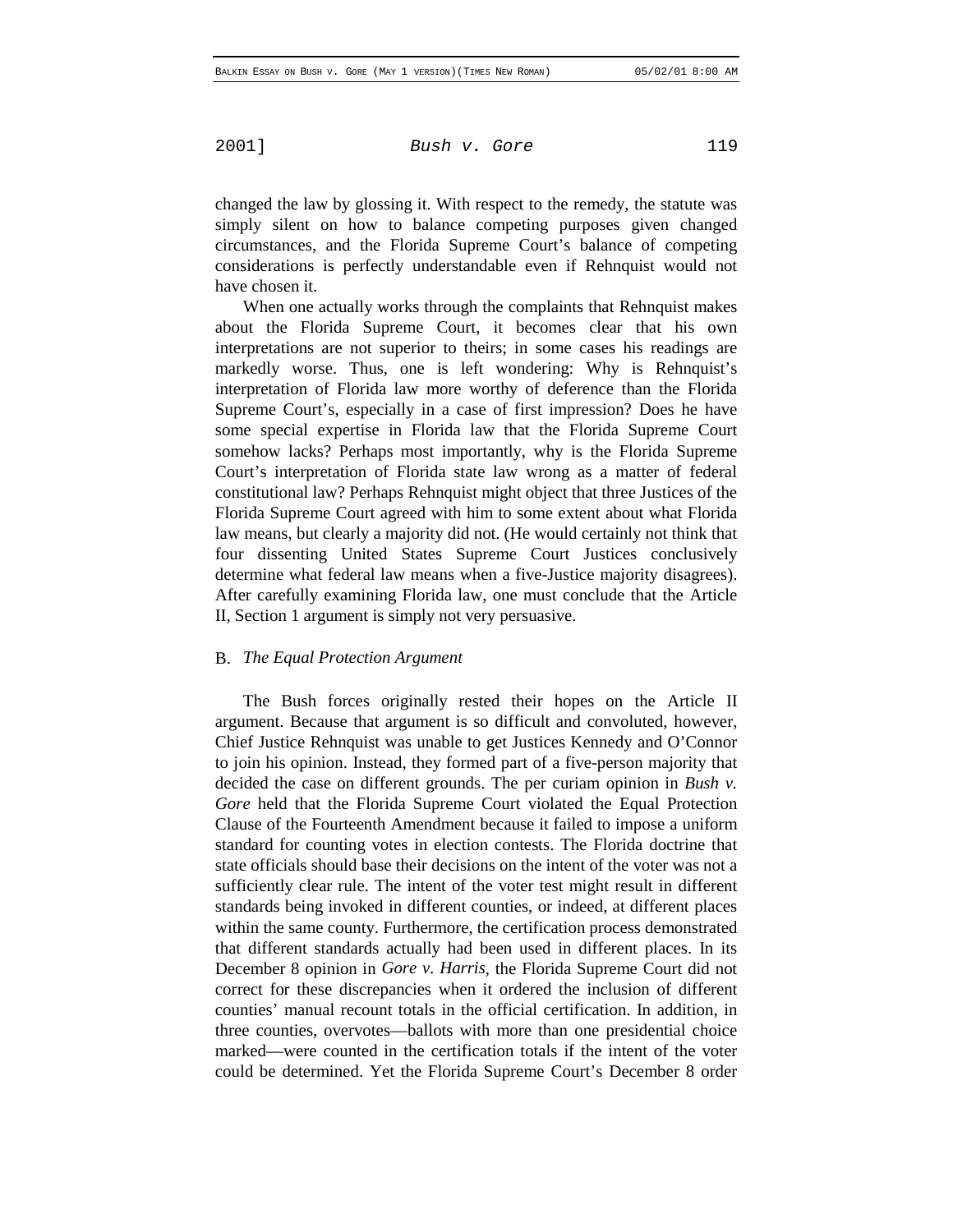changed the law by glossing it. With respect to the remedy, the statute was simply silent on how to balance competing purposes given changed circumstances, and the Florida Supreme Court's balance of competing considerations is perfectly understandable even if Rehnquist would not have chosen it.

When one actually works through the complaints that Rehnquist makes about the Florida Supreme Court, it becomes clear that his own interpretations are not superior to theirs; in some cases his readings are markedly worse. Thus, one is left wondering: Why is Rehnquist's interpretation of Florida law more worthy of deference than the Florida Supreme Court's, especially in a case of first impression? Does he have some special expertise in Florida law that the Florida Supreme Court somehow lacks? Perhaps most importantly, why is the Florida Supreme Court's interpretation of Florida state law wrong as a matter of federal constitutional law? Perhaps Rehnquist might object that three Justices of the Florida Supreme Court agreed with him to some extent about what Florida law means, but clearly a majority did not. (He would certainly not think that four dissenting United States Supreme Court Justices conclusively determine what federal law means when a five-Justice majority disagrees). After carefully examining Florida law, one must conclude that the Article II, Section 1 argument is simply not very persuasive.

### B. *The Equal Protection Argument*

The Bush forces originally rested their hopes on the Article II argument. Because that argument is so difficult and convoluted, however, Chief Justice Rehnquist was unable to get Justices Kennedy and O'Connor to join his opinion. Instead, they formed part of a five-person majority that decided the case on different grounds. The per curiam opinion in *Bush v. Gore* held that the Florida Supreme Court violated the Equal Protection Clause of the Fourteenth Amendment because it failed to impose a uniform standard for counting votes in election contests. The Florida doctrine that state officials should base their decisions on the intent of the voter was not a sufficiently clear rule. The intent of the voter test might result in different standards being invoked in different counties, or indeed, at different places within the same county. Furthermore, the certification process demonstrated that different standards actually had been used in different places. In its December 8 opinion in *Gore v. Harris*, the Florida Supreme Court did not correct for these discrepancies when it ordered the inclusion of different counties' manual recount totals in the official certification. In addition, in three counties, overvotes—ballots with more than one presidential choice marked—were counted in the certification totals if the intent of the voter could be determined. Yet the Florida Supreme Court's December 8 order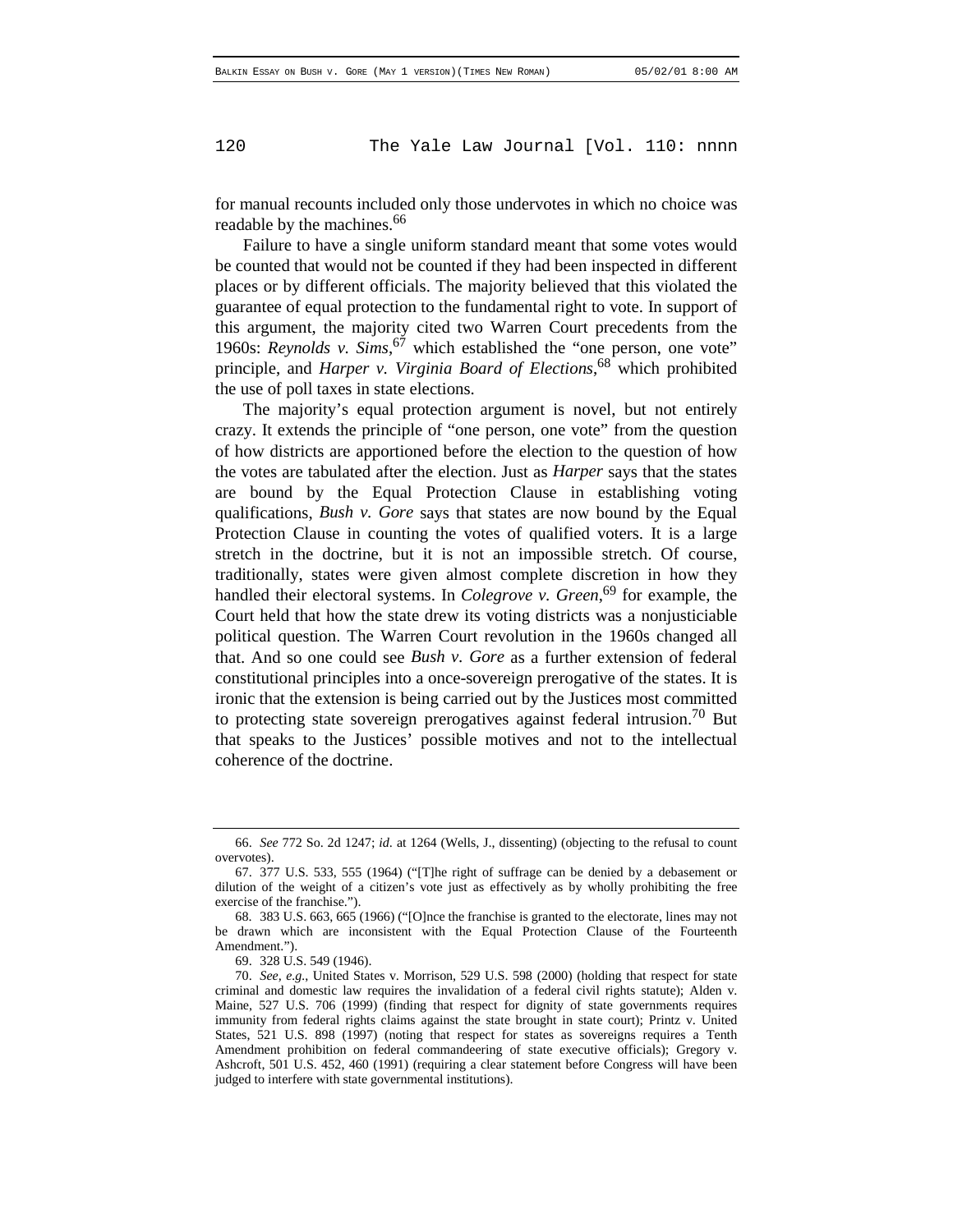for manual recounts included only those undervotes in which no choice was readable by the machines.<sup>66</sup>

Failure to have a single uniform standard meant that some votes would be counted that would not be counted if they had been inspected in different places or by different officials. The majority believed that this violated the guarantee of equal protection to the fundamental right to vote. In support of this argument, the majority cited two Warren Court precedents from the 1960s: *Reynolds v. Sims*, 67 which established the "one person, one vote" principle, and *Harper v. Virginia Board of Elections*, 68 which prohibited the use of poll taxes in state elections.

The majority's equal protection argument is novel, but not entirely crazy. It extends the principle of "one person, one vote" from the question of how districts are apportioned before the election to the question of how the votes are tabulated after the election. Just as *Harper* says that the states are bound by the Equal Protection Clause in establishing voting qualifications, *Bush v. Gore* says that states are now bound by the Equal Protection Clause in counting the votes of qualified voters. It is a large stretch in the doctrine, but it is not an impossible stretch. Of course, traditionally, states were given almost complete discretion in how they handled their electoral systems. In *Colegrove v. Green*, 69 for example, the Court held that how the state drew its voting districts was a nonjusticiable political question. The Warren Court revolution in the 1960s changed all that. And so one could see *Bush v. Gore* as a further extension of federal constitutional principles into a once-sovereign prerogative of the states. It is ironic that the extension is being carried out by the Justices most committed to protecting state sovereign prerogatives against federal intrusion.<sup>70</sup> But that speaks to the Justices' possible motives and not to the intellectual coherence of the doctrine.

<sup>66.</sup> *See* 772 So. 2d 1247; *id*. at 1264 (Wells, J., dissenting) (objecting to the refusal to count overvotes).

<sup>67. 377</sup> U.S. 533, 555 (1964) ("[T]he right of suffrage can be denied by a debasement or dilution of the weight of a citizen's vote just as effectively as by wholly prohibiting the free exercise of the franchise.").

<sup>68. 383</sup> U.S. 663, 665 (1966) ("[O]nce the franchise is granted to the electorate, lines may not be drawn which are inconsistent with the Equal Protection Clause of the Fourteenth Amendment.").

<sup>69. 328</sup> U.S. 549 (1946).

<sup>70.</sup> *See, e.g.*, United States v. Morrison, 529 U.S. 598 (2000) (holding that respect for state criminal and domestic law requires the invalidation of a federal civil rights statute); Alden v. Maine, 527 U.S. 706 (1999) (finding that respect for dignity of state governments requires immunity from federal rights claims against the state brought in state court); Printz v. United States, 521 U.S. 898 (1997) (noting that respect for states as sovereigns requires a Tenth Amendment prohibition on federal commandeering of state executive officials); Gregory v. Ashcroft, 501 U.S. 452, 460 (1991) (requiring a clear statement before Congress will have been judged to interfere with state governmental institutions).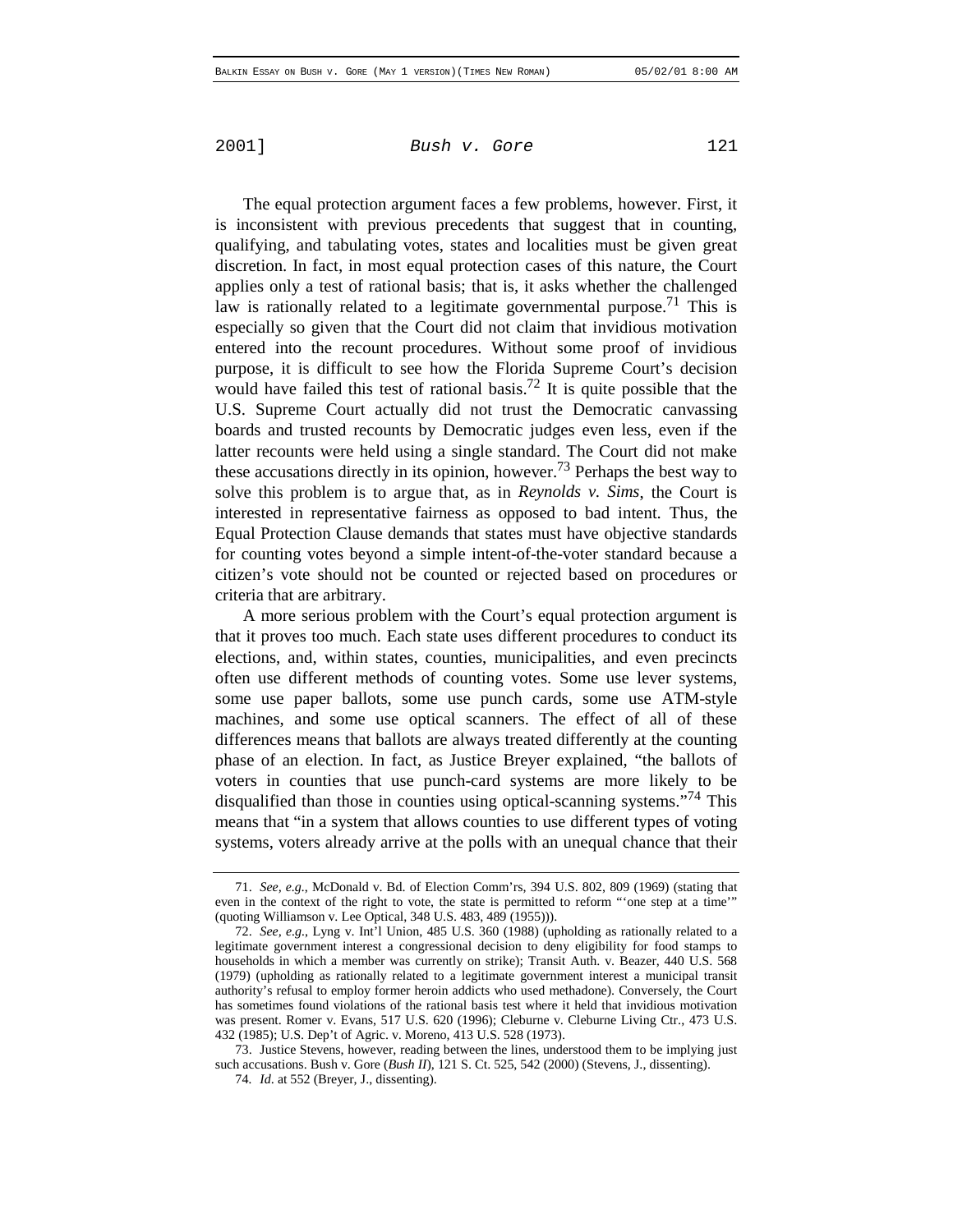The equal protection argument faces a few problems, however. First, it is inconsistent with previous precedents that suggest that in counting, qualifying, and tabulating votes, states and localities must be given great discretion. In fact, in most equal protection cases of this nature, the Court applies only a test of rational basis; that is, it asks whether the challenged law is rationally related to a legitimate governmental purpose.<sup>71</sup> This is especially so given that the Court did not claim that invidious motivation entered into the recount procedures. Without some proof of invidious purpose, it is difficult to see how the Florida Supreme Court's decision would have failed this test of rational basis.<sup>72</sup> It is quite possible that the U.S. Supreme Court actually did not trust the Democratic canvassing boards and trusted recounts by Democratic judges even less, even if the latter recounts were held using a single standard. The Court did not make these accusations directly in its opinion, however.<sup>73</sup> Perhaps the best way to solve this problem is to argue that, as in *Reynolds v. Sims*, the Court is interested in representative fairness as opposed to bad intent. Thus, the Equal Protection Clause demands that states must have objective standards for counting votes beyond a simple intent-of-the-voter standard because a citizen's vote should not be counted or rejected based on procedures or criteria that are arbitrary.

A more serious problem with the Court's equal protection argument is that it proves too much. Each state uses different procedures to conduct its elections, and, within states, counties, municipalities, and even precincts often use different methods of counting votes. Some use lever systems, some use paper ballots, some use punch cards, some use ATM-style machines, and some use optical scanners. The effect of all of these differences means that ballots are always treated differently at the counting phase of an election. In fact, as Justice Breyer explained, "the ballots of voters in counties that use punch-card systems are more likely to be disqualified than those in counties using optical-scanning systems.<sup>"74</sup> This means that "in a system that allows counties to use different types of voting systems, voters already arrive at the polls with an unequal chance that their

73. Justice Stevens, however, reading between the lines, understood them to be implying just such accusations. Bush v. Gore (*Bush II*), 121 S. Ct. 525, 542 (2000) (Stevens, J., dissenting).

<sup>71.</sup> *See, e.g.*, McDonald v. Bd. of Election Comm'rs, 394 U.S. 802, 809 (1969) (stating that even in the context of the right to vote, the state is permitted to reform "'one step at a time'" (quoting Williamson v. Lee Optical, 348 U.S. 483, 489 (1955))).

<sup>72.</sup> *See, e.g.*, Lyng v. Int'l Union, 485 U.S. 360 (1988) (upholding as rationally related to a legitimate government interest a congressional decision to deny eligibility for food stamps to households in which a member was currently on strike); Transit Auth. v. Beazer, 440 U.S. 568 (1979) (upholding as rationally related to a legitimate government interest a municipal transit authority's refusal to employ former heroin addicts who used methadone). Conversely, the Court has sometimes found violations of the rational basis test where it held that invidious motivation was present. Romer v. Evans, 517 U.S. 620 (1996); Cleburne v. Cleburne Living Ctr., 473 U.S. 432 (1985); U.S. Dep't of Agric. v. Moreno, 413 U.S. 528 (1973).

<sup>74</sup>*. Id*. at 552 (Breyer, J., dissenting).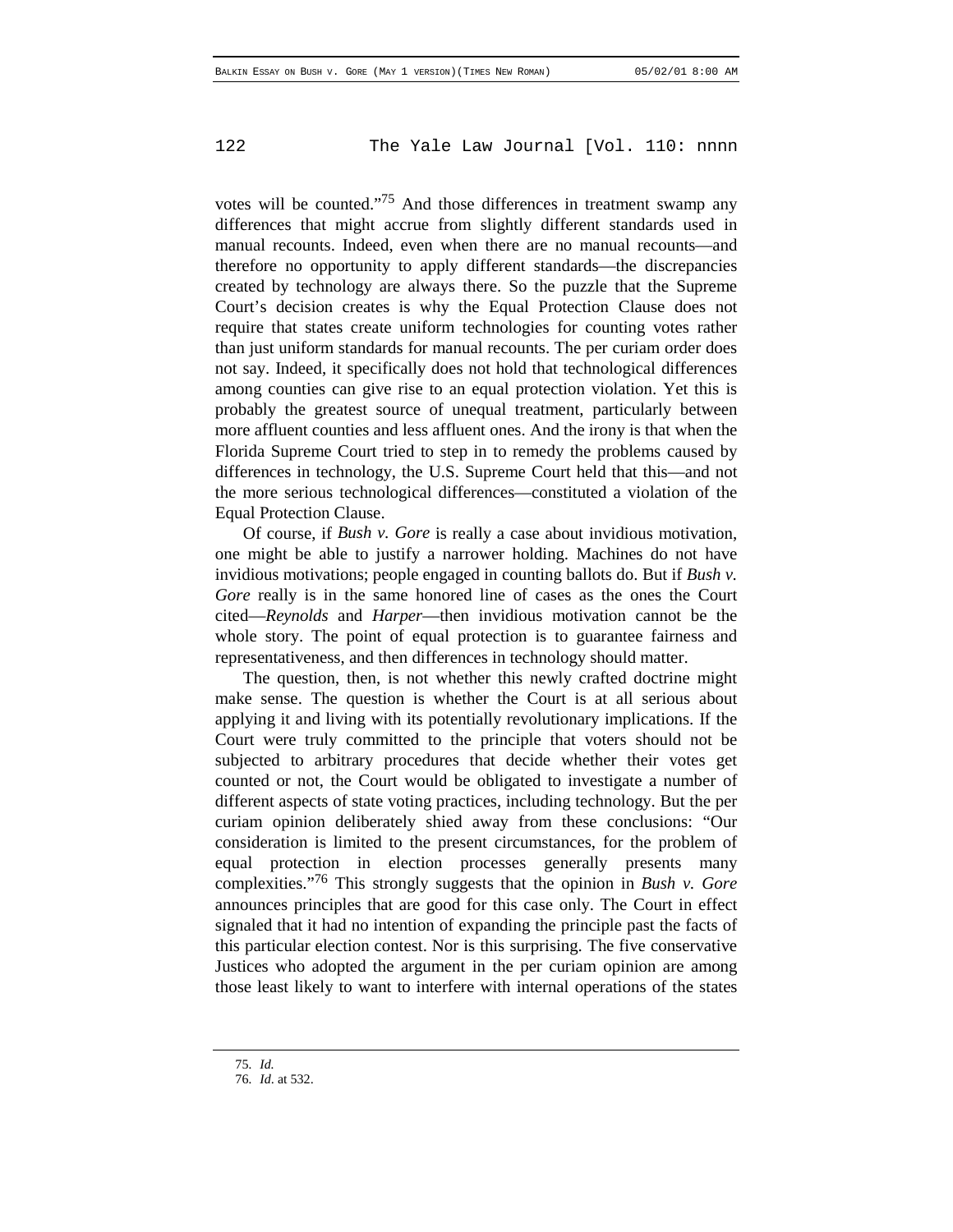votes will be counted."75 And those differences in treatment swamp any differences that might accrue from slightly different standards used in manual recounts. Indeed, even when there are no manual recounts—and therefore no opportunity to apply different standards—the discrepancies created by technology are always there. So the puzzle that the Supreme Court's decision creates is why the Equal Protection Clause does not require that states create uniform technologies for counting votes rather than just uniform standards for manual recounts. The per curiam order does not say. Indeed, it specifically does not hold that technological differences among counties can give rise to an equal protection violation. Yet this is probably the greatest source of unequal treatment, particularly between more affluent counties and less affluent ones. And the irony is that when the Florida Supreme Court tried to step in to remedy the problems caused by differences in technology, the U.S. Supreme Court held that this—and not the more serious technological differences—constituted a violation of the Equal Protection Clause.

Of course, if *Bush v. Gore* is really a case about invidious motivation, one might be able to justify a narrower holding. Machines do not have invidious motivations; people engaged in counting ballots do. But if *Bush v. Gore* really is in the same honored line of cases as the ones the Court cited—*Reynolds* and *Harper*—then invidious motivation cannot be the whole story. The point of equal protection is to guarantee fairness and representativeness, and then differences in technology should matter.

The question, then, is not whether this newly crafted doctrine might make sense. The question is whether the Court is at all serious about applying it and living with its potentially revolutionary implications. If the Court were truly committed to the principle that voters should not be subjected to arbitrary procedures that decide whether their votes get counted or not, the Court would be obligated to investigate a number of different aspects of state voting practices, including technology. But the per curiam opinion deliberately shied away from these conclusions: "Our consideration is limited to the present circumstances, for the problem of equal protection in election processes generally presents many complexities."76 This strongly suggests that the opinion in *Bush v. Gore* announces principles that are good for this case only. The Court in effect signaled that it had no intention of expanding the principle past the facts of this particular election contest. Nor is this surprising. The five conservative Justices who adopted the argument in the per curiam opinion are among those least likely to want to interfere with internal operations of the states

<sup>75</sup>*. Id.*

<sup>76</sup>*. Id*. at 532.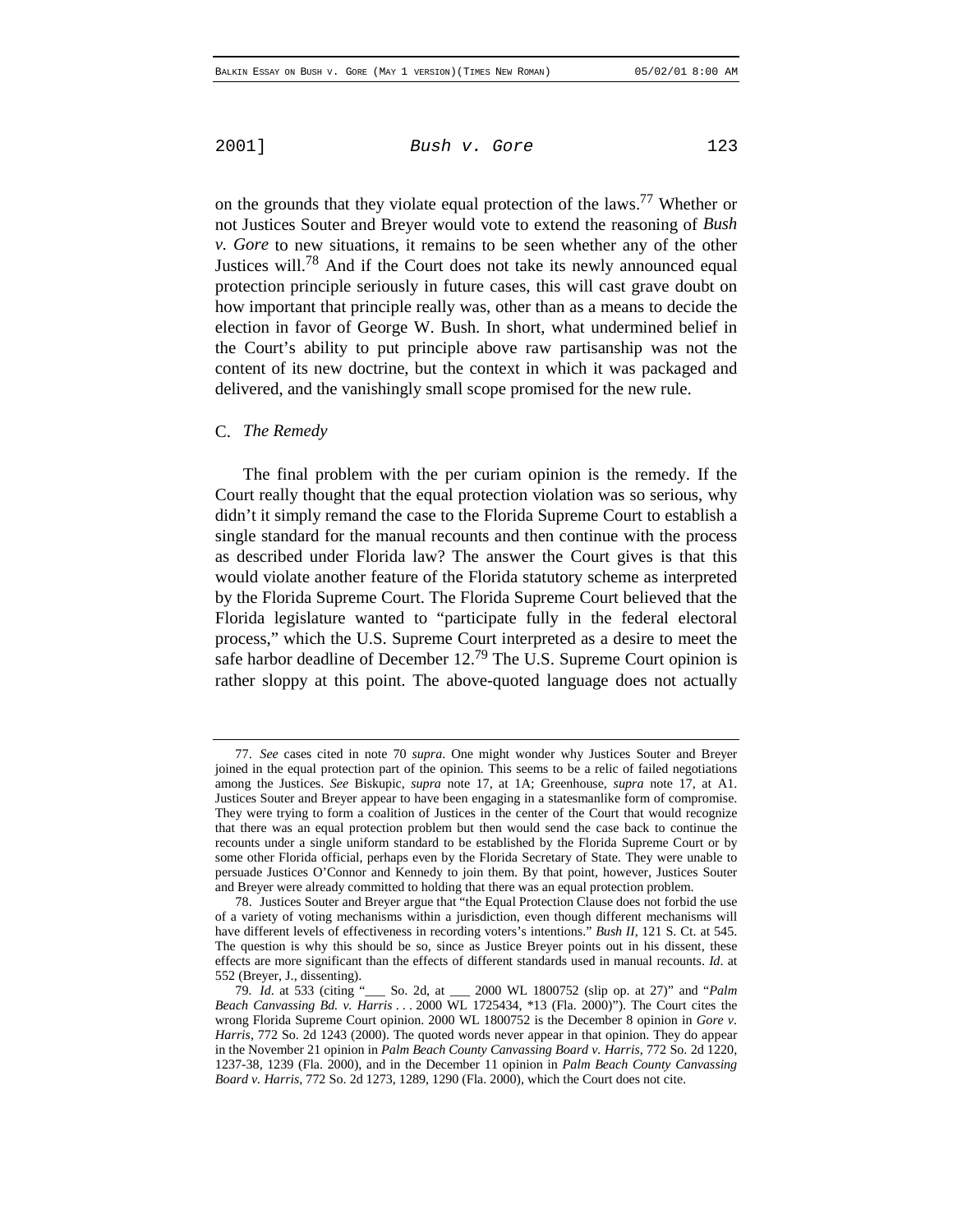on the grounds that they violate equal protection of the laws.<sup>77</sup> Whether or not Justices Souter and Breyer would vote to extend the reasoning of *Bush v. Gore* to new situations, it remains to be seen whether any of the other Justices will.<sup>78</sup> And if the Court does not take its newly announced equal protection principle seriously in future cases, this will cast grave doubt on how important that principle really was, other than as a means to decide the election in favor of George W. Bush. In short, what undermined belief in the Court's ability to put principle above raw partisanship was not the content of its new doctrine, but the context in which it was packaged and delivered, and the vanishingly small scope promised for the new rule.

#### C. *The Remedy*

The final problem with the per curiam opinion is the remedy. If the Court really thought that the equal protection violation was so serious, why didn't it simply remand the case to the Florida Supreme Court to establish a single standard for the manual recounts and then continue with the process as described under Florida law? The answer the Court gives is that this would violate another feature of the Florida statutory scheme as interpreted by the Florida Supreme Court. The Florida Supreme Court believed that the Florida legislature wanted to "participate fully in the federal electoral process," which the U.S. Supreme Court interpreted as a desire to meet the safe harbor deadline of December  $12<sup>79</sup>$  The U.S. Supreme Court opinion is rather sloppy at this point. The above-quoted language does not actually

<sup>77.</sup> *See* cases cited in note 70 *supra*. One might wonder why Justices Souter and Breyer joined in the equal protection part of the opinion. This seems to be a relic of failed negotiations among the Justices. *See* Biskupic, *supra* note 17, at 1A; Greenhouse, *supra* note 17, at A1. Justices Souter and Breyer appear to have been engaging in a statesmanlike form of compromise. They were trying to form a coalition of Justices in the center of the Court that would recognize that there was an equal protection problem but then would send the case back to continue the recounts under a single uniform standard to be established by the Florida Supreme Court or by some other Florida official, perhaps even by the Florida Secretary of State. They were unable to persuade Justices O'Connor and Kennedy to join them. By that point, however, Justices Souter and Breyer were already committed to holding that there was an equal protection problem.

<sup>78.</sup> Justices Souter and Breyer argue that "the Equal Protection Clause does not forbid the use of a variety of voting mechanisms within a jurisdiction, even though different mechanisms will have different levels of effectiveness in recording voters's intentions." *Bush II*, 121 S. Ct. at 545. The question is why this should be so, since as Justice Breyer points out in his dissent, these effects are more significant than the effects of different standards used in manual recounts. *Id*. at 552 (Breyer, J., dissenting).<br>79. *Id.* at 533 (citing "

<sup>79</sup>*. Id*. at 533 (citing "\_\_\_ So. 2d, at \_\_\_ 2000 WL 1800752 (slip op. at 27)" and "*Palm Beach Canvassing Bd. v. Harris* . . . 2000 WL 1725434, \*13 (Fla. 2000)"). The Court cites the wrong Florida Supreme Court opinion. 2000 WL 1800752 is the December 8 opinion in *Gore v. Harris*, 772 So. 2d 1243 (2000). The quoted words never appear in that opinion. They do appear in the November 21 opinion in *Palm Beach County Canvassing Board v. Harris*, 772 So. 2d 1220, 1237-38, 1239 (Fla. 2000), and in the December 11 opinion in *Palm Beach County Canvassing Board v. Harris*, 772 So. 2d 1273, 1289, 1290 (Fla. 2000), which the Court does not cite.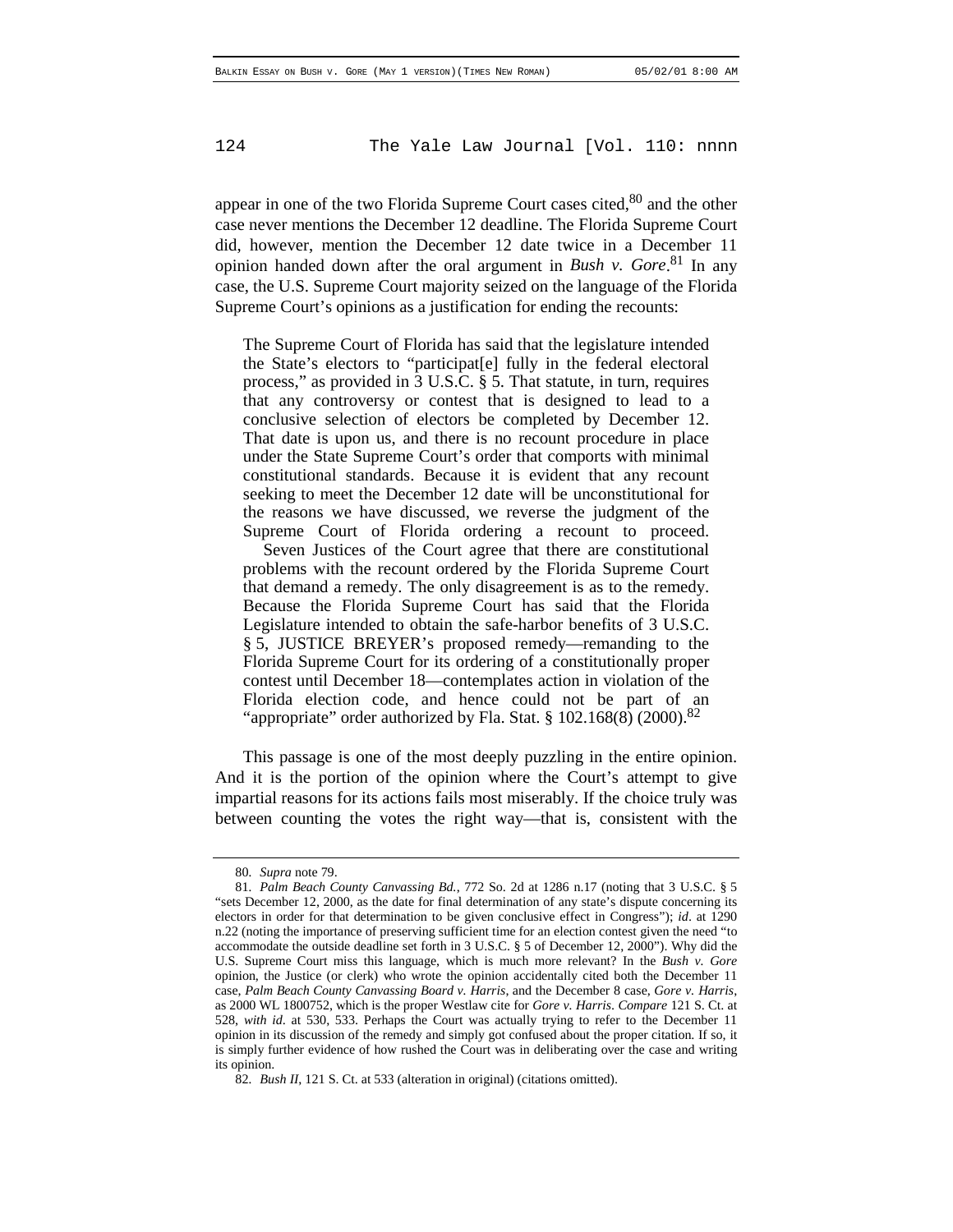appear in one of the two Florida Supreme Court cases cited,  $80$  and the other case never mentions the December 12 deadline. The Florida Supreme Court did, however, mention the December 12 date twice in a December 11 opinion handed down after the oral argument in *Bush v. Gore*. 81 In any case, the U.S. Supreme Court majority seized on the language of the Florida Supreme Court's opinions as a justification for ending the recounts:

The Supreme Court of Florida has said that the legislature intended the State's electors to "participat[e] fully in the federal electoral process," as provided in 3 U.S.C. § 5. That statute, in turn, requires that any controversy or contest that is designed to lead to a conclusive selection of electors be completed by December 12. That date is upon us, and there is no recount procedure in place under the State Supreme Court's order that comports with minimal constitutional standards. Because it is evident that any recount seeking to meet the December 12 date will be unconstitutional for the reasons we have discussed, we reverse the judgment of the Supreme Court of Florida ordering a recount to proceed.

Seven Justices of the Court agree that there are constitutional problems with the recount ordered by the Florida Supreme Court that demand a remedy. The only disagreement is as to the remedy. Because the Florida Supreme Court has said that the Florida Legislature intended to obtain the safe-harbor benefits of 3 U.S.C. § 5, JUSTICE BREYER's proposed remedy—remanding to the Florida Supreme Court for its ordering of a constitutionally proper contest until December 18—contemplates action in violation of the Florida election code, and hence could not be part of an "appropriate" order authorized by Fla. Stat.  $\S 102.168(8)$  (2000).<sup>82</sup>

This passage is one of the most deeply puzzling in the entire opinion. And it is the portion of the opinion where the Court's attempt to give impartial reasons for its actions fails most miserably. If the choice truly was between counting the votes the right way—that is, consistent with the

<sup>80</sup>*. Supra* note 79.

<sup>81</sup>*. Palm Beach County Canvassing Bd.*, 772 So. 2d at 1286 n.17 (noting that 3 U.S.C. § 5 "sets December 12, 2000, as the date for final determination of any state's dispute concerning its electors in order for that determination to be given conclusive effect in Congress"); *id*. at 1290 n.22 (noting the importance of preserving sufficient time for an election contest given the need "to accommodate the outside deadline set forth in 3 U.S.C. § 5 of December 12, 2000"). Why did the U.S. Supreme Court miss this language, which is much more relevant? In the *Bush v. Gore* opinion, the Justice (or clerk) who wrote the opinion accidentally cited both the December 11 case, *Palm Beach County Canvassing Board v. Harris*, and the December 8 case, *Gore v. Harris*, as 2000 WL 1800752, which is the proper Westlaw cite for *Gore v. Harris*. *Compare* 121 S. Ct. at 528, *with id*. at 530, 533. Perhaps the Court was actually trying to refer to the December 11 opinion in its discussion of the remedy and simply got confused about the proper citation. If so, it is simply further evidence of how rushed the Court was in deliberating over the case and writing its opinion.

<sup>82</sup>*. Bush II*, 121 S. Ct. at 533 (alteration in original) (citations omitted).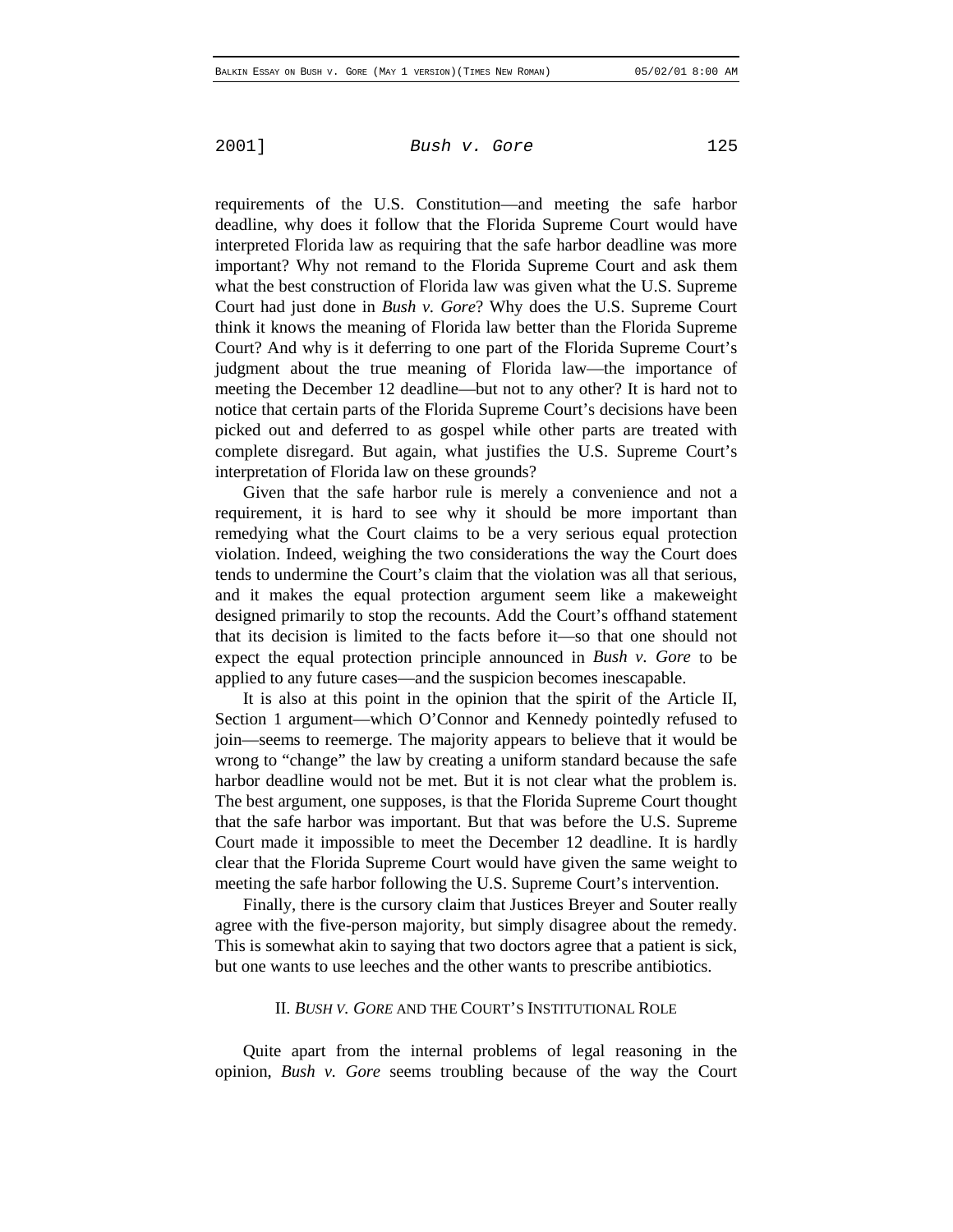requirements of the U.S. Constitution—and meeting the safe harbor deadline, why does it follow that the Florida Supreme Court would have interpreted Florida law as requiring that the safe harbor deadline was more important? Why not remand to the Florida Supreme Court and ask them what the best construction of Florida law was given what the U.S. Supreme Court had just done in *Bush v. Gore*? Why does the U.S. Supreme Court think it knows the meaning of Florida law better than the Florida Supreme Court? And why is it deferring to one part of the Florida Supreme Court's judgment about the true meaning of Florida law—the importance of meeting the December 12 deadline—but not to any other? It is hard not to notice that certain parts of the Florida Supreme Court's decisions have been picked out and deferred to as gospel while other parts are treated with complete disregard. But again, what justifies the U.S. Supreme Court's interpretation of Florida law on these grounds?

Given that the safe harbor rule is merely a convenience and not a requirement, it is hard to see why it should be more important than remedying what the Court claims to be a very serious equal protection violation. Indeed, weighing the two considerations the way the Court does tends to undermine the Court's claim that the violation was all that serious, and it makes the equal protection argument seem like a makeweight designed primarily to stop the recounts. Add the Court's offhand statement that its decision is limited to the facts before it—so that one should not expect the equal protection principle announced in *Bush v. Gore* to be applied to any future cases—and the suspicion becomes inescapable.

It is also at this point in the opinion that the spirit of the Article II, Section 1 argument—which O'Connor and Kennedy pointedly refused to join—seems to reemerge. The majority appears to believe that it would be wrong to "change" the law by creating a uniform standard because the safe harbor deadline would not be met. But it is not clear what the problem is. The best argument, one supposes, is that the Florida Supreme Court thought that the safe harbor was important. But that was before the U.S. Supreme Court made it impossible to meet the December 12 deadline. It is hardly clear that the Florida Supreme Court would have given the same weight to meeting the safe harbor following the U.S. Supreme Court's intervention.

Finally, there is the cursory claim that Justices Breyer and Souter really agree with the five-person majority, but simply disagree about the remedy. This is somewhat akin to saying that two doctors agree that a patient is sick, but one wants to use leeches and the other wants to prescribe antibiotics.

#### II. *BUSH V. GORE* AND THE COURT'S INSTITUTIONAL ROLE

Quite apart from the internal problems of legal reasoning in the opinion, *Bush v. Gore* seems troubling because of the way the Court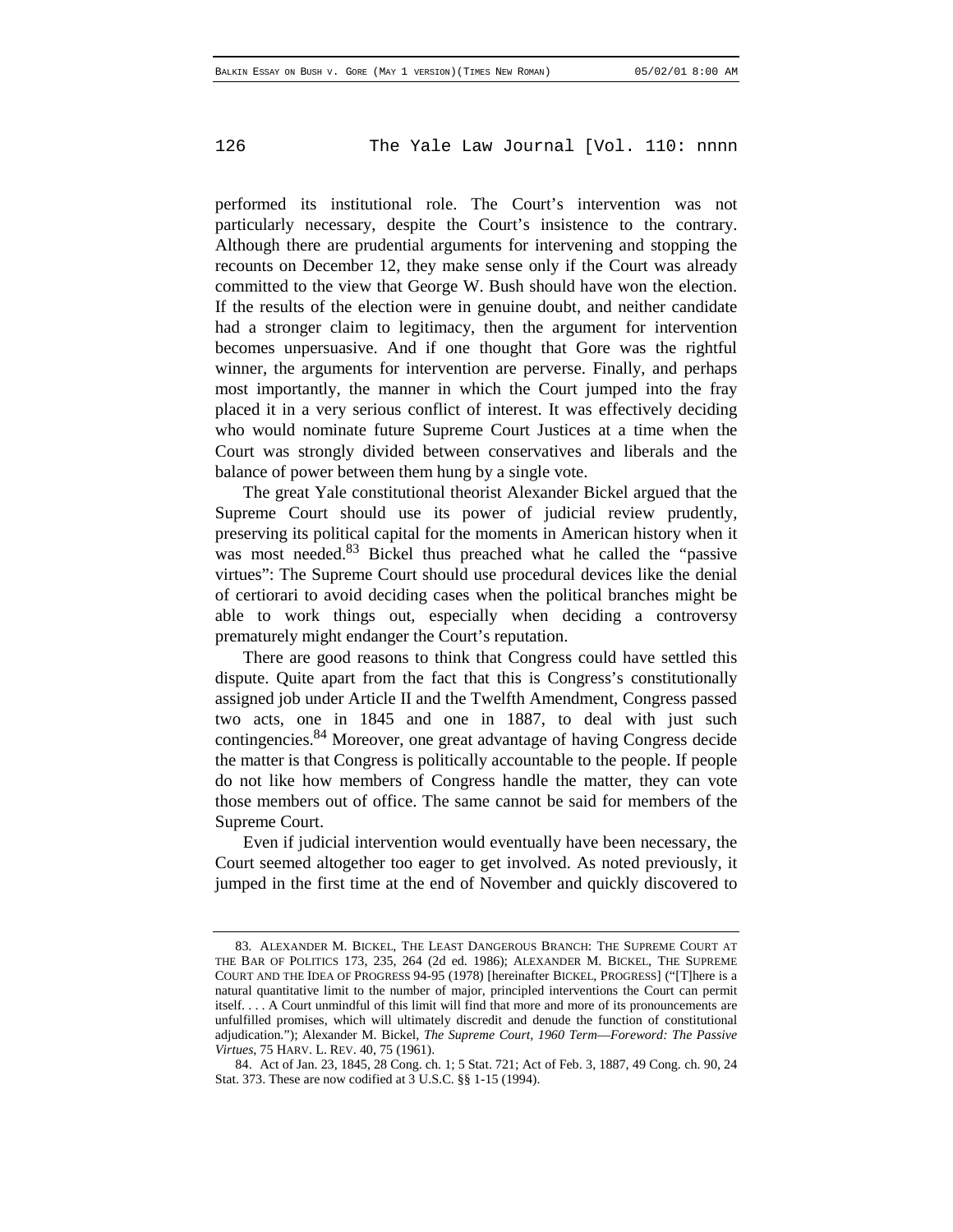performed its institutional role. The Court's intervention was not particularly necessary, despite the Court's insistence to the contrary. Although there are prudential arguments for intervening and stopping the recounts on December 12, they make sense only if the Court was already committed to the view that George W. Bush should have won the election. If the results of the election were in genuine doubt, and neither candidate had a stronger claim to legitimacy, then the argument for intervention becomes unpersuasive. And if one thought that Gore was the rightful winner, the arguments for intervention are perverse. Finally, and perhaps most importantly, the manner in which the Court jumped into the fray placed it in a very serious conflict of interest. It was effectively deciding who would nominate future Supreme Court Justices at a time when the Court was strongly divided between conservatives and liberals and the balance of power between them hung by a single vote.

The great Yale constitutional theorist Alexander Bickel argued that the Supreme Court should use its power of judicial review prudently, preserving its political capital for the moments in American history when it was most needed.<sup>83</sup> Bickel thus preached what he called the "passive" virtues": The Supreme Court should use procedural devices like the denial of certiorari to avoid deciding cases when the political branches might be able to work things out, especially when deciding a controversy prematurely might endanger the Court's reputation.

There are good reasons to think that Congress could have settled this dispute. Quite apart from the fact that this is Congress's constitutionally assigned job under Article II and the Twelfth Amendment, Congress passed two acts, one in 1845 and one in 1887, to deal with just such contingencies.84 Moreover, one great advantage of having Congress decide the matter is that Congress is politically accountable to the people. If people do not like how members of Congress handle the matter, they can vote those members out of office. The same cannot be said for members of the Supreme Court.

Even if judicial intervention would eventually have been necessary, the Court seemed altogether too eager to get involved. As noted previously, it jumped in the first time at the end of November and quickly discovered to

<sup>83</sup>*.* ALEXANDER M. BICKEL, THE LEAST DANGEROUS BRANCH: THE SUPREME COURT AT THE BAR OF POLITICS 173, 235, 264 (2d ed. 1986); ALEXANDER M. BICKEL, THE SUPREME COURT AND THE IDEA OF PROGRESS 94-95 (1978) [hereinafter BICKEL, PROGRESS] ("[T]here is a natural quantitative limit to the number of major, principled interventions the Court can permit itself. . . . A Court unmindful of this limit will find that more and more of its pronouncements are unfulfilled promises, which will ultimately discredit and denude the function of constitutional adjudication."); Alexander M. Bickel, *The Supreme Court, 1960 Term*—*Foreword: The Passive Virtues*, 75 HARV. L. REV. 40, 75 (1961).

<sup>84.</sup> Act of Jan. 23, 1845, 28 Cong. ch. 1; 5 Stat. 721; Act of Feb. 3, 1887, 49 Cong. ch. 90, 24 Stat. 373. These are now codified at 3 U.S.C. §§ 1-15 (1994).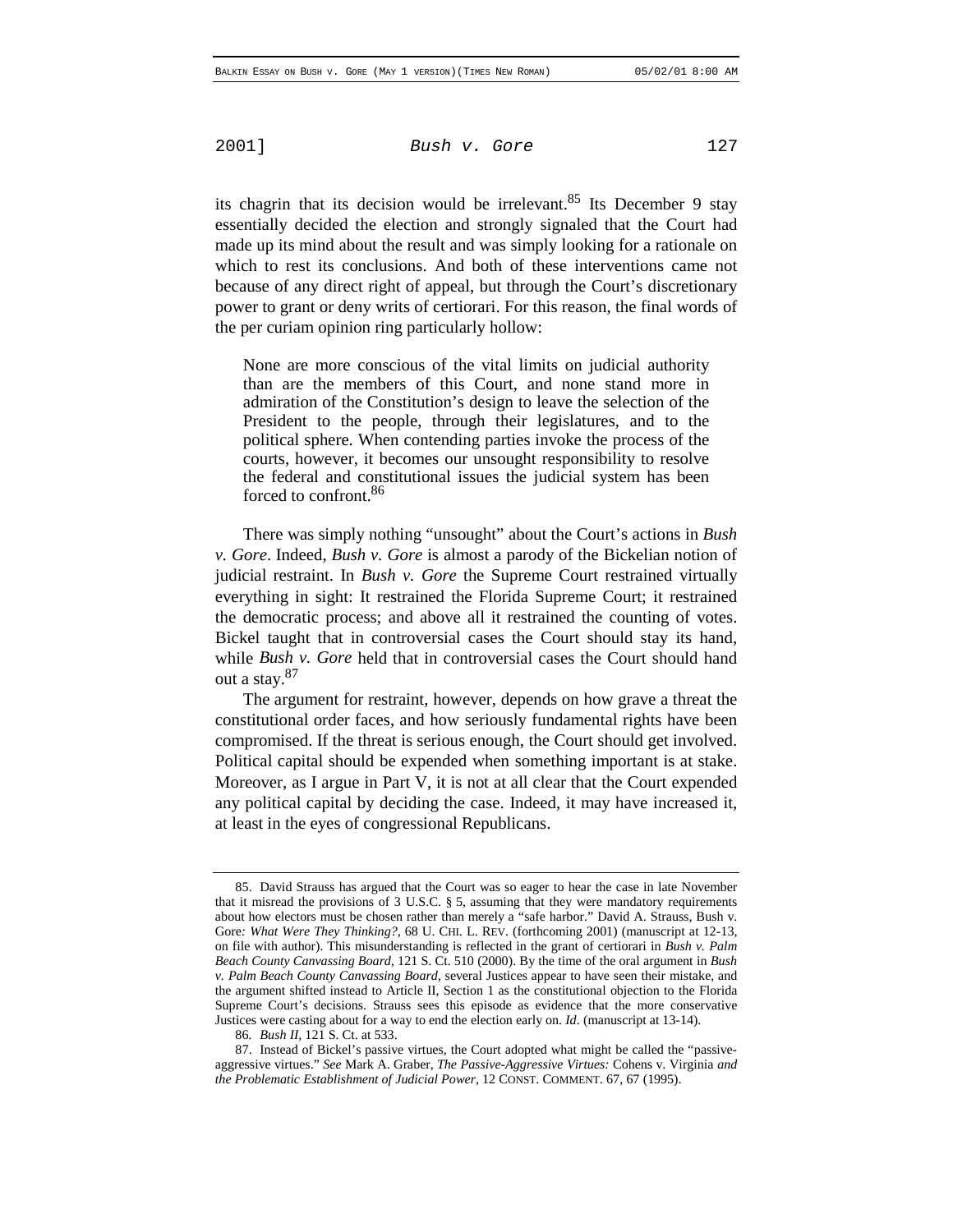its chagrin that its decision would be irrelevant.<sup>85</sup> Its December 9 stay essentially decided the election and strongly signaled that the Court had made up its mind about the result and was simply looking for a rationale on which to rest its conclusions. And both of these interventions came not because of any direct right of appeal, but through the Court's discretionary power to grant or deny writs of certiorari. For this reason, the final words of the per curiam opinion ring particularly hollow:

None are more conscious of the vital limits on judicial authority than are the members of this Court, and none stand more in admiration of the Constitution's design to leave the selection of the President to the people, through their legislatures, and to the political sphere. When contending parties invoke the process of the courts, however, it becomes our unsought responsibility to resolve the federal and constitutional issues the judicial system has been forced to confront.86

There was simply nothing "unsought" about the Court's actions in *Bush v. Gore*. Indeed, *Bush v. Gore* is almost a parody of the Bickelian notion of judicial restraint. In *Bush v. Gore* the Supreme Court restrained virtually everything in sight: It restrained the Florida Supreme Court; it restrained the democratic process; and above all it restrained the counting of votes. Bickel taught that in controversial cases the Court should stay its hand, while *Bush v. Gore* held that in controversial cases the Court should hand out a stay.87

The argument for restraint, however, depends on how grave a threat the constitutional order faces, and how seriously fundamental rights have been compromised. If the threat is serious enough, the Court should get involved. Political capital should be expended when something important is at stake. Moreover, as I argue in Part V, it is not at all clear that the Court expended any political capital by deciding the case. Indeed, it may have increased it, at least in the eyes of congressional Republicans.

86*. Bush II*, 121 S. Ct. at 533.

<sup>85.</sup> David Strauss has argued that the Court was so eager to hear the case in late November that it misread the provisions of 3 U.S.C. § 5, assuming that they were mandatory requirements about how electors must be chosen rather than merely a "safe harbor." David A. Strauss, Bush v. Gore: What Were They Thinking?, 68 U. CHI. L. REV. (forthcoming 2001) (manuscript at 12-13, on file with author). This misunderstanding is reflected in the grant of certiorari in *Bush v. Palm Beach County Canvassing Board*, 121 S. Ct. 510 (2000). By the time of the oral argument in *Bush v. Palm Beach County Canvassing Board*, several Justices appear to have seen their mistake, and the argument shifted instead to Article II, Section 1 as the constitutional objection to the Florida Supreme Court's decisions. Strauss sees this episode as evidence that the more conservative Justices were casting about for a way to end the election early on. *Id*. (manuscript at 13-14).

<sup>87.</sup> Instead of Bickel's passive virtues, the Court adopted what might be called the "passiveaggressive virtues." *See* Mark A. Graber, *The Passive-Aggressive Virtues:* Cohens v. Virginia *and the Problematic Establishment of Judicial Power*, 12 CONST. COMMENT. 67, 67 (1995).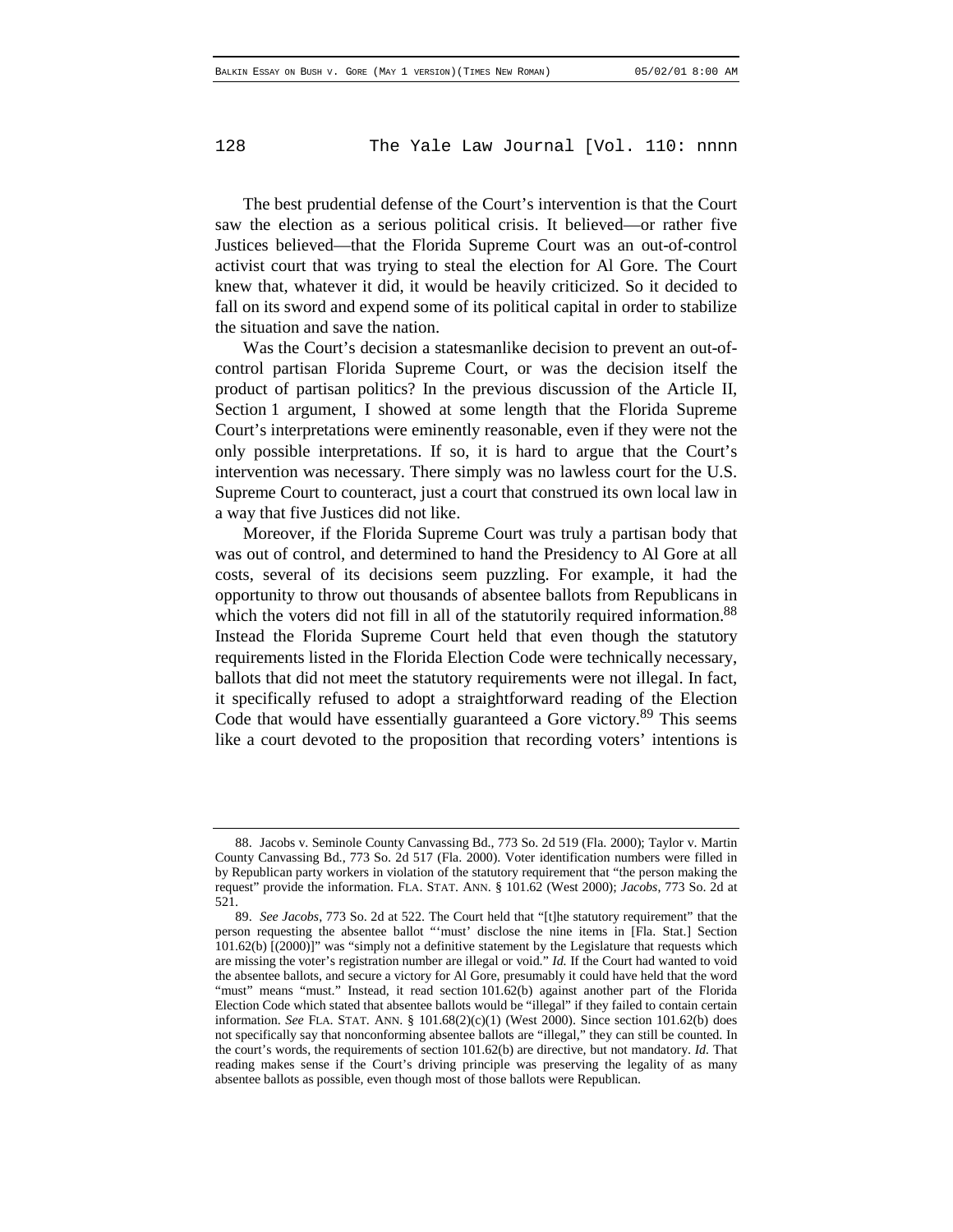The best prudential defense of the Court's intervention is that the Court saw the election as a serious political crisis. It believed—or rather five Justices believed—that the Florida Supreme Court was an out-of-control activist court that was trying to steal the election for Al Gore. The Court knew that, whatever it did, it would be heavily criticized. So it decided to fall on its sword and expend some of its political capital in order to stabilize the situation and save the nation.

Was the Court's decision a statesmanlike decision to prevent an out-ofcontrol partisan Florida Supreme Court, or was the decision itself the product of partisan politics? In the previous discussion of the Article II, Section 1 argument, I showed at some length that the Florida Supreme Court's interpretations were eminently reasonable, even if they were not the only possible interpretations. If so, it is hard to argue that the Court's intervention was necessary. There simply was no lawless court for the U.S. Supreme Court to counteract, just a court that construed its own local law in a way that five Justices did not like.

Moreover, if the Florida Supreme Court was truly a partisan body that was out of control, and determined to hand the Presidency to Al Gore at all costs, several of its decisions seem puzzling. For example, it had the opportunity to throw out thousands of absentee ballots from Republicans in which the voters did not fill in all of the statutorily required information.<sup>88</sup> Instead the Florida Supreme Court held that even though the statutory requirements listed in the Florida Election Code were technically necessary, ballots that did not meet the statutory requirements were not illegal. In fact, it specifically refused to adopt a straightforward reading of the Election Code that would have essentially guaranteed a Gore victory.<sup>89</sup> This seems like a court devoted to the proposition that recording voters' intentions is

<sup>88.</sup> Jacobs v. Seminole County Canvassing Bd., 773 So. 2d 519 (Fla. 2000); Taylor v. Martin County Canvassing Bd., 773 So. 2d 517 (Fla. 2000). Voter identification numbers were filled in by Republican party workers in violation of the statutory requirement that "the person making the request" provide the information. FLA. STAT. ANN. § 101.62 (West 2000); *Jacobs*, 773 So. 2d at 521.

<sup>89.</sup> *See Jacobs*, 773 So. 2d at 522. The Court held that "[t]he statutory requirement" that the person requesting the absentee ballot "'must' disclose the nine items in [Fla. Stat.] Section 101.62(b) [(2000)]" was "simply not a definitive statement by the Legislature that requests which are missing the voter's registration number are illegal or void." *Id.* If the Court had wanted to void the absentee ballots, and secure a victory for Al Gore, presumably it could have held that the word "must" means "must." Instead, it read section 101.62(b) against another part of the Florida Election Code which stated that absentee ballots would be "illegal" if they failed to contain certain information. *See* FLA. STAT. ANN. § 101.68(2)(c)(1) (West 2000). Since section 101.62(b) does not specifically say that nonconforming absentee ballots are "illegal," they can still be counted. In the court's words, the requirements of section 101.62(b) are directive, but not mandatory. *Id.* That reading makes sense if the Court's driving principle was preserving the legality of as many absentee ballots as possible, even though most of those ballots were Republican.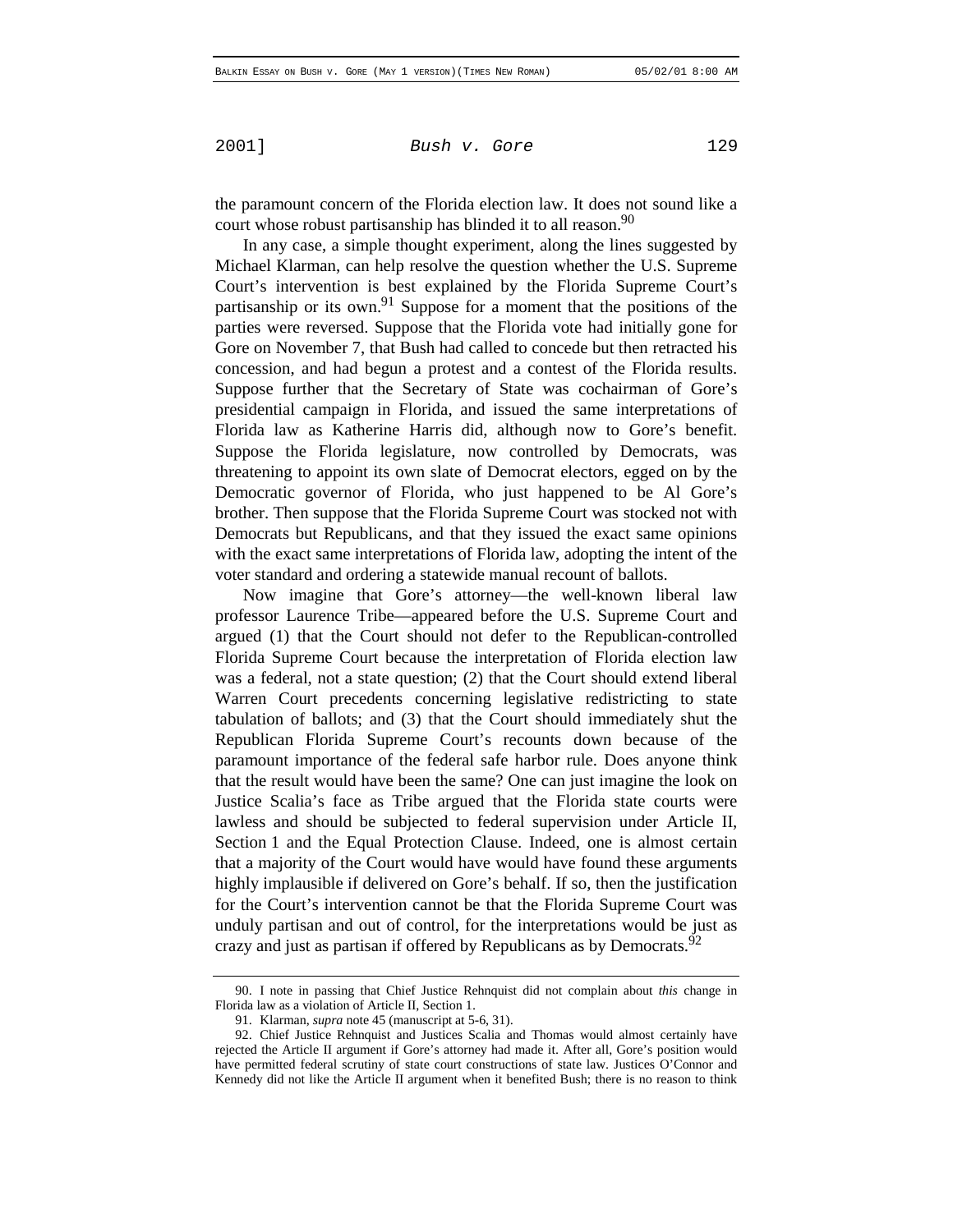the paramount concern of the Florida election law. It does not sound like a court whose robust partisanship has blinded it to all reason.<sup>90</sup>

In any case, a simple thought experiment, along the lines suggested by Michael Klarman, can help resolve the question whether the U.S. Supreme Court's intervention is best explained by the Florida Supreme Court's partisanship or its own.<sup>91</sup> Suppose for a moment that the positions of the parties were reversed. Suppose that the Florida vote had initially gone for Gore on November 7, that Bush had called to concede but then retracted his concession, and had begun a protest and a contest of the Florida results. Suppose further that the Secretary of State was cochairman of Gore's presidential campaign in Florida, and issued the same interpretations of Florida law as Katherine Harris did, although now to Gore's benefit. Suppose the Florida legislature, now controlled by Democrats, was threatening to appoint its own slate of Democrat electors, egged on by the Democratic governor of Florida, who just happened to be Al Gore's brother. Then suppose that the Florida Supreme Court was stocked not with Democrats but Republicans, and that they issued the exact same opinions with the exact same interpretations of Florida law, adopting the intent of the voter standard and ordering a statewide manual recount of ballots.

Now imagine that Gore's attorney—the well-known liberal law professor Laurence Tribe—appeared before the U.S. Supreme Court and argued (1) that the Court should not defer to the Republican-controlled Florida Supreme Court because the interpretation of Florida election law was a federal, not a state question; (2) that the Court should extend liberal Warren Court precedents concerning legislative redistricting to state tabulation of ballots; and (3) that the Court should immediately shut the Republican Florida Supreme Court's recounts down because of the paramount importance of the federal safe harbor rule. Does anyone think that the result would have been the same? One can just imagine the look on Justice Scalia's face as Tribe argued that the Florida state courts were lawless and should be subjected to federal supervision under Article II, Section 1 and the Equal Protection Clause. Indeed, one is almost certain that a majority of the Court would have would have found these arguments highly implausible if delivered on Gore's behalf. If so, then the justification for the Court's intervention cannot be that the Florida Supreme Court was unduly partisan and out of control, for the interpretations would be just as crazy and just as partisan if offered by Republicans as by Democrats.<sup>92</sup>

<sup>90.</sup> I note in passing that Chief Justice Rehnquist did not complain about *this* change in Florida law as a violation of Article II, Section 1.

<sup>91.</sup> Klarman, *supra* note 45 (manuscript at 5-6, 31).

<sup>92.</sup> Chief Justice Rehnquist and Justices Scalia and Thomas would almost certainly have rejected the Article II argument if Gore's attorney had made it. After all, Gore's position would have permitted federal scrutiny of state court constructions of state law. Justices O'Connor and Kennedy did not like the Article II argument when it benefited Bush; there is no reason to think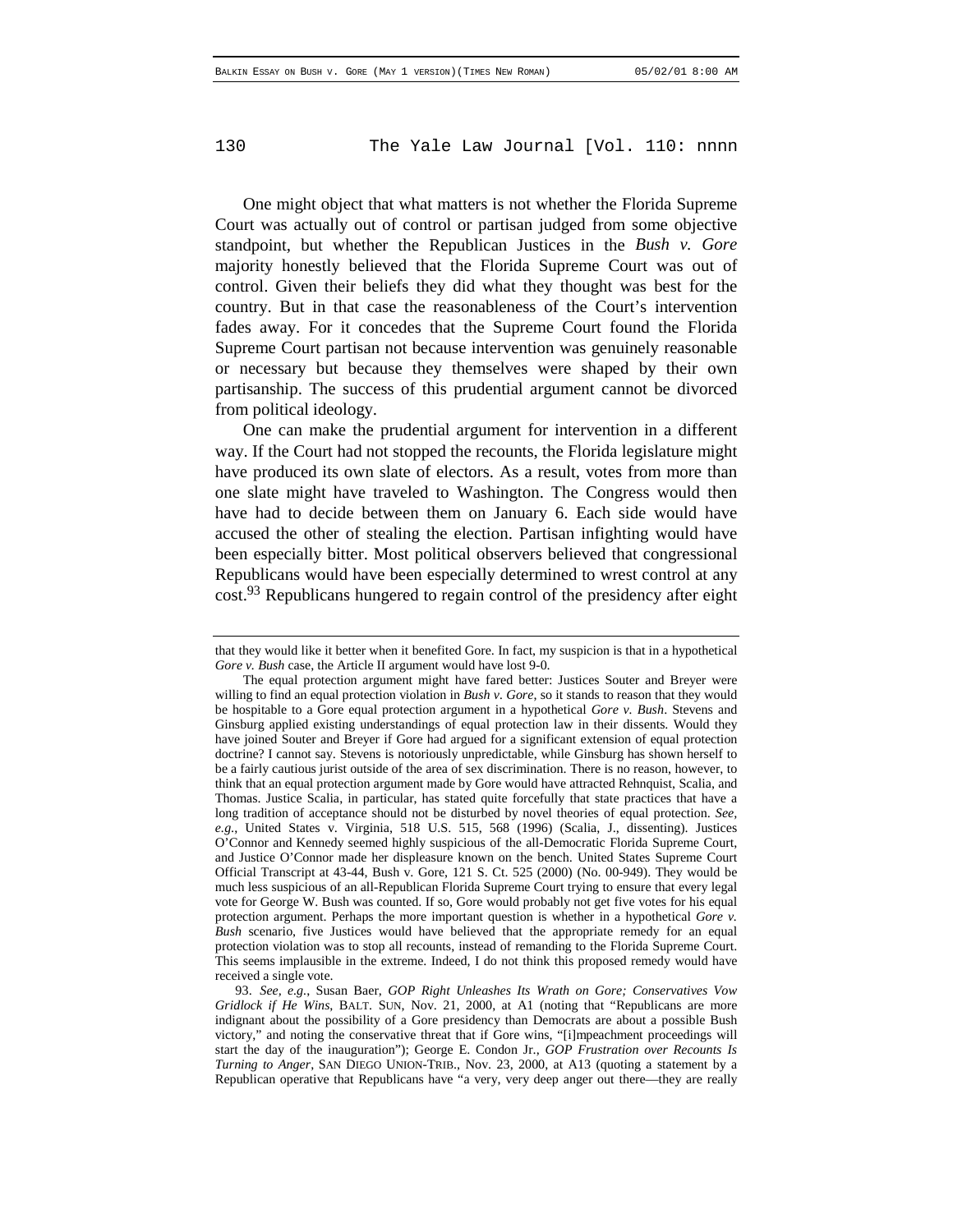One might object that what matters is not whether the Florida Supreme Court was actually out of control or partisan judged from some objective standpoint, but whether the Republican Justices in the *Bush v. Gore* majority honestly believed that the Florida Supreme Court was out of control. Given their beliefs they did what they thought was best for the country. But in that case the reasonableness of the Court's intervention fades away. For it concedes that the Supreme Court found the Florida Supreme Court partisan not because intervention was genuinely reasonable or necessary but because they themselves were shaped by their own partisanship. The success of this prudential argument cannot be divorced from political ideology.

One can make the prudential argument for intervention in a different way. If the Court had not stopped the recounts, the Florida legislature might have produced its own slate of electors. As a result, votes from more than one slate might have traveled to Washington. The Congress would then have had to decide between them on January 6. Each side would have accused the other of stealing the election. Partisan infighting would have been especially bitter. Most political observers believed that congressional Republicans would have been especially determined to wrest control at any cost.<sup>93</sup> Republicans hungered to regain control of the presidency after eight

that they would like it better when it benefited Gore. In fact, my suspicion is that in a hypothetical *Gore v. Bush* case, the Article II argument would have lost 9-0.

The equal protection argument might have fared better: Justices Souter and Breyer were willing to find an equal protection violation in *Bush v. Gore*, so it stands to reason that they would be hospitable to a Gore equal protection argument in a hypothetical *Gore v. Bush*. Stevens and Ginsburg applied existing understandings of equal protection law in their dissents. Would they have joined Souter and Breyer if Gore had argued for a significant extension of equal protection doctrine? I cannot say. Stevens is notoriously unpredictable, while Ginsburg has shown herself to be a fairly cautious jurist outside of the area of sex discrimination. There is no reason, however, to think that an equal protection argument made by Gore would have attracted Rehnquist, Scalia, and Thomas. Justice Scalia, in particular, has stated quite forcefully that state practices that have a long tradition of acceptance should not be disturbed by novel theories of equal protection. *See, e.g*., United States v. Virginia, 518 U.S. 515, 568 (1996) (Scalia, J., dissenting). Justices O'Connor and Kennedy seemed highly suspicious of the all-Democratic Florida Supreme Court, and Justice O'Connor made her displeasure known on the bench. United States Supreme Court Official Transcript at 43-44, Bush v. Gore, 121 S. Ct. 525 (2000) (No. 00-949). They would be much less suspicious of an all-Republican Florida Supreme Court trying to ensure that every legal vote for George W. Bush was counted. If so, Gore would probably not get five votes for his equal protection argument. Perhaps the more important question is whether in a hypothetical *Gore v. Bush* scenario, five Justices would have believed that the appropriate remedy for an equal protection violation was to stop all recounts, instead of remanding to the Florida Supreme Court. This seems implausible in the extreme. Indeed, I do not think this proposed remedy would have received a single vote.

<sup>93.</sup> *See, e.g.*, Susan Baer, *GOP Right Unleashes Its Wrath on Gore; Conservatives Vow Gridlock if He Wins*, BALT. SUN, Nov. 21, 2000, at A1 (noting that "Republicans are more indignant about the possibility of a Gore presidency than Democrats are about a possible Bush victory," and noting the conservative threat that if Gore wins, "[i]mpeachment proceedings will start the day of the inauguration"); George E. Condon Jr., *GOP Frustration over Recounts Is Turning to Anger*, SAN DIEGO UNION-TRIB., Nov. 23, 2000, at A13 (quoting a statement by a Republican operative that Republicans have "a very, very deep anger out there—they are really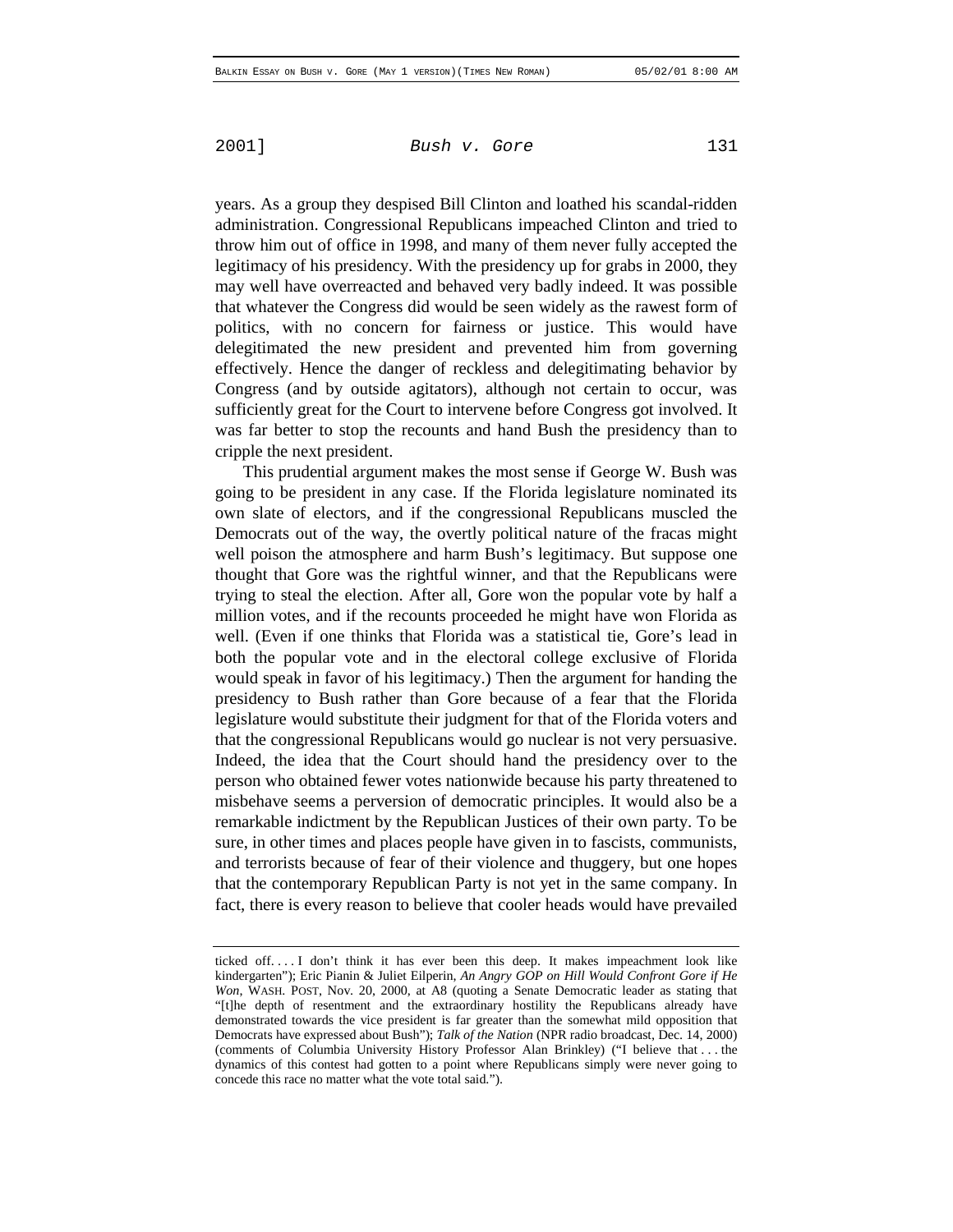years. As a group they despised Bill Clinton and loathed his scandal-ridden administration. Congressional Republicans impeached Clinton and tried to throw him out of office in 1998, and many of them never fully accepted the legitimacy of his presidency. With the presidency up for grabs in 2000, they may well have overreacted and behaved very badly indeed. It was possible that whatever the Congress did would be seen widely as the rawest form of politics, with no concern for fairness or justice. This would have delegitimated the new president and prevented him from governing effectively. Hence the danger of reckless and delegitimating behavior by Congress (and by outside agitators), although not certain to occur, was sufficiently great for the Court to intervene before Congress got involved. It was far better to stop the recounts and hand Bush the presidency than to cripple the next president.

This prudential argument makes the most sense if George W. Bush was going to be president in any case. If the Florida legislature nominated its own slate of electors, and if the congressional Republicans muscled the Democrats out of the way, the overtly political nature of the fracas might well poison the atmosphere and harm Bush's legitimacy. But suppose one thought that Gore was the rightful winner, and that the Republicans were trying to steal the election. After all, Gore won the popular vote by half a million votes, and if the recounts proceeded he might have won Florida as well. (Even if one thinks that Florida was a statistical tie, Gore's lead in both the popular vote and in the electoral college exclusive of Florida would speak in favor of his legitimacy.) Then the argument for handing the presidency to Bush rather than Gore because of a fear that the Florida legislature would substitute their judgment for that of the Florida voters and that the congressional Republicans would go nuclear is not very persuasive. Indeed, the idea that the Court should hand the presidency over to the person who obtained fewer votes nationwide because his party threatened to misbehave seems a perversion of democratic principles. It would also be a remarkable indictment by the Republican Justices of their own party. To be sure, in other times and places people have given in to fascists, communists, and terrorists because of fear of their violence and thuggery, but one hopes that the contemporary Republican Party is not yet in the same company. In fact, there is every reason to believe that cooler heads would have prevailed

ticked off. . . . I don't think it has ever been this deep. It makes impeachment look like kindergarten"); Eric Pianin & Juliet Eilperin, *An Angry GOP on Hill Would Confront Gore if He Won*, WASH. POST, Nov. 20, 2000, at A8 (quoting a Senate Democratic leader as stating that "[t]he depth of resentment and the extraordinary hostility the Republicans already have demonstrated towards the vice president is far greater than the somewhat mild opposition that Democrats have expressed about Bush"); *Talk of the Nation* (NPR radio broadcast, Dec. 14, 2000) (comments of Columbia University History Professor Alan Brinkley) ("I believe that . . . the dynamics of this contest had gotten to a point where Republicans simply were never going to concede this race no matter what the vote total said.").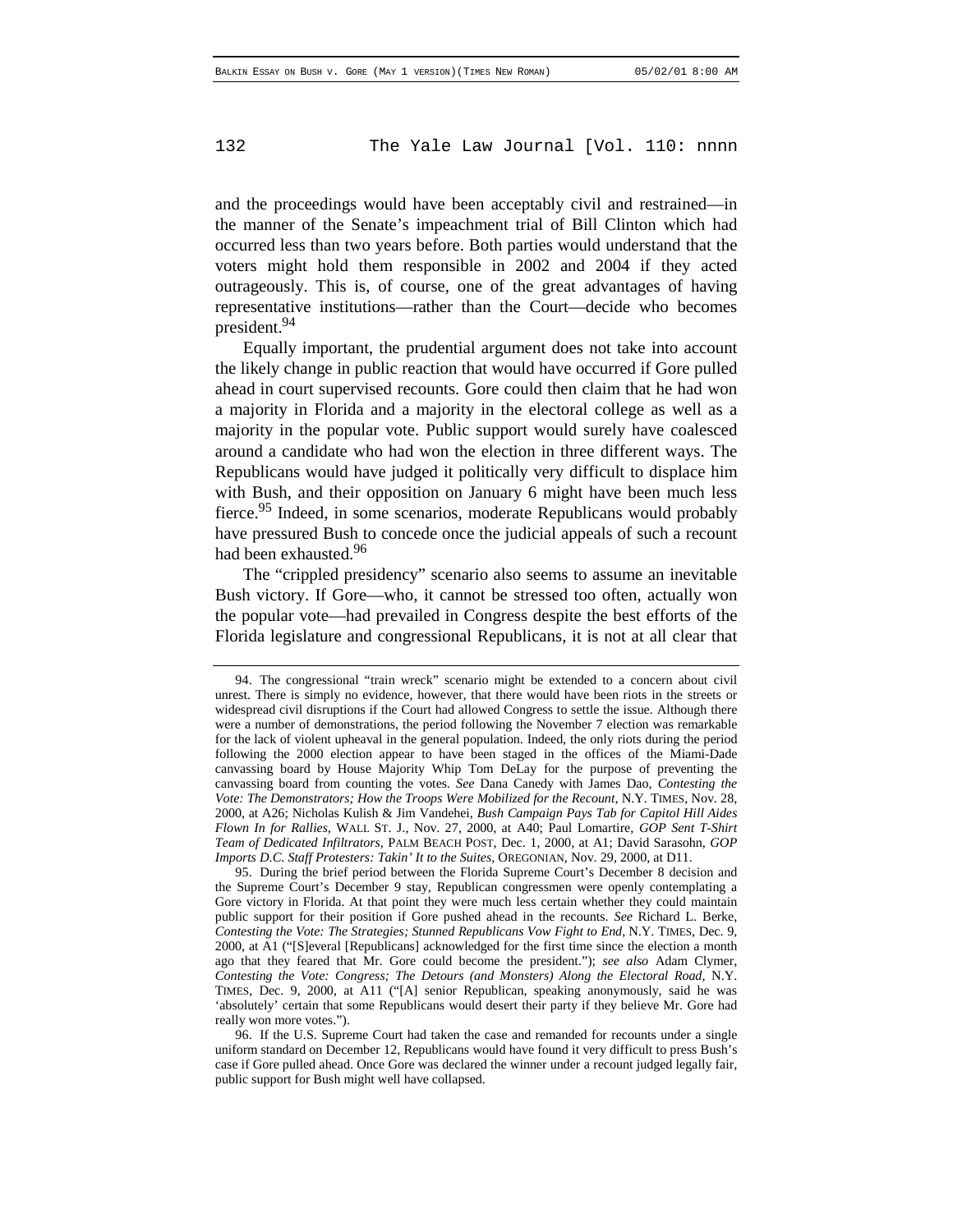and the proceedings would have been acceptably civil and restrained—in the manner of the Senate's impeachment trial of Bill Clinton which had occurred less than two years before. Both parties would understand that the voters might hold them responsible in 2002 and 2004 if they acted outrageously. This is, of course, one of the great advantages of having representative institutions—rather than the Court—decide who becomes president.<sup>94</sup>

Equally important, the prudential argument does not take into account the likely change in public reaction that would have occurred if Gore pulled ahead in court supervised recounts. Gore could then claim that he had won a majority in Florida and a majority in the electoral college as well as a majority in the popular vote. Public support would surely have coalesced around a candidate who had won the election in three different ways. The Republicans would have judged it politically very difficult to displace him with Bush, and their opposition on January 6 might have been much less fierce.<sup>95</sup> Indeed, in some scenarios, moderate Republicans would probably have pressured Bush to concede once the judicial appeals of such a recount had been exhausted.<sup>96</sup>

The "crippled presidency" scenario also seems to assume an inevitable Bush victory. If Gore—who, it cannot be stressed too often, actually won the popular vote—had prevailed in Congress despite the best efforts of the Florida legislature and congressional Republicans, it is not at all clear that

<sup>94.</sup> The congressional "train wreck" scenario might be extended to a concern about civil unrest. There is simply no evidence, however, that there would have been riots in the streets or widespread civil disruptions if the Court had allowed Congress to settle the issue. Although there were a number of demonstrations, the period following the November 7 election was remarkable for the lack of violent upheaval in the general population. Indeed, the only riots during the period following the 2000 election appear to have been staged in the offices of the Miami-Dade canvassing board by House Majority Whip Tom DeLay for the purpose of preventing the canvassing board from counting the votes. *See* Dana Canedy with James Dao, *Contesting the Vote: The Demonstrators; How the Troops Were Mobilized for the Recount*, N.Y. TIMES, Nov. 28, 2000, at A26; Nicholas Kulish & Jim Vandehei, *Bush Campaign Pays Tab for Capitol Hill Aides Flown In for Rallies*, WALL ST. J., Nov. 27, 2000, at A40; Paul Lomartire, *GOP Sent T-Shirt Team of Dedicated Infiltrators*, PALM BEACH POST, Dec. 1, 2000, at A1; David Sarasohn, *GOP Imports D.C. Staff Protesters: Takin' It to the Suites*, OREGONIAN, Nov. 29, 2000, at D11.

<sup>95.</sup> During the brief period between the Florida Supreme Court's December 8 decision and the Supreme Court's December 9 stay, Republican congressmen were openly contemplating a Gore victory in Florida. At that point they were much less certain whether they could maintain public support for their position if Gore pushed ahead in the recounts. *See* Richard L. Berke, *Contesting the Vote: The Strategies; Stunned Republicans Vow Fight to End*, N.Y. TIMES, Dec. 9, 2000, at A1 ("[S]everal [Republicans] acknowledged for the first time since the election a month ago that they feared that Mr. Gore could become the president."); *see also* Adam Clymer, *Contesting the Vote: Congress; The Detours (and Monsters) Along the Electoral Road*, N.Y. TIMES, Dec. 9, 2000, at A11 ("[A] senior Republican, speaking anonymously, said he was 'absolutely' certain that some Republicans would desert their party if they believe Mr. Gore had really won more votes.").

<sup>96.</sup> If the U.S. Supreme Court had taken the case and remanded for recounts under a single uniform standard on December 12, Republicans would have found it very difficult to press Bush's case if Gore pulled ahead. Once Gore was declared the winner under a recount judged legally fair, public support for Bush might well have collapsed.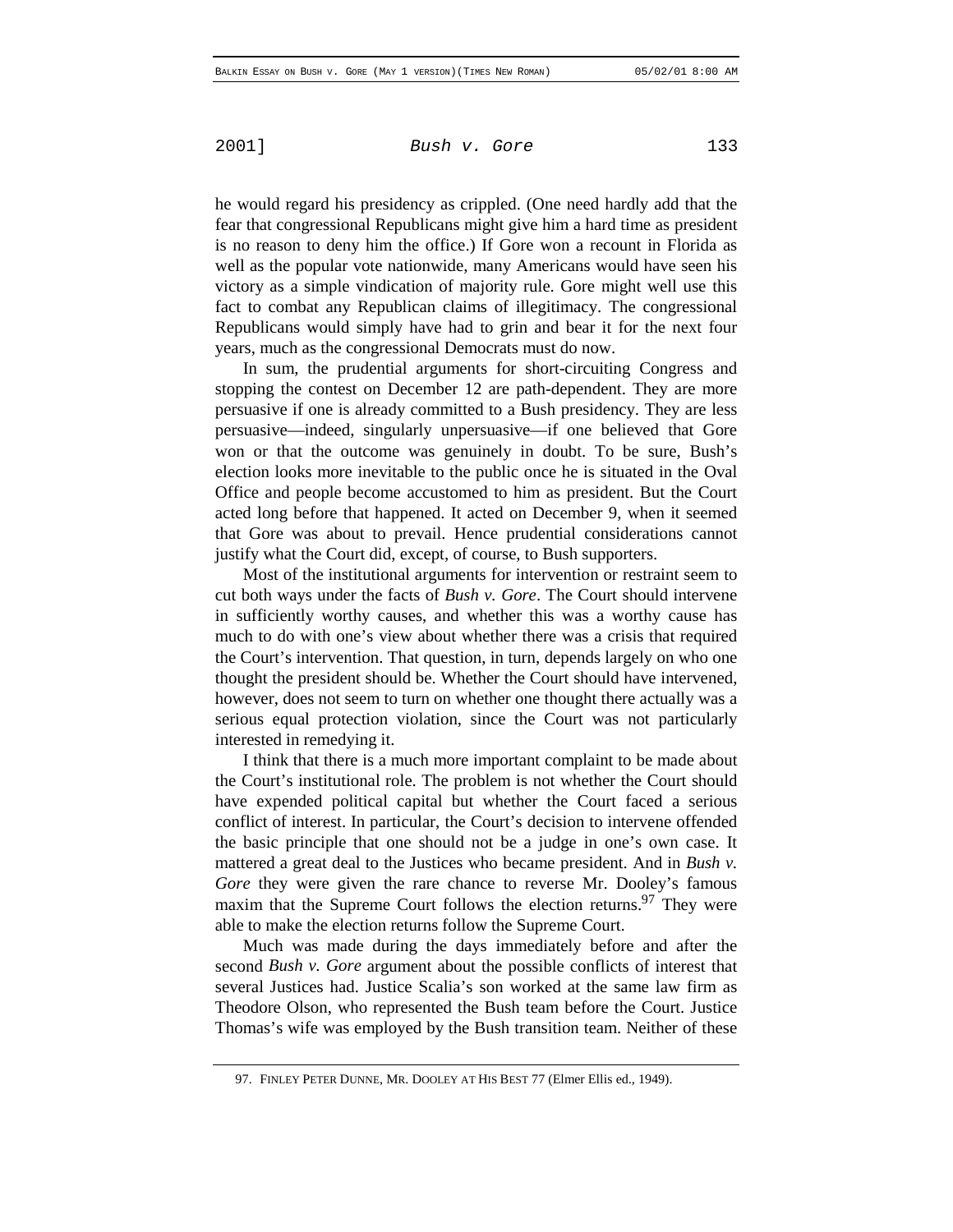he would regard his presidency as crippled. (One need hardly add that the fear that congressional Republicans might give him a hard time as president is no reason to deny him the office.) If Gore won a recount in Florida as well as the popular vote nationwide, many Americans would have seen his victory as a simple vindication of majority rule. Gore might well use this fact to combat any Republican claims of illegitimacy. The congressional Republicans would simply have had to grin and bear it for the next four years, much as the congressional Democrats must do now.

In sum, the prudential arguments for short-circuiting Congress and stopping the contest on December 12 are path-dependent. They are more persuasive if one is already committed to a Bush presidency. They are less persuasive—indeed, singularly unpersuasive—if one believed that Gore won or that the outcome was genuinely in doubt. To be sure, Bush's election looks more inevitable to the public once he is situated in the Oval Office and people become accustomed to him as president. But the Court acted long before that happened. It acted on December 9, when it seemed that Gore was about to prevail. Hence prudential considerations cannot justify what the Court did, except, of course, to Bush supporters.

Most of the institutional arguments for intervention or restraint seem to cut both ways under the facts of *Bush v. Gore*. The Court should intervene in sufficiently worthy causes, and whether this was a worthy cause has much to do with one's view about whether there was a crisis that required the Court's intervention. That question, in turn, depends largely on who one thought the president should be. Whether the Court should have intervened, however, does not seem to turn on whether one thought there actually was a serious equal protection violation, since the Court was not particularly interested in remedying it.

I think that there is a much more important complaint to be made about the Court's institutional role. The problem is not whether the Court should have expended political capital but whether the Court faced a serious conflict of interest. In particular, the Court's decision to intervene offended the basic principle that one should not be a judge in one's own case. It mattered a great deal to the Justices who became president. And in *Bush v. Gore* they were given the rare chance to reverse Mr. Dooley's famous maxim that the Supreme Court follows the election returns.<sup>97</sup> They were able to make the election returns follow the Supreme Court.

Much was made during the days immediately before and after the second *Bush v. Gore* argument about the possible conflicts of interest that several Justices had. Justice Scalia's son worked at the same law firm as Theodore Olson, who represented the Bush team before the Court. Justice Thomas's wife was employed by the Bush transition team. Neither of these

<sup>97.</sup> FINLEY PETER DUNNE, MR. DOOLEY AT HIS BEST 77 (Elmer Ellis ed., 1949).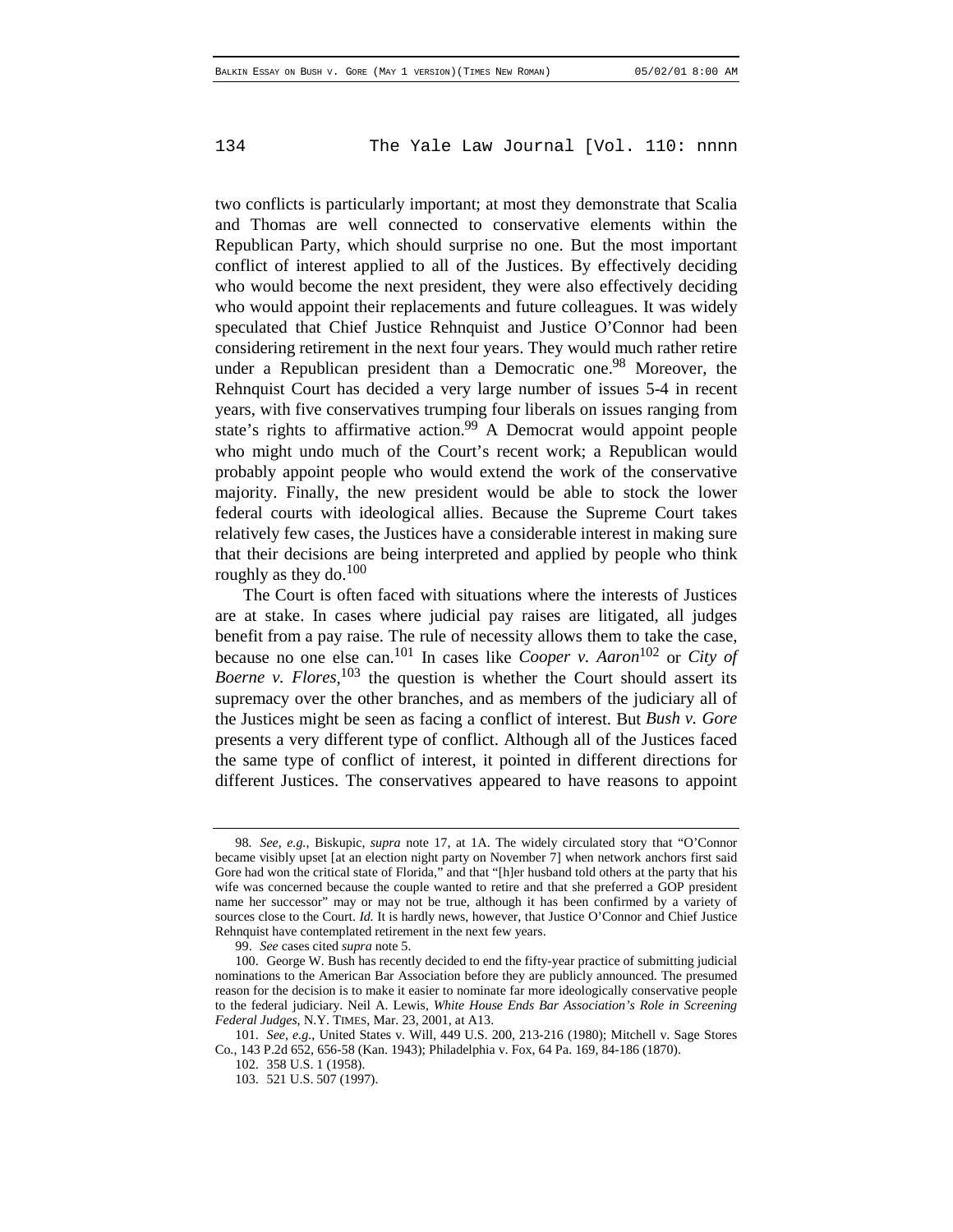two conflicts is particularly important; at most they demonstrate that Scalia and Thomas are well connected to conservative elements within the Republican Party, which should surprise no one. But the most important conflict of interest applied to all of the Justices. By effectively deciding who would become the next president, they were also effectively deciding who would appoint their replacements and future colleagues. It was widely speculated that Chief Justice Rehnquist and Justice O'Connor had been considering retirement in the next four years. They would much rather retire under a Republican president than a Democratic one.<sup>98</sup> Moreover, the Rehnquist Court has decided a very large number of issues 5-4 in recent years, with five conservatives trumping four liberals on issues ranging from state's rights to affirmative action.<sup>99</sup> A Democrat would appoint people who might undo much of the Court's recent work; a Republican would probably appoint people who would extend the work of the conservative majority. Finally, the new president would be able to stock the lower federal courts with ideological allies. Because the Supreme Court takes relatively few cases, the Justices have a considerable interest in making sure that their decisions are being interpreted and applied by people who think roughly as they do.<sup>100</sup>

The Court is often faced with situations where the interests of Justices are at stake. In cases where judicial pay raises are litigated, all judges benefit from a pay raise. The rule of necessity allows them to take the case, because no one else can.101 In cases like *Cooper v. Aaron*102 or *City of Boerne v. Flores*, 103 the question is whether the Court should assert its supremacy over the other branches, and as members of the judiciary all of the Justices might be seen as facing a conflict of interest. But *Bush v. Gore* presents a very different type of conflict. Although all of the Justices faced the same type of conflict of interest, it pointed in different directions for different Justices. The conservatives appeared to have reasons to appoint

<sup>98</sup>*. See, e.g.*, Biskupic, *supra* note 17, at 1A. The widely circulated story that "O'Connor became visibly upset [at an election night party on November 7] when network anchors first said Gore had won the critical state of Florida," and that "[h]er husband told others at the party that his wife was concerned because the couple wanted to retire and that she preferred a GOP president name her successor" may or may not be true, although it has been confirmed by a variety of sources close to the Court. *Id.* It is hardly news, however, that Justice O'Connor and Chief Justice Rehnquist have contemplated retirement in the next few years.

<sup>99.</sup> *See* cases cited *supra* note 5.

<sup>100.</sup> George W. Bush has recently decided to end the fifty-year practice of submitting judicial nominations to the American Bar Association before they are publicly announced. The presumed reason for the decision is to make it easier to nominate far more ideologically conservative people to the federal judiciary. Neil A. Lewis, *White House Ends Bar Association's Role in Screening Federal Judges*, N.Y. TIMES, Mar. 23, 2001, at A13.

<sup>101.</sup> *See, e.g.*, United States v. Will, 449 U.S. 200, 213-216 (1980); Mitchell v. Sage Stores Co., 143 P.2d 652, 656-58 (Kan. 1943); Philadelphia v. Fox, 64 Pa. 169, 84-186 (1870).

<sup>102. 358</sup> U.S. 1 (1958).

<sup>103. 521</sup> U.S. 507 (1997).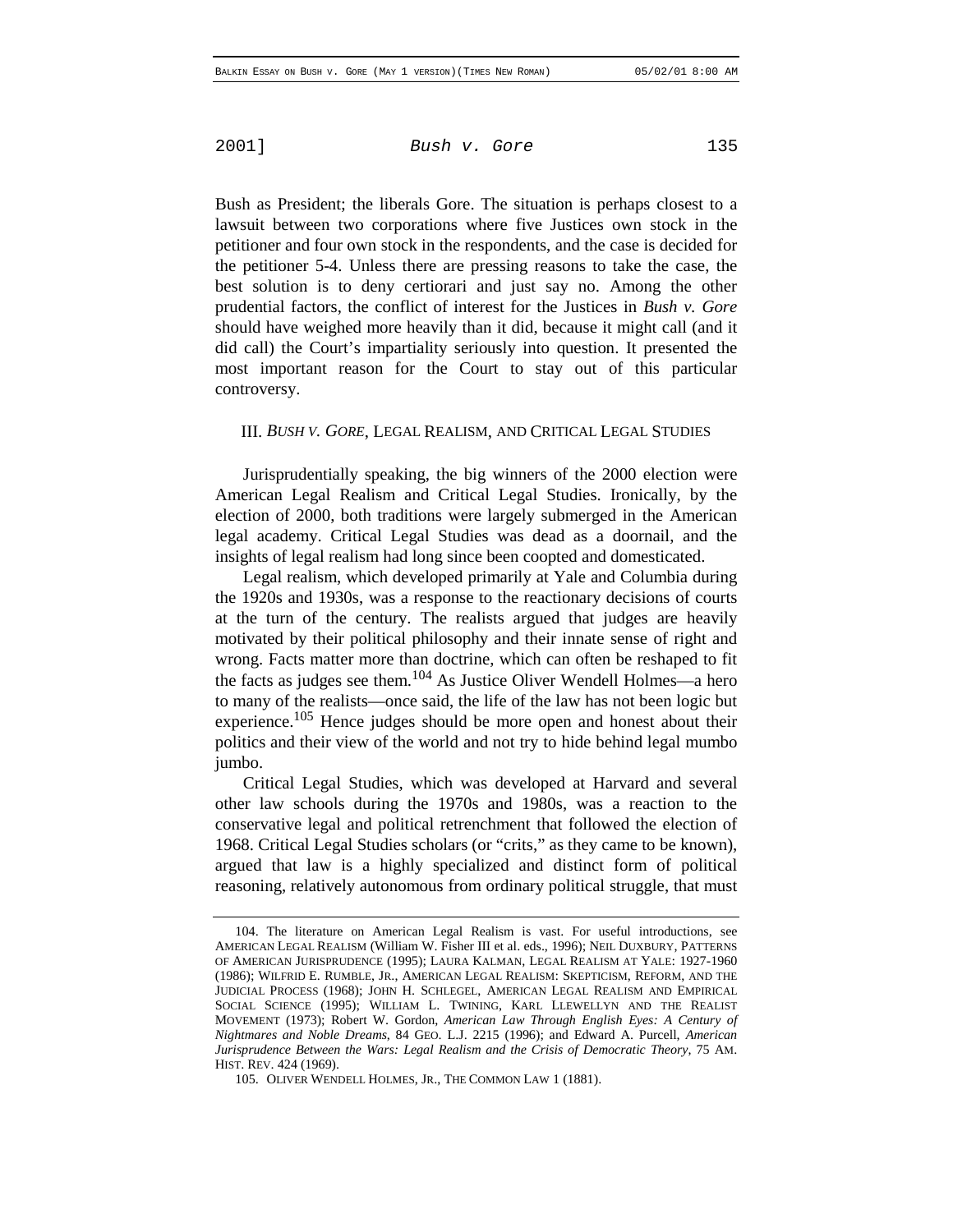Bush as President; the liberals Gore. The situation is perhaps closest to a lawsuit between two corporations where five Justices own stock in the petitioner and four own stock in the respondents, and the case is decided for the petitioner 5-4. Unless there are pressing reasons to take the case, the best solution is to deny certiorari and just say no. Among the other prudential factors, the conflict of interest for the Justices in *Bush v. Gore* should have weighed more heavily than it did, because it might call (and it did call) the Court's impartiality seriously into question. It presented the most important reason for the Court to stay out of this particular controversy.

#### III. *BUSH V. GORE*, LEGAL REALISM, AND CRITICAL LEGAL STUDIES

Jurisprudentially speaking, the big winners of the 2000 election were American Legal Realism and Critical Legal Studies. Ironically, by the election of 2000, both traditions were largely submerged in the American legal academy. Critical Legal Studies was dead as a doornail, and the insights of legal realism had long since been coopted and domesticated.

Legal realism, which developed primarily at Yale and Columbia during the 1920s and 1930s, was a response to the reactionary decisions of courts at the turn of the century. The realists argued that judges are heavily motivated by their political philosophy and their innate sense of right and wrong. Facts matter more than doctrine, which can often be reshaped to fit the facts as judges see them.<sup>104</sup> As Justice Oliver Wendell Holmes—a hero to many of the realists—once said, the life of the law has not been logic but experience.<sup>105</sup> Hence judges should be more open and honest about their politics and their view of the world and not try to hide behind legal mumbo jumbo.

Critical Legal Studies, which was developed at Harvard and several other law schools during the 1970s and 1980s, was a reaction to the conservative legal and political retrenchment that followed the election of 1968. Critical Legal Studies scholars (or "crits," as they came to be known), argued that law is a highly specialized and distinct form of political reasoning, relatively autonomous from ordinary political struggle, that must

<sup>104.</sup> The literature on American Legal Realism is vast. For useful introductions, see AMERICAN LEGAL REALISM (William W. Fisher III et al. eds., 1996); NEIL DUXBURY, PATTERNS OF AMERICAN JURISPRUDENCE (1995); LAURA KALMAN, LEGAL REALISM AT YALE: 1927-1960 (1986); WILFRID E. RUMBLE, JR., AMERICAN LEGAL REALISM: SKEPTICISM, REFORM, AND THE JUDICIAL PROCESS (1968); JOHN H. SCHLEGEL, AMERICAN LEGAL REALISM AND EMPIRICAL SOCIAL SCIENCE (1995); WILLIAM L. TWINING, KARL LLEWELLYN AND THE REALIST MOVEMENT (1973); Robert W. Gordon, *American Law Through English Eyes: A Century of Nightmares and Noble Dreams*, 84 GEO. L.J. 2215 (1996); and Edward A. Purcell, *American Jurisprudence Between the Wars: Legal Realism and the Crisis of Democratic Theory*, 75 AM. HIST. REV. 424 (1969).

<sup>105.</sup> OLIVER WENDELL HOLMES, JR., THE COMMON LAW 1 (1881).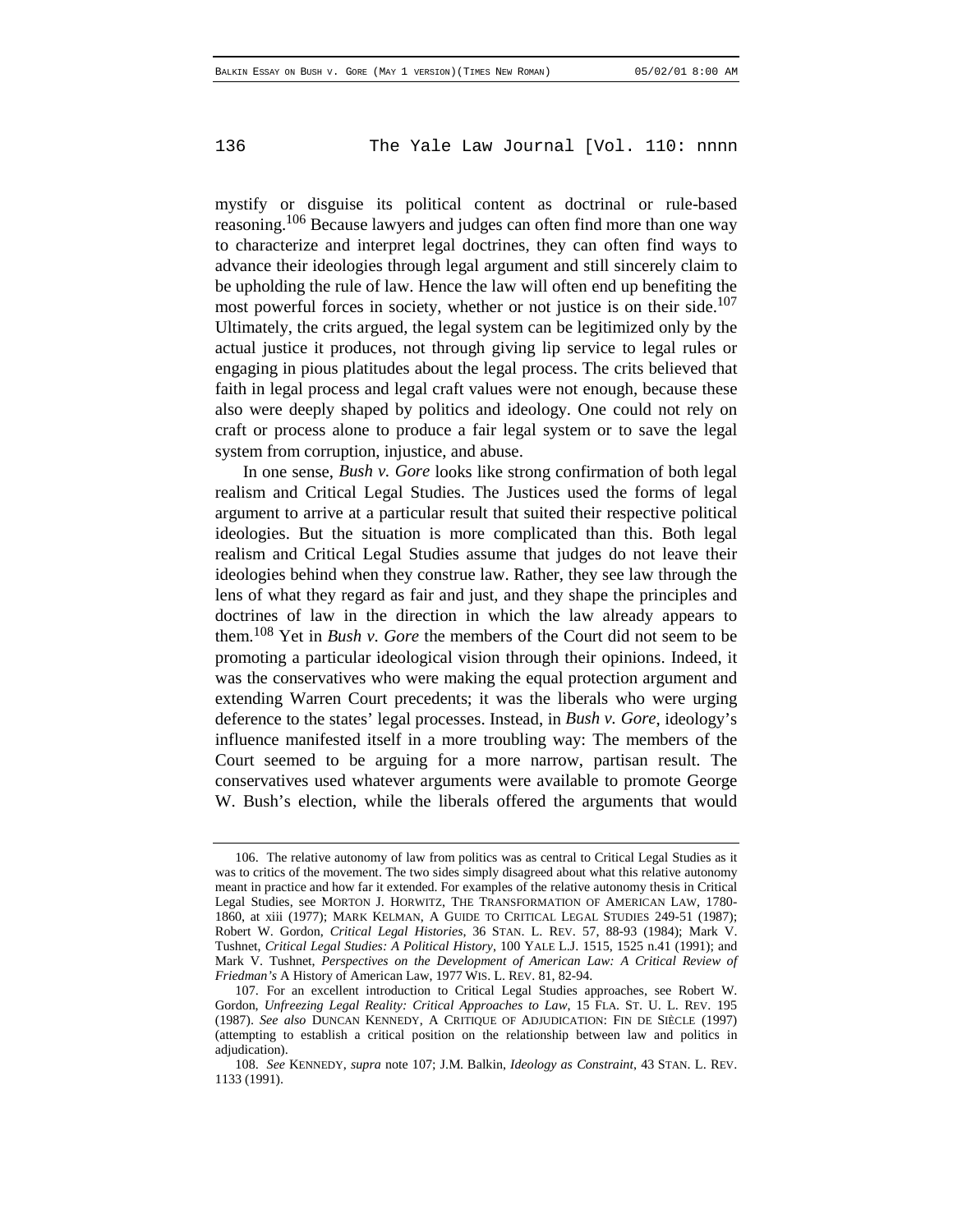mystify or disguise its political content as doctrinal or rule-based reasoning.<sup>106</sup> Because lawyers and judges can often find more than one way to characterize and interpret legal doctrines, they can often find ways to advance their ideologies through legal argument and still sincerely claim to be upholding the rule of law. Hence the law will often end up benefiting the most powerful forces in society, whether or not justice is on their side.<sup>107</sup> Ultimately, the crits argued, the legal system can be legitimized only by the actual justice it produces, not through giving lip service to legal rules or engaging in pious platitudes about the legal process. The crits believed that faith in legal process and legal craft values were not enough, because these also were deeply shaped by politics and ideology. One could not rely on craft or process alone to produce a fair legal system or to save the legal system from corruption, injustice, and abuse.

In one sense, *Bush v. Gore* looks like strong confirmation of both legal realism and Critical Legal Studies. The Justices used the forms of legal argument to arrive at a particular result that suited their respective political ideologies. But the situation is more complicated than this. Both legal realism and Critical Legal Studies assume that judges do not leave their ideologies behind when they construe law. Rather, they see law through the lens of what they regard as fair and just, and they shape the principles and doctrines of law in the direction in which the law already appears to them.108 Yet in *Bush v. Gore* the members of the Court did not seem to be promoting a particular ideological vision through their opinions. Indeed, it was the conservatives who were making the equal protection argument and extending Warren Court precedents; it was the liberals who were urging deference to the states' legal processes. Instead, in *Bush v. Gore*, ideology's influence manifested itself in a more troubling way: The members of the Court seemed to be arguing for a more narrow, partisan result. The conservatives used whatever arguments were available to promote George W. Bush's election, while the liberals offered the arguments that would

<sup>106.</sup> The relative autonomy of law from politics was as central to Critical Legal Studies as it was to critics of the movement. The two sides simply disagreed about what this relative autonomy meant in practice and how far it extended. For examples of the relative autonomy thesis in Critical Legal Studies, see MORTON J. HORWITZ, THE TRANSFORMATION OF AMERICAN LAW, 1780- 1860, at xiii (1977); MARK KELMAN, A GUIDE TO CRITICAL LEGAL STUDIES 249-51 (1987); Robert W. Gordon, *Critical Legal Histories*, 36 STAN. L. REV. 57, 88-93 (1984); Mark V. Tushnet, *Critical Legal Studies: A Political History*, 100 YALE L.J. 1515, 1525 n.41 (1991); and Mark V. Tushnet, *Perspectives on the Development of American Law: A Critical Review of Friedman's* A History of American Law, 1977 WIS. L. REV. 81, 82-94.

<sup>107.</sup> For an excellent introduction to Critical Legal Studies approaches, see Robert W. Gordon, *Unfreezing Legal Reality: Critical Approaches to Law*, 15 FLA. ST. U. L. REV. 195 (1987). *See also* DUNCAN KENNEDY, A CRITIQUE OF ADJUDICATION: FIN DE SIÈCLE (1997) (attempting to establish a critical position on the relationship between law and politics in adjudication).

<sup>108.</sup> *See* KENNEDY, *supra* note 107; J.M. Balkin, *Ideology as Constraint*, 43 STAN. L. REV. 1133 (1991).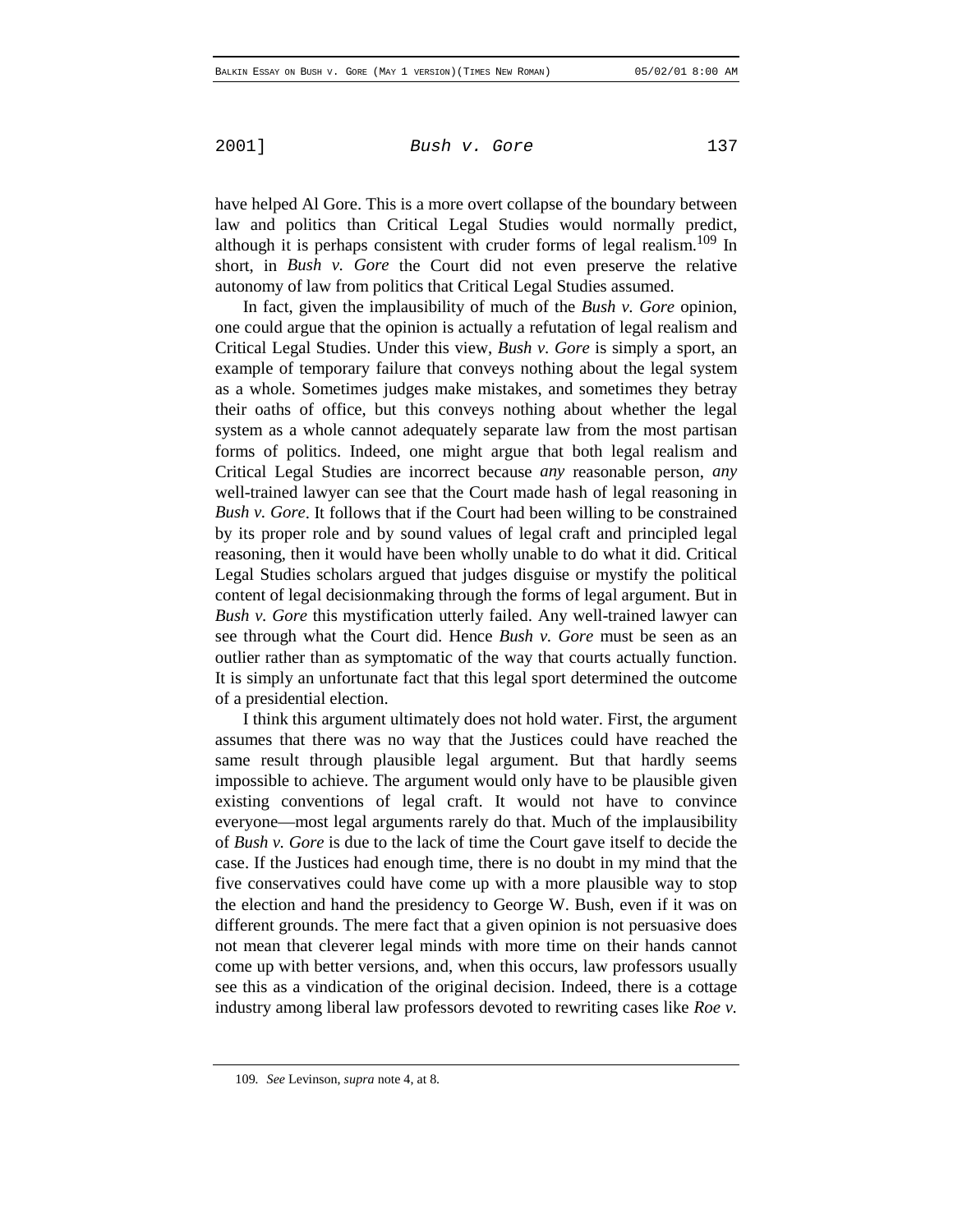have helped Al Gore. This is a more overt collapse of the boundary between law and politics than Critical Legal Studies would normally predict, although it is perhaps consistent with cruder forms of legal realism.<sup>109</sup> In short, in *Bush v. Gore* the Court did not even preserve the relative autonomy of law from politics that Critical Legal Studies assumed.

In fact, given the implausibility of much of the *Bush v. Gore* opinion, one could argue that the opinion is actually a refutation of legal realism and Critical Legal Studies. Under this view, *Bush v. Gore* is simply a sport, an example of temporary failure that conveys nothing about the legal system as a whole. Sometimes judges make mistakes, and sometimes they betray their oaths of office, but this conveys nothing about whether the legal system as a whole cannot adequately separate law from the most partisan forms of politics. Indeed, one might argue that both legal realism and Critical Legal Studies are incorrect because *any* reasonable person, *any* well-trained lawyer can see that the Court made hash of legal reasoning in *Bush v. Gore*. It follows that if the Court had been willing to be constrained by its proper role and by sound values of legal craft and principled legal reasoning, then it would have been wholly unable to do what it did. Critical Legal Studies scholars argued that judges disguise or mystify the political content of legal decisionmaking through the forms of legal argument. But in *Bush v. Gore* this mystification utterly failed. Any well-trained lawyer can see through what the Court did. Hence *Bush v. Gore* must be seen as an outlier rather than as symptomatic of the way that courts actually function. It is simply an unfortunate fact that this legal sport determined the outcome of a presidential election.

I think this argument ultimately does not hold water. First, the argument assumes that there was no way that the Justices could have reached the same result through plausible legal argument. But that hardly seems impossible to achieve. The argument would only have to be plausible given existing conventions of legal craft. It would not have to convince everyone—most legal arguments rarely do that. Much of the implausibility of *Bush v. Gore* is due to the lack of time the Court gave itself to decide the case. If the Justices had enough time, there is no doubt in my mind that the five conservatives could have come up with a more plausible way to stop the election and hand the presidency to George W. Bush, even if it was on different grounds. The mere fact that a given opinion is not persuasive does not mean that cleverer legal minds with more time on their hands cannot come up with better versions, and, when this occurs, law professors usually see this as a vindication of the original decision. Indeed, there is a cottage industry among liberal law professors devoted to rewriting cases like *Roe v.*

<sup>109</sup>*. See* Levinson, *supra* note 4, at 8.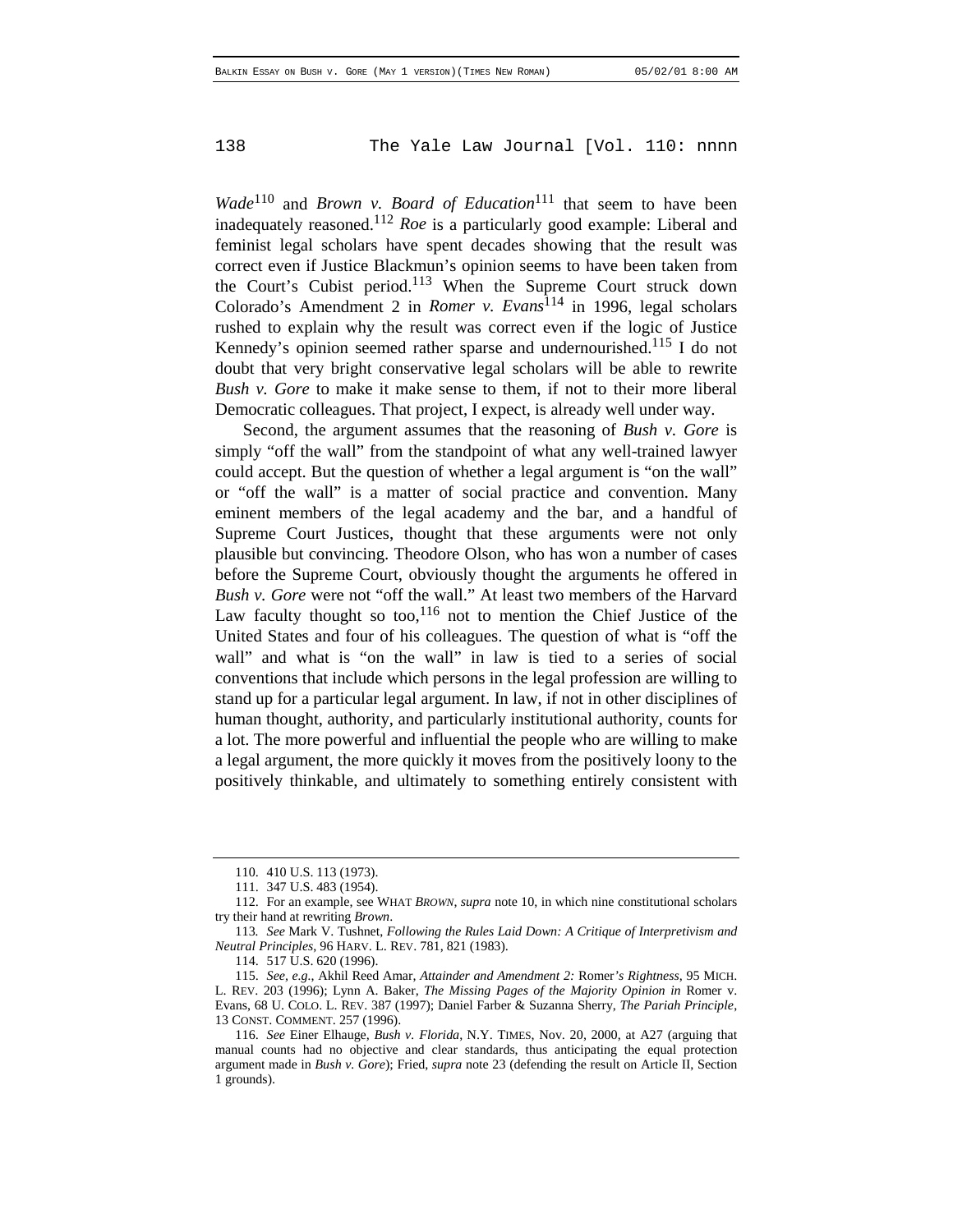*Wade*<sup>110</sup> and *Brown v. Board of Education*<sup>111</sup> that seem to have been inadequately reasoned.112 *Roe* is a particularly good example: Liberal and feminist legal scholars have spent decades showing that the result was correct even if Justice Blackmun's opinion seems to have been taken from the Court's Cubist period.<sup>113</sup> When the Supreme Court struck down Colorado's Amendment 2 in *Romer v. Evans*114 in 1996, legal scholars rushed to explain why the result was correct even if the logic of Justice Kennedy's opinion seemed rather sparse and undernourished.<sup>115</sup> I do not doubt that very bright conservative legal scholars will be able to rewrite *Bush v. Gore* to make it make sense to them, if not to their more liberal Democratic colleagues. That project, I expect, is already well under way.

Second, the argument assumes that the reasoning of *Bush v. Gore* is simply "off the wall" from the standpoint of what any well-trained lawyer could accept. But the question of whether a legal argument is "on the wall" or "off the wall" is a matter of social practice and convention. Many eminent members of the legal academy and the bar, and a handful of Supreme Court Justices, thought that these arguments were not only plausible but convincing. Theodore Olson, who has won a number of cases before the Supreme Court, obviously thought the arguments he offered in *Bush v. Gore* were not "off the wall." At least two members of the Harvard Law faculty thought so too,  $116$  not to mention the Chief Justice of the United States and four of his colleagues. The question of what is "off the wall" and what is "on the wall" in law is tied to a series of social conventions that include which persons in the legal profession are willing to stand up for a particular legal argument. In law, if not in other disciplines of human thought, authority, and particularly institutional authority, counts for a lot. The more powerful and influential the people who are willing to make a legal argument, the more quickly it moves from the positively loony to the positively thinkable, and ultimately to something entirely consistent with

<sup>110. 410</sup> U.S. 113 (1973).

<sup>111. 347</sup> U.S. 483 (1954).

<sup>112.</sup> For an example, see WHAT *BROWN*, *supra* note 10, in which nine constitutional scholars try their hand at rewriting *Brown*.

<sup>113</sup>*. See* Mark V. Tushnet, *Following the Rules Laid Down: A Critique of Interpretivism and Neutral Principles*, 96 HARV. L. REV. 781, 821 (1983).

<sup>114. 517</sup> U.S. 620 (1996).

<sup>115.</sup> *See, e.g.*, Akhil Reed Amar, *Attainder and Amendment 2:* Romer*'s Rightness*, 95 MICH. L. REV. 203 (1996); Lynn A. Baker, *The Missing Pages of the Majority Opinion in* Romer v. Evans, 68 U. COLO. L. REV. 387 (1997); Daniel Farber & Suzanna Sherry, *The Pariah Principle*, 13 CONST. COMMENT. 257 (1996).

<sup>116.</sup> *See* Einer Elhauge, *Bush v. Florida*, N.Y. TIMES, Nov. 20, 2000, at A27 (arguing that manual counts had no objective and clear standards, thus anticipating the equal protection argument made in *Bush v. Gore*); Fried, *supra* note 23 (defending the result on Article II, Section 1 grounds).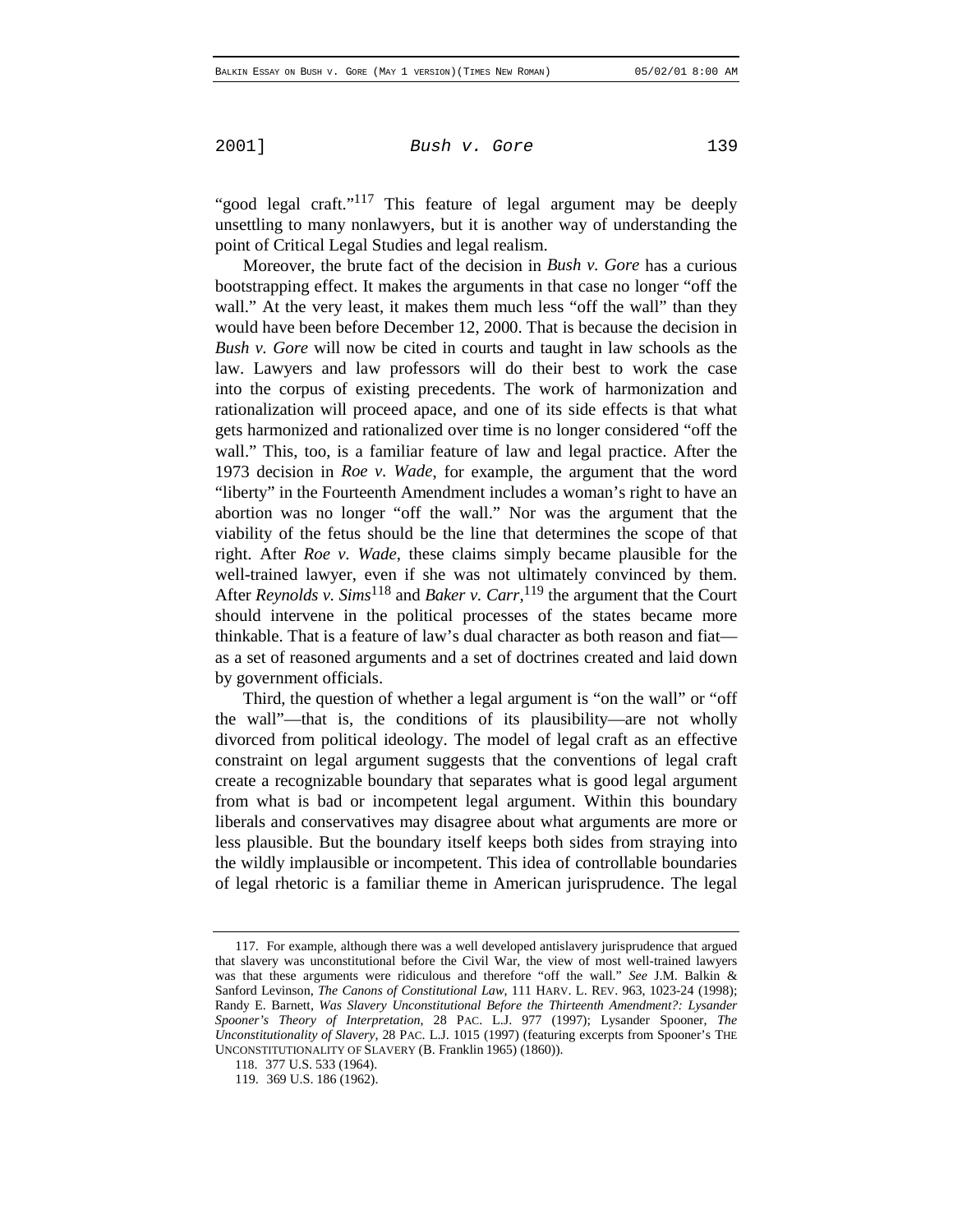"good legal craft."<sup>117</sup> This feature of legal argument may be deeply unsettling to many nonlawyers, but it is another way of understanding the point of Critical Legal Studies and legal realism.

Moreover, the brute fact of the decision in *Bush v. Gore* has a curious bootstrapping effect. It makes the arguments in that case no longer "off the wall." At the very least, it makes them much less "off the wall" than they would have been before December 12, 2000. That is because the decision in *Bush v. Gore* will now be cited in courts and taught in law schools as the law. Lawyers and law professors will do their best to work the case into the corpus of existing precedents. The work of harmonization and rationalization will proceed apace, and one of its side effects is that what gets harmonized and rationalized over time is no longer considered "off the wall." This, too, is a familiar feature of law and legal practice. After the 1973 decision in *Roe v. Wade*, for example, the argument that the word "liberty" in the Fourteenth Amendment includes a woman's right to have an abortion was no longer "off the wall." Nor was the argument that the viability of the fetus should be the line that determines the scope of that right. After *Roe v. Wade*, these claims simply became plausible for the well-trained lawyer, even if she was not ultimately convinced by them. After *Reynolds v. Sims*118 and *Baker v. Carr*, 119 the argument that the Court should intervene in the political processes of the states became more thinkable. That is a feature of law's dual character as both reason and fiat as a set of reasoned arguments and a set of doctrines created and laid down by government officials.

Third, the question of whether a legal argument is "on the wall" or "off the wall"—that is, the conditions of its plausibility—are not wholly divorced from political ideology. The model of legal craft as an effective constraint on legal argument suggests that the conventions of legal craft create a recognizable boundary that separates what is good legal argument from what is bad or incompetent legal argument. Within this boundary liberals and conservatives may disagree about what arguments are more or less plausible. But the boundary itself keeps both sides from straying into the wildly implausible or incompetent. This idea of controllable boundaries of legal rhetoric is a familiar theme in American jurisprudence. The legal

<sup>117.</sup> For example, although there was a well developed antislavery jurisprudence that argued that slavery was unconstitutional before the Civil War, the view of most well-trained lawyers was that these arguments were ridiculous and therefore "off the wall." *See* J.M. Balkin & Sanford Levinson, *The Canons of Constitutional Law*, 111 HARV. L. REV. 963, 1023-24 (1998); Randy E. Barnett, *Was Slavery Unconstitutional Before the Thirteenth Amendment?: Lysander Spooner's Theory of Interpretation*, 28 PAC. L.J. 977 (1997); Lysander Spooner, *The Unconstitutionality of Slavery*, 28 PAC. L.J. 1015 (1997) (featuring excerpts from Spooner's THE UNCONSTITUTIONALITY OF SLAVERY (B. Franklin 1965) (1860)).

<sup>118. 377</sup> U.S. 533 (1964).

<sup>119. 369</sup> U.S. 186 (1962).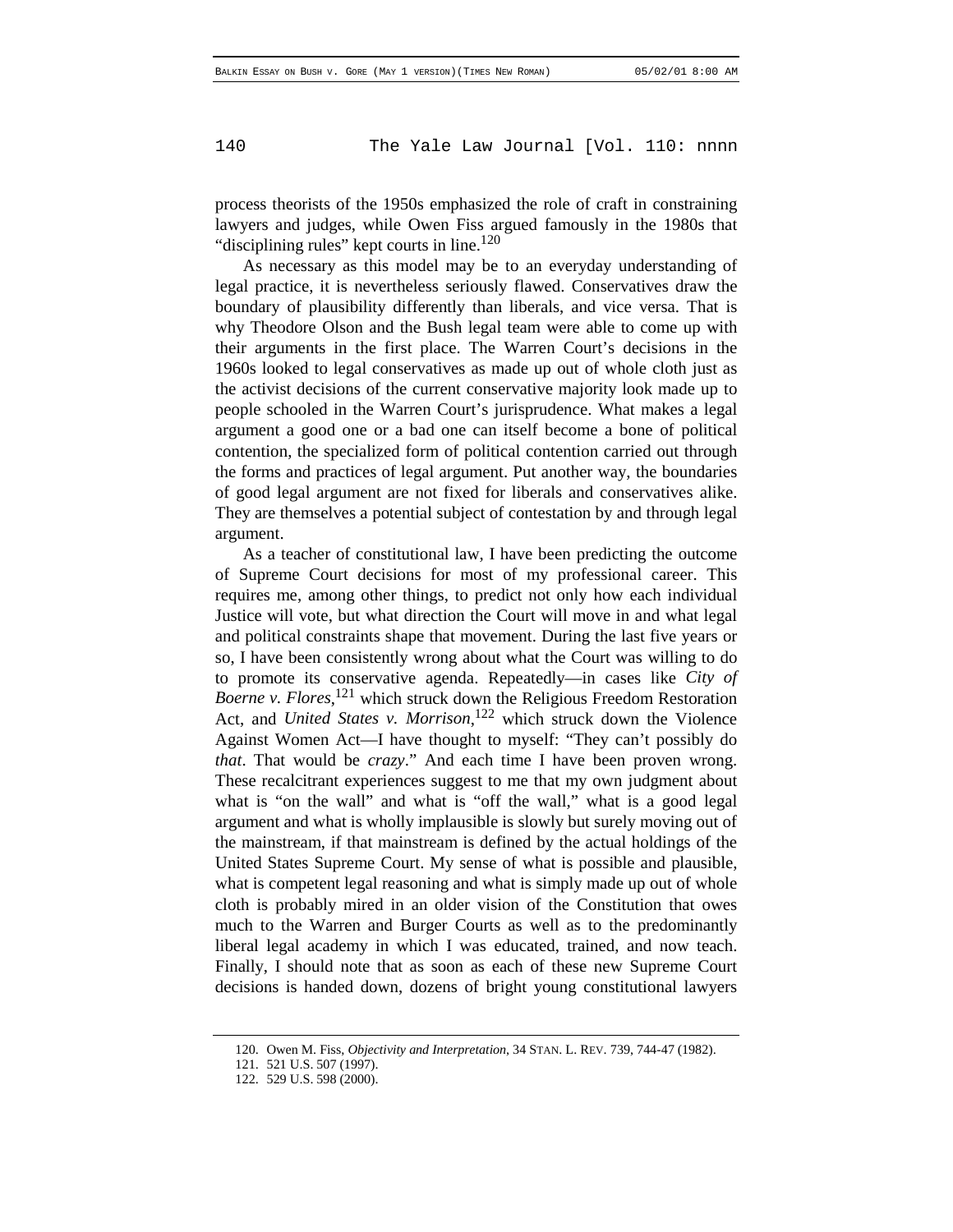process theorists of the 1950s emphasized the role of craft in constraining lawyers and judges, while Owen Fiss argued famously in the 1980s that "disciplining rules" kept courts in line.<sup>120</sup>

As necessary as this model may be to an everyday understanding of legal practice, it is nevertheless seriously flawed. Conservatives draw the boundary of plausibility differently than liberals, and vice versa. That is why Theodore Olson and the Bush legal team were able to come up with their arguments in the first place. The Warren Court's decisions in the 1960s looked to legal conservatives as made up out of whole cloth just as the activist decisions of the current conservative majority look made up to people schooled in the Warren Court's jurisprudence. What makes a legal argument a good one or a bad one can itself become a bone of political contention, the specialized form of political contention carried out through the forms and practices of legal argument. Put another way, the boundaries of good legal argument are not fixed for liberals and conservatives alike. They are themselves a potential subject of contestation by and through legal argument.

As a teacher of constitutional law, I have been predicting the outcome of Supreme Court decisions for most of my professional career. This requires me, among other things, to predict not only how each individual Justice will vote, but what direction the Court will move in and what legal and political constraints shape that movement. During the last five years or so, I have been consistently wrong about what the Court was willing to do to promote its conservative agenda. Repeatedly—in cases like *City of Boerne v. Flores*, 121 which struck down the Religious Freedom Restoration Act, and *United States v. Morrison*, 122 which struck down the Violence Against Women Act—I have thought to myself: "They can't possibly do *that*. That would be *crazy*." And each time I have been proven wrong. These recalcitrant experiences suggest to me that my own judgment about what is "on the wall" and what is "off the wall," what is a good legal argument and what is wholly implausible is slowly but surely moving out of the mainstream, if that mainstream is defined by the actual holdings of the United States Supreme Court. My sense of what is possible and plausible, what is competent legal reasoning and what is simply made up out of whole cloth is probably mired in an older vision of the Constitution that owes much to the Warren and Burger Courts as well as to the predominantly liberal legal academy in which I was educated, trained, and now teach. Finally, I should note that as soon as each of these new Supreme Court decisions is handed down, dozens of bright young constitutional lawyers

<sup>120.</sup> Owen M. Fiss, *Objectivity and Interpretation*, 34 STAN. L. REV. 739, 744-47 (1982).

<sup>121. 521</sup> U.S. 507 (1997).

<sup>122. 529</sup> U.S. 598 (2000).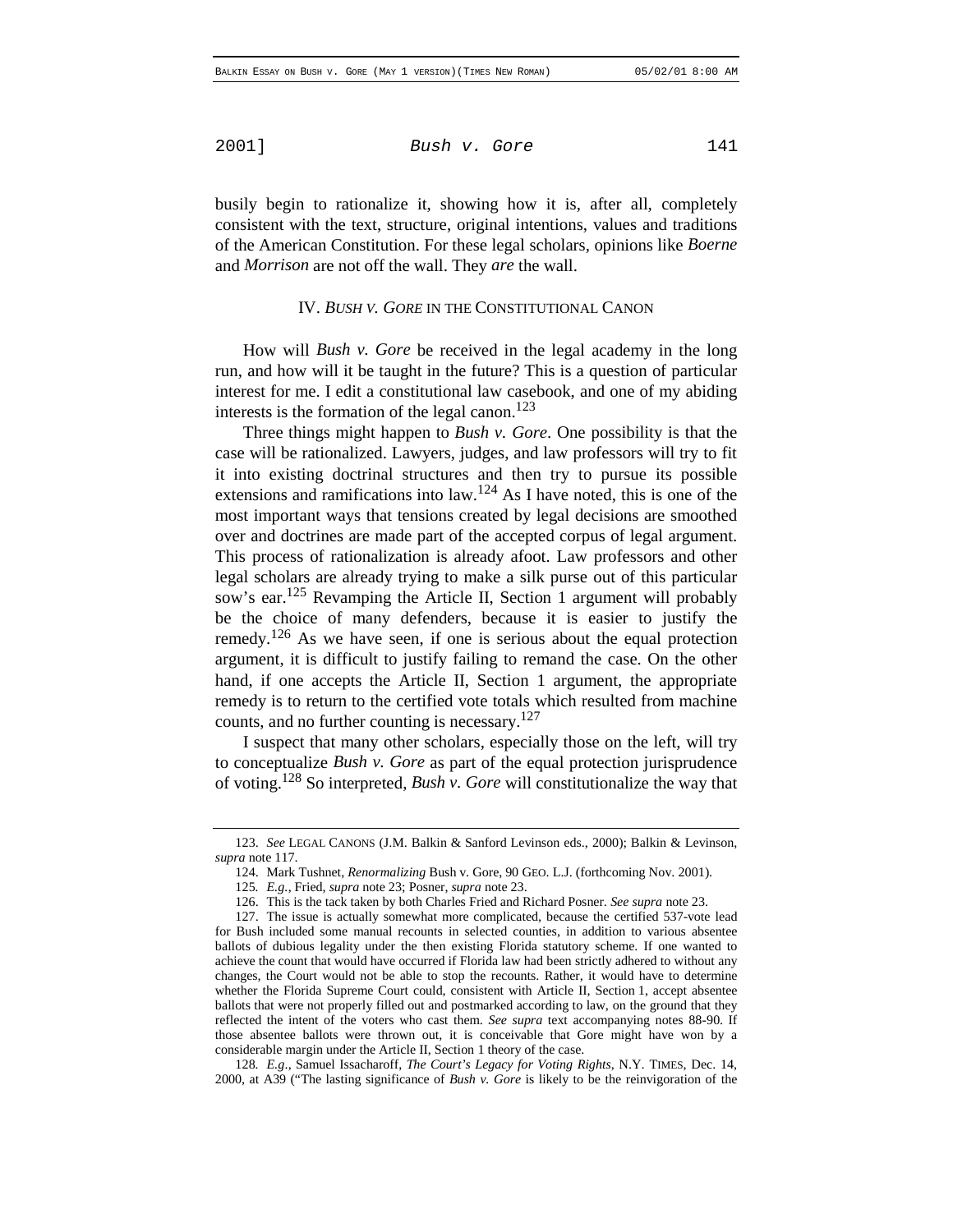busily begin to rationalize it, showing how it is, after all, completely consistent with the text, structure, original intentions, values and traditions of the American Constitution. For these legal scholars, opinions like *Boerne* and *Morrison* are not off the wall. They *are* the wall.

#### IV. *BUSH V. GORE* IN THE CONSTITUTIONAL CANON

How will *Bush v. Gore* be received in the legal academy in the long run, and how will it be taught in the future? This is a question of particular interest for me. I edit a constitutional law casebook, and one of my abiding interests is the formation of the legal canon.<sup>123</sup>

Three things might happen to *Bush v. Gore*. One possibility is that the case will be rationalized. Lawyers, judges, and law professors will try to fit it into existing doctrinal structures and then try to pursue its possible extensions and ramifications into law.<sup>124</sup> As I have noted, this is one of the most important ways that tensions created by legal decisions are smoothed over and doctrines are made part of the accepted corpus of legal argument. This process of rationalization is already afoot. Law professors and other legal scholars are already trying to make a silk purse out of this particular sow's ear.<sup>125</sup> Revamping the Article II, Section 1 argument will probably be the choice of many defenders, because it is easier to justify the remedy.<sup>126</sup> As we have seen, if one is serious about the equal protection argument, it is difficult to justify failing to remand the case. On the other hand, if one accepts the Article II, Section 1 argument, the appropriate remedy is to return to the certified vote totals which resulted from machine counts, and no further counting is necessary.<sup>127</sup>

I suspect that many other scholars, especially those on the left, will try to conceptualize *Bush v. Gore* as part of the equal protection jurisprudence of voting.128 So interpreted, *Bush v. Gore* will constitutionalize the way that

128*. E.g*., Samuel Issacharoff, *The Court's Legacy for Voting Rights*, N.Y. TIMES, Dec. 14, 2000, at A39 ("The lasting significance of *Bush v. Gore* is likely to be the reinvigoration of the

<sup>123.</sup> *See* LEGAL CANONS (J.M. Balkin & Sanford Levinson eds., 2000); Balkin & Levinson, *supra* note 117.

<sup>124.</sup> Mark Tushnet, *Renormalizing* Bush v. Gore, 90 GEO. L.J. (forthcoming Nov. 2001).

<sup>125</sup>*. E.g.*, Fried, *supra* note 23; Posner, *supra* note 23.

<sup>126.</sup> This is the tack taken by both Charles Fried and Richard Posner. *See supra* note 23.

<sup>127.</sup> The issue is actually somewhat more complicated, because the certified 537-vote lead for Bush included some manual recounts in selected counties, in addition to various absentee ballots of dubious legality under the then existing Florida statutory scheme. If one wanted to achieve the count that would have occurred if Florida law had been strictly adhered to without any changes, the Court would not be able to stop the recounts. Rather, it would have to determine whether the Florida Supreme Court could, consistent with Article II, Section 1, accept absentee ballots that were not properly filled out and postmarked according to law, on the ground that they reflected the intent of the voters who cast them. *See supra* text accompanying notes 88-90. If those absentee ballots were thrown out, it is conceivable that Gore might have won by a considerable margin under the Article II, Section 1 theory of the case.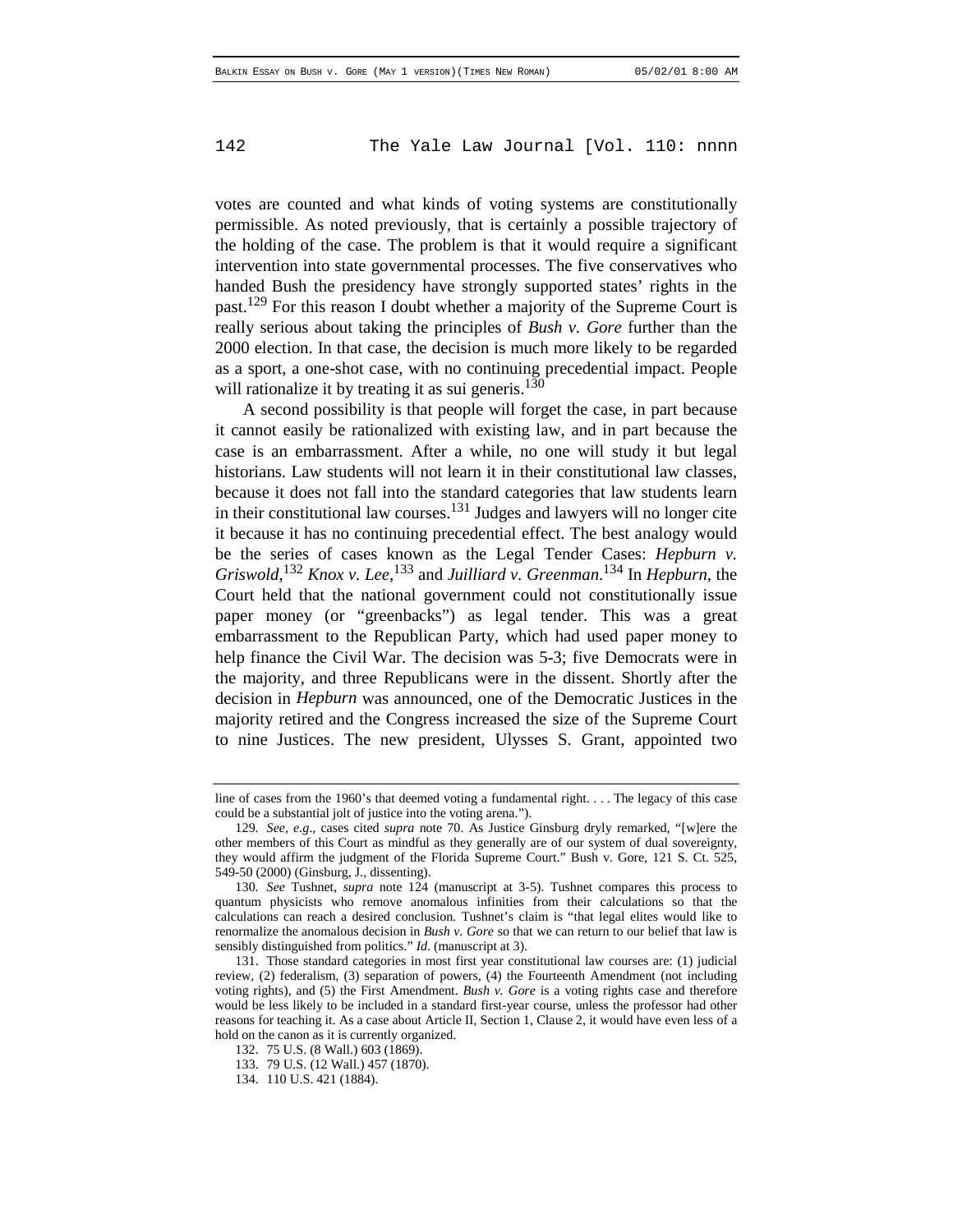votes are counted and what kinds of voting systems are constitutionally permissible. As noted previously, that is certainly a possible trajectory of the holding of the case. The problem is that it would require a significant intervention into state governmental processes. The five conservatives who handed Bush the presidency have strongly supported states' rights in the past.<sup>129</sup> For this reason I doubt whether a majority of the Supreme Court is really serious about taking the principles of *Bush v. Gore* further than the 2000 election. In that case, the decision is much more likely to be regarded as a sport, a one-shot case, with no continuing precedential impact. People will rationalize it by treating it as sui generis.<sup>130</sup>

A second possibility is that people will forget the case, in part because it cannot easily be rationalized with existing law, and in part because the case is an embarrassment. After a while, no one will study it but legal historians. Law students will not learn it in their constitutional law classes, because it does not fall into the standard categories that law students learn in their constitutional law courses.<sup>131</sup> Judges and lawyers will no longer cite it because it has no continuing precedential effect. The best analogy would be the series of cases known as the Legal Tender Cases: *Hepburn v.* Griswold,<sup>132</sup> Knox v. Lee,<sup>133</sup> and Juilliard v. Greenman.<sup>134</sup> In *Hepburn*, the Court held that the national government could not constitutionally issue paper money (or "greenbacks") as legal tender. This was a great embarrassment to the Republican Party, which had used paper money to help finance the Civil War. The decision was 5-3; five Democrats were in the majority, and three Republicans were in the dissent. Shortly after the decision in *Hepburn* was announced, one of the Democratic Justices in the majority retired and the Congress increased the size of the Supreme Court to nine Justices. The new president, Ulysses S. Grant, appointed two

line of cases from the 1960's that deemed voting a fundamental right. . . . The legacy of this case could be a substantial jolt of justice into the voting arena.").

<sup>129</sup>*. See, e.g*., cases cited *supra* note 70. As Justice Ginsburg dryly remarked, "[w]ere the other members of this Court as mindful as they generally are of our system of dual sovereignty, they would affirm the judgment of the Florida Supreme Court." Bush v. Gore, 121 S. Ct. 525, 549-50 (2000) (Ginsburg, J., dissenting).

<sup>130</sup>*. See* Tushnet, *supra* note 124 (manuscript at 3-5). Tushnet compares this process to quantum physicists who remove anomalous infinities from their calculations so that the calculations can reach a desired conclusion. Tushnet's claim is "that legal elites would like to renormalize the anomalous decision in *Bush v. Gore* so that we can return to our belief that law is sensibly distinguished from politics." *Id*. (manuscript at 3).

<sup>131.</sup> Those standard categories in most first year constitutional law courses are: (1) judicial review, (2) federalism, (3) separation of powers, (4) the Fourteenth Amendment (not including voting rights), and (5) the First Amendment. *Bush v. Gore* is a voting rights case and therefore would be less likely to be included in a standard first-year course, unless the professor had other reasons for teaching it. As a case about Article II, Section 1, Clause 2, it would have even less of a hold on the canon as it is currently organized.

<sup>132. 75</sup> U.S. (8 Wall.) 603 (1869).

<sup>133. 79</sup> U.S. (12 Wall.) 457 (1870).

<sup>134. 110</sup> U.S. 421 (1884).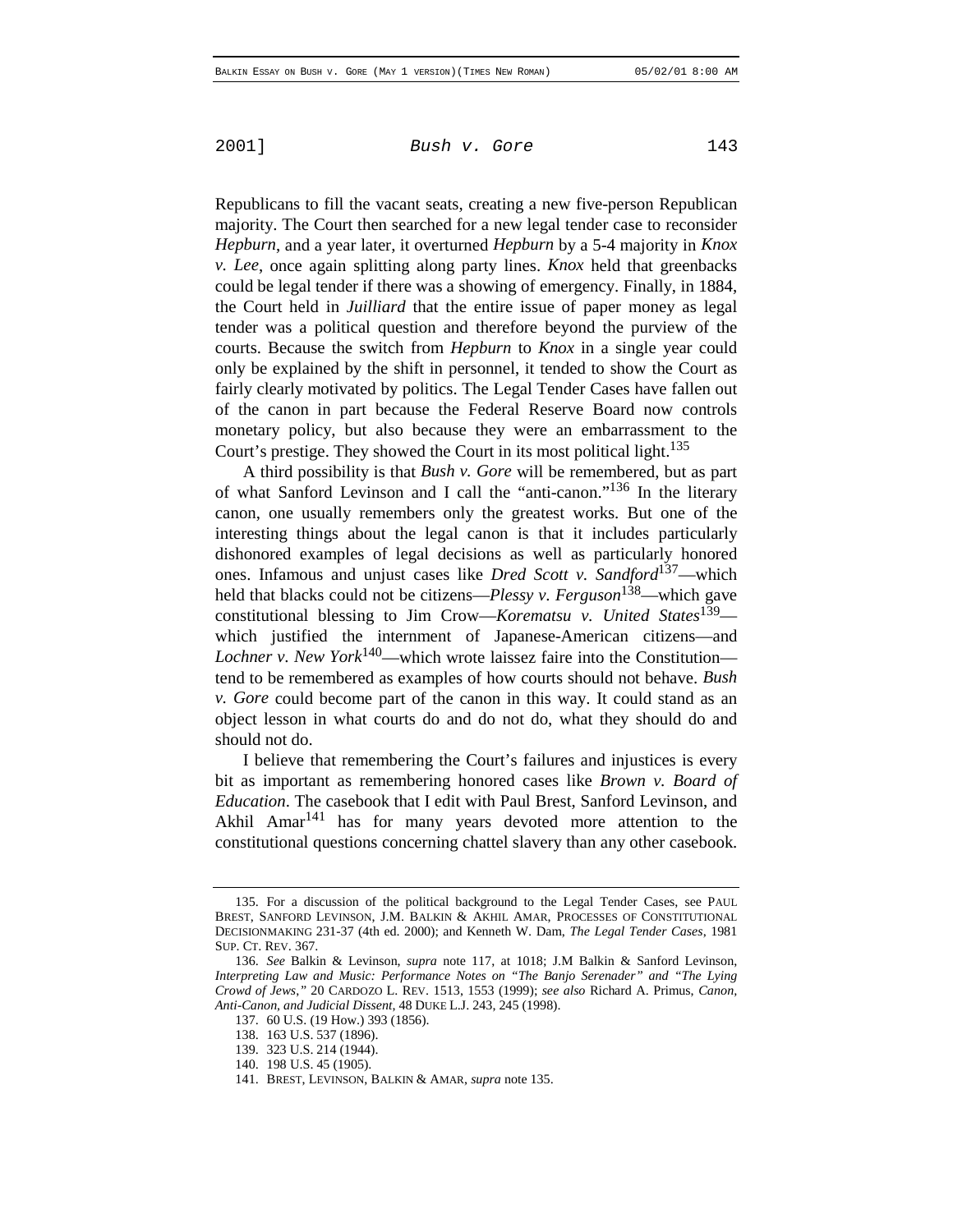Republicans to fill the vacant seats, creating a new five-person Republican majority. The Court then searched for a new legal tender case to reconsider *Hepburn*, and a year later, it overturned *Hepburn* by a 5-4 majority in *Knox v. Lee*, once again splitting along party lines. *Knox* held that greenbacks could be legal tender if there was a showing of emergency. Finally, in 1884, the Court held in *Juilliard* that the entire issue of paper money as legal tender was a political question and therefore beyond the purview of the courts. Because the switch from *Hepburn* to *Knox* in a single year could only be explained by the shift in personnel, it tended to show the Court as fairly clearly motivated by politics. The Legal Tender Cases have fallen out of the canon in part because the Federal Reserve Board now controls monetary policy, but also because they were an embarrassment to the Court's prestige. They showed the Court in its most political light.<sup>135</sup>

A third possibility is that *Bush v. Gore* will be remembered, but as part of what Sanford Levinson and I call the "anti-canon."136 In the literary canon, one usually remembers only the greatest works. But one of the interesting things about the legal canon is that it includes particularly dishonored examples of legal decisions as well as particularly honored ones. Infamous and unjust cases like *Dred Scott v. Sandford*137—which held that blacks could not be citizens—*Plessy v. Ferguson*138—which gave constitutional blessing to Jim Crow—*Korematsu v. United States*139 which justified the internment of Japanese-American citizens—and *Lochner v. New York*140—which wrote laissez faire into the Constitution tend to be remembered as examples of how courts should not behave. *Bush v. Gore* could become part of the canon in this way. It could stand as an object lesson in what courts do and do not do, what they should do and should not do.

I believe that remembering the Court's failures and injustices is every bit as important as remembering honored cases like *Brown v. Board of Education*. The casebook that I edit with Paul Brest, Sanford Levinson, and Akhil Amar<sup>141</sup> has for many years devoted more attention to the constitutional questions concerning chattel slavery than any other casebook.

<sup>135.</sup> For a discussion of the political background to the Legal Tender Cases, see PAUL BREST, SANFORD LEVINSON, J.M. BALKIN & AKHIL AMAR, PROCESSES OF CONSTITUTIONAL DECISIONMAKING 231-37 (4th ed. 2000); and Kenneth W. Dam, *The Legal Tender Cases*, 1981 SUP. CT. REV. 367.

<sup>136.</sup> *See* Balkin & Levinson, *supra* note 117, at 1018; J.M Balkin & Sanford Levinson, *Interpreting Law and Music: Performance Notes on "The Banjo Serenader" and "The Lying Crowd of Jews*,*"* 20 CARDOZO L. REV. 1513, 1553 (1999); *see also* Richard A. Primus, *Canon, Anti-Canon, and Judicial Dissent*, 48 DUKE L.J. 243, 245 (1998).

<sup>137. 60</sup> U.S. (19 How.) 393 (1856).

<sup>138. 163</sup> U.S. 537 (1896).

<sup>139. 323</sup> U.S. 214 (1944).

<sup>140. 198</sup> U.S. 45 (1905).

<sup>141.</sup> BREST, LEVINSON, BALKIN & AMAR, *supra* note 135.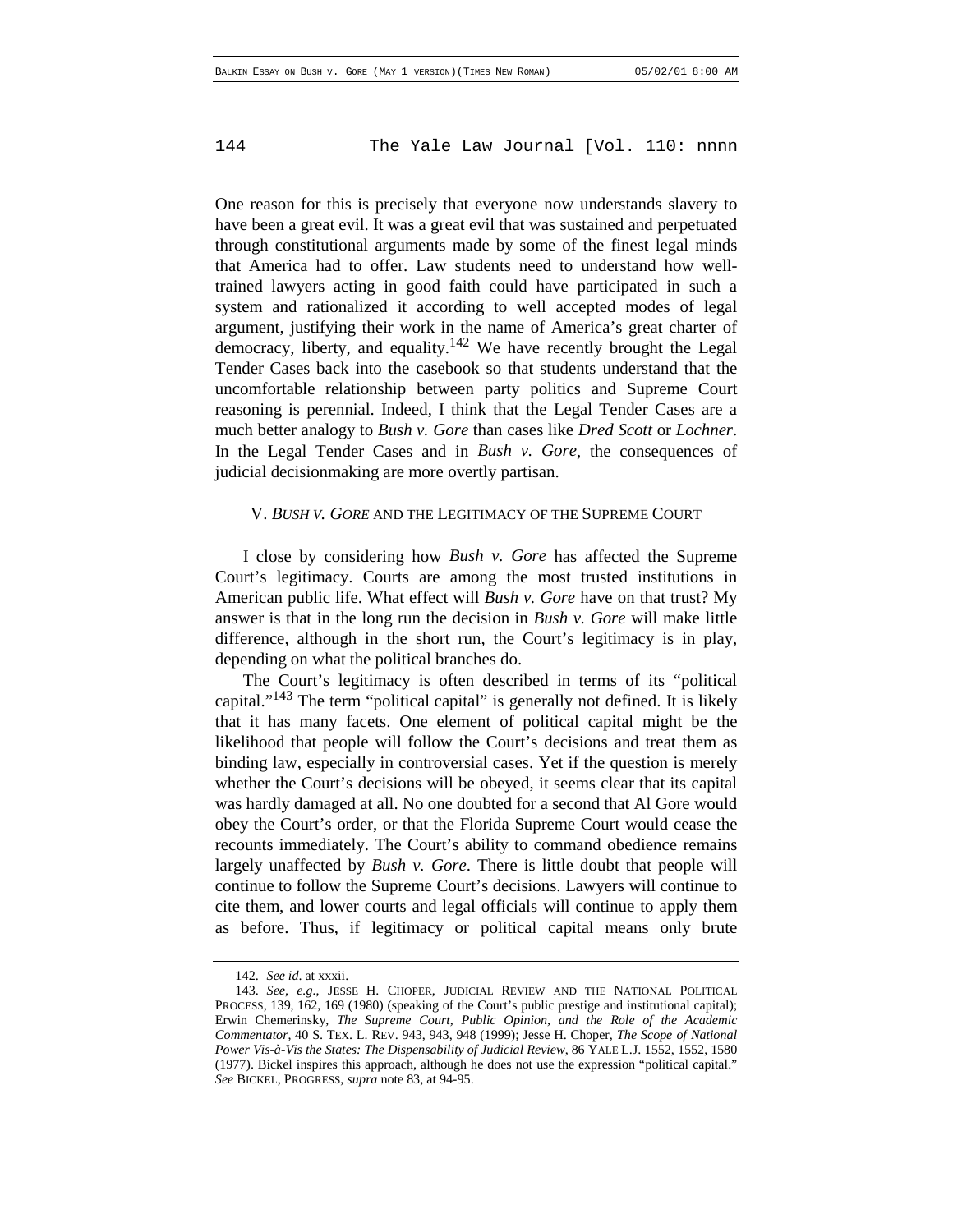One reason for this is precisely that everyone now understands slavery to have been a great evil. It was a great evil that was sustained and perpetuated through constitutional arguments made by some of the finest legal minds that America had to offer. Law students need to understand how welltrained lawyers acting in good faith could have participated in such a system and rationalized it according to well accepted modes of legal argument, justifying their work in the name of America's great charter of democracy, liberty, and equality.<sup>142</sup> We have recently brought the Legal Tender Cases back into the casebook so that students understand that the uncomfortable relationship between party politics and Supreme Court reasoning is perennial. Indeed, I think that the Legal Tender Cases are a much better analogy to *Bush v. Gore* than cases like *Dred Scott* or *Lochner*. In the Legal Tender Cases and in *Bush v. Gore*, the consequences of judicial decisionmaking are more overtly partisan.

#### V. *BUSH V. GORE* AND THE LEGITIMACY OF THE SUPREME COURT

I close by considering how *Bush v. Gore* has affected the Supreme Court's legitimacy. Courts are among the most trusted institutions in American public life. What effect will *Bush v. Gore* have on that trust? My answer is that in the long run the decision in *Bush v. Gore* will make little difference, although in the short run, the Court's legitimacy is in play, depending on what the political branches do.

The Court's legitimacy is often described in terms of its "political capital."<sup>143</sup> The term "political capital" is generally not defined. It is likely that it has many facets. One element of political capital might be the likelihood that people will follow the Court's decisions and treat them as binding law, especially in controversial cases. Yet if the question is merely whether the Court's decisions will be obeyed, it seems clear that its capital was hardly damaged at all. No one doubted for a second that Al Gore would obey the Court's order, or that the Florida Supreme Court would cease the recounts immediately. The Court's ability to command obedience remains largely unaffected by *Bush v. Gore*. There is little doubt that people will continue to follow the Supreme Court's decisions. Lawyers will continue to cite them, and lower courts and legal officials will continue to apply them as before. Thus, if legitimacy or political capital means only brute

<sup>142.</sup> *See id*. at xxxii.

<sup>143.</sup> *See, e.g.*, JESSE H. CHOPER, JUDICIAL REVIEW AND THE NATIONAL POLITICAL PROCESS, 139, 162, 169 (1980) (speaking of the Court's public prestige and institutional capital); Erwin Chemerinsky, *The Supreme Court, Public Opinion, and the Role of the Academic Commentator*, 40 S. TEX. L. REV. 943, 943, 948 (1999); Jesse H. Choper, *The Scope of National Power Vis-à-Vis the States: The Dispensability of Judicial Review*, 86 YALE L.J. 1552, 1552, 1580 (1977). Bickel inspires this approach, although he does not use the expression "political capital." *See* BICKEL, PROGRESS, *supra* note 83, at 94-95.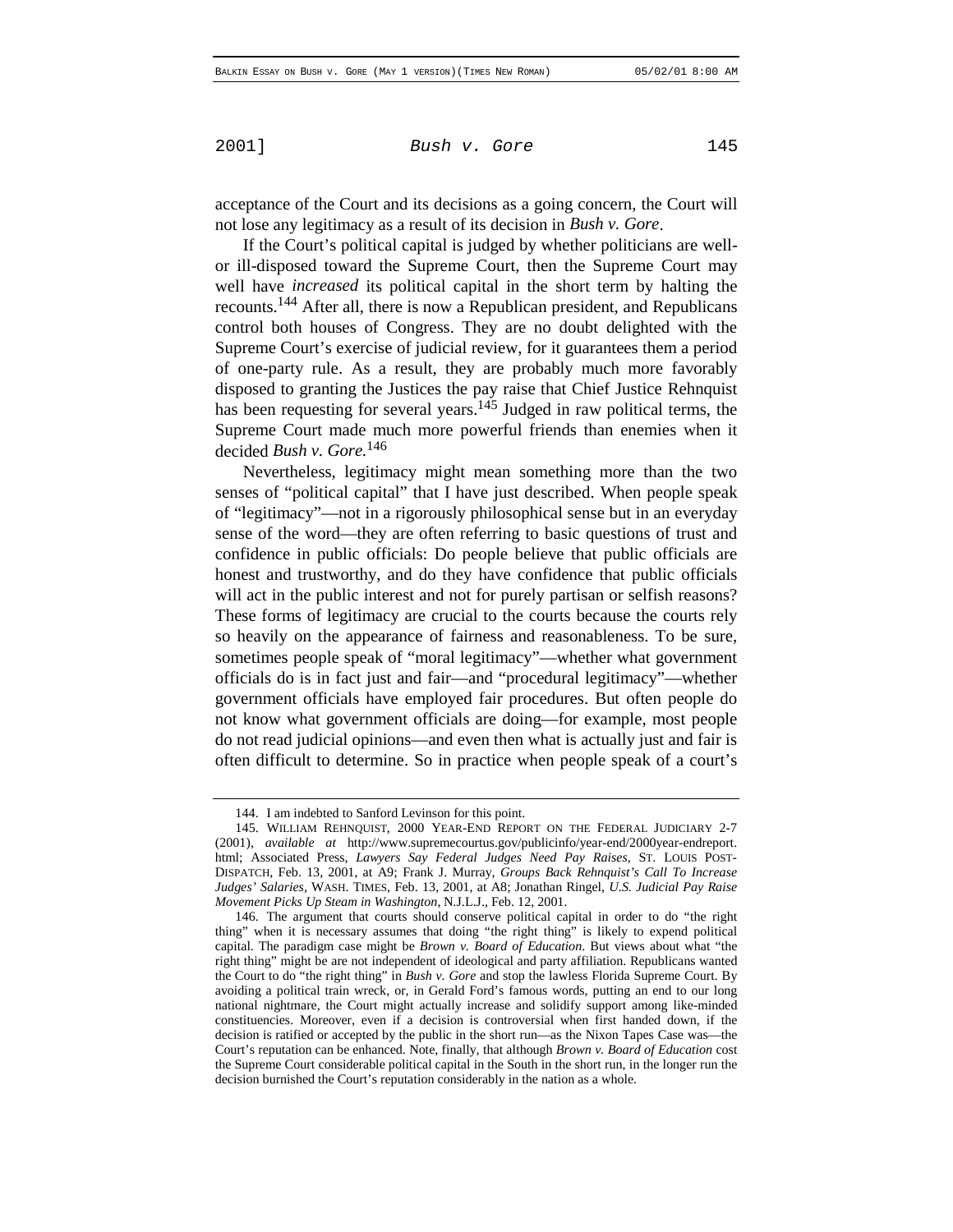acceptance of the Court and its decisions as a going concern, the Court will not lose any legitimacy as a result of its decision in *Bush v. Gore*.

If the Court's political capital is judged by whether politicians are wellor ill-disposed toward the Supreme Court, then the Supreme Court may well have *increased* its political capital in the short term by halting the recounts.144 After all, there is now a Republican president, and Republicans control both houses of Congress. They are no doubt delighted with the Supreme Court's exercise of judicial review, for it guarantees them a period of one-party rule. As a result, they are probably much more favorably disposed to granting the Justices the pay raise that Chief Justice Rehnquist has been requesting for several years.<sup>145</sup> Judged in raw political terms, the Supreme Court made much more powerful friends than enemies when it decided *Bush v. Gore.*<sup>146</sup>

Nevertheless, legitimacy might mean something more than the two senses of "political capital" that I have just described. When people speak of "legitimacy"—not in a rigorously philosophical sense but in an everyday sense of the word—they are often referring to basic questions of trust and confidence in public officials: Do people believe that public officials are honest and trustworthy, and do they have confidence that public officials will act in the public interest and not for purely partisan or selfish reasons? These forms of legitimacy are crucial to the courts because the courts rely so heavily on the appearance of fairness and reasonableness. To be sure, sometimes people speak of "moral legitimacy"—whether what government officials do is in fact just and fair—and "procedural legitimacy"—whether government officials have employed fair procedures. But often people do not know what government officials are doing—for example, most people do not read judicial opinions—and even then what is actually just and fair is often difficult to determine. So in practice when people speak of a court's

<sup>144.</sup> I am indebted to Sanford Levinson for this point.

<sup>145.</sup> WILLIAM REHNQUIST, 2000 YEAR-END REPORT ON THE FEDERAL JUDICIARY 2-7 (2001), *available at* http://www.supremecourtus.gov/publicinfo/year-end/2000year-endreport. html; Associated Press, *Lawyers Say Federal Judges Need Pay Raises*, ST. LOUIS POST-DISPATCH, Feb. 13, 2001, at A9; Frank J. Murray, *Groups Back Rehnquist's Call To Increase Judges' Salaries*, WASH. TIMES, Feb. 13, 2001, at A8; Jonathan Ringel, *U.S. Judicial Pay Raise Movement Picks Up Steam in Washington*, N.J.L.J., Feb. 12, 2001.

<sup>146.</sup> The argument that courts should conserve political capital in order to do "the right thing" when it is necessary assumes that doing "the right thing" is likely to expend political capital. The paradigm case might be *Brown v. Board of Education*. But views about what "the right thing" might be are not independent of ideological and party affiliation. Republicans wanted the Court to do "the right thing" in *Bush v. Gore* and stop the lawless Florida Supreme Court. By avoiding a political train wreck, or, in Gerald Ford's famous words, putting an end to our long national nightmare, the Court might actually increase and solidify support among like-minded constituencies. Moreover, even if a decision is controversial when first handed down, if the decision is ratified or accepted by the public in the short run—as the Nixon Tapes Case was—the Court's reputation can be enhanced. Note, finally, that although *Brown v. Board of Education* cost the Supreme Court considerable political capital in the South in the short run, in the longer run the decision burnished the Court's reputation considerably in the nation as a whole.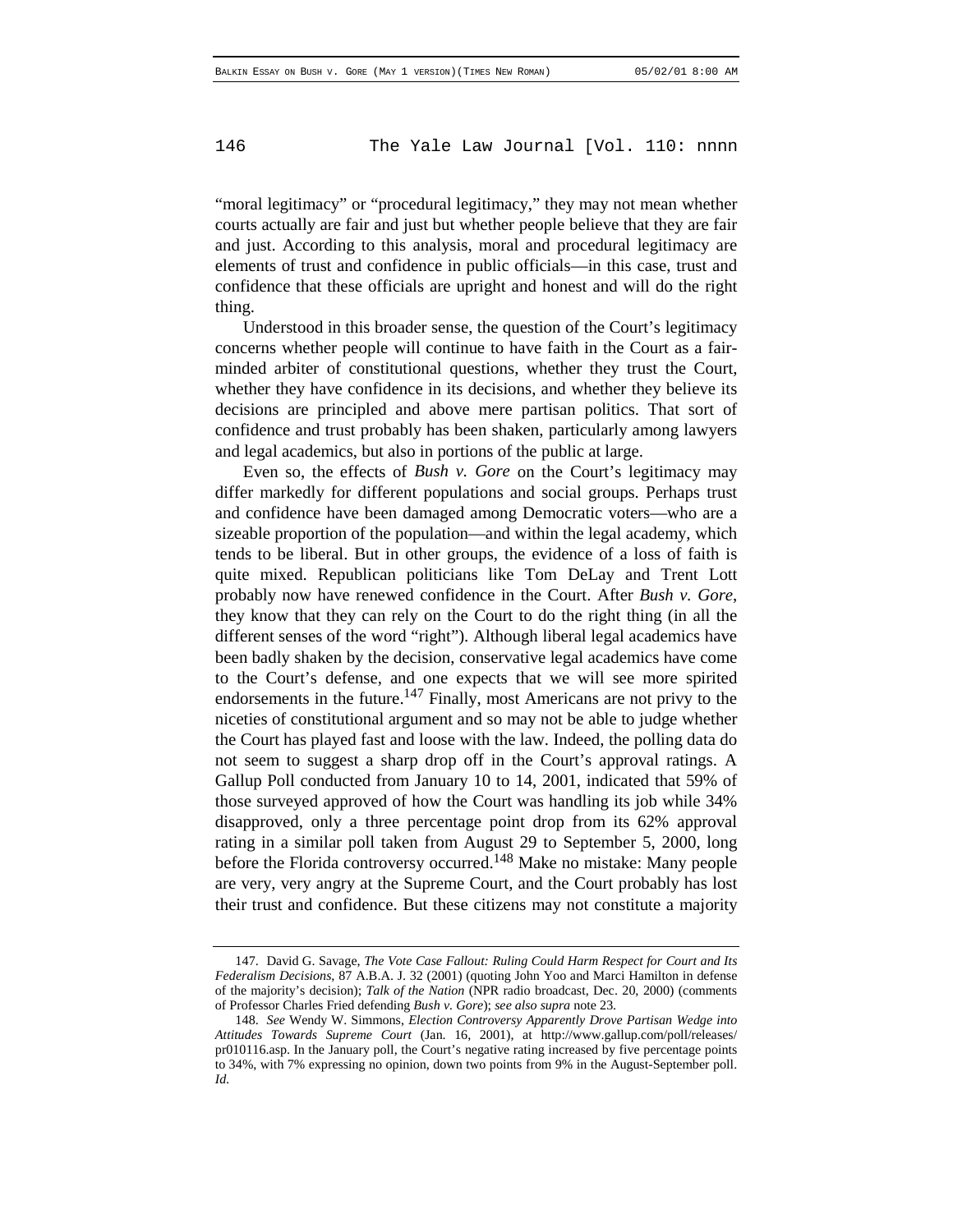"moral legitimacy" or "procedural legitimacy," they may not mean whether courts actually are fair and just but whether people believe that they are fair and just. According to this analysis, moral and procedural legitimacy are elements of trust and confidence in public officials—in this case, trust and confidence that these officials are upright and honest and will do the right thing.

Understood in this broader sense, the question of the Court's legitimacy concerns whether people will continue to have faith in the Court as a fairminded arbiter of constitutional questions, whether they trust the Court, whether they have confidence in its decisions, and whether they believe its decisions are principled and above mere partisan politics. That sort of confidence and trust probably has been shaken, particularly among lawyers and legal academics, but also in portions of the public at large.

Even so, the effects of *Bush v. Gore* on the Court's legitimacy may differ markedly for different populations and social groups. Perhaps trust and confidence have been damaged among Democratic voters—who are a sizeable proportion of the population—and within the legal academy, which tends to be liberal. But in other groups, the evidence of a loss of faith is quite mixed. Republican politicians like Tom DeLay and Trent Lott probably now have renewed confidence in the Court. After *Bush v. Gore*, they know that they can rely on the Court to do the right thing (in all the different senses of the word "right"). Although liberal legal academics have been badly shaken by the decision, conservative legal academics have come to the Court's defense, and one expects that we will see more spirited endorsements in the future.<sup>147</sup> Finally, most Americans are not privy to the niceties of constitutional argument and so may not be able to judge whether the Court has played fast and loose with the law. Indeed, the polling data do not seem to suggest a sharp drop off in the Court's approval ratings. A Gallup Poll conducted from January 10 to 14, 2001, indicated that 59% of those surveyed approved of how the Court was handling its job while 34% disapproved, only a three percentage point drop from its 62% approval rating in a similar poll taken from August 29 to September 5, 2000, long before the Florida controversy occurred.<sup>148</sup> Make no mistake: Many people are very, very angry at the Supreme Court, and the Court probably has lost their trust and confidence. But these citizens may not constitute a majority

<sup>147.</sup> David G. Savage, *The Vote Case Fallout: Ruling Could Harm Respect for Court and Its Federalism Decisions*, 87 A.B.A. J. 32 (2001) (quoting John Yoo and Marci Hamilton in defense of the majority's decision); *Talk of the Nation* (NPR radio broadcast, Dec. 20, 2000) (comments of Professor Charles Fried defending *Bush v. Gore*); *see also supra* note 23.

<sup>148.</sup> *See* Wendy W. Simmons, *Election Controversy Apparently Drove Partisan Wedge into Attitudes Towards Supreme Court* (Jan. 16, 2001), at http://www.gallup.com/poll/releases/ pr010116.asp. In the January poll, the Court's negative rating increased by five percentage points to 34%, with 7% expressing no opinion, down two points from 9% in the August-September poll. *Id.*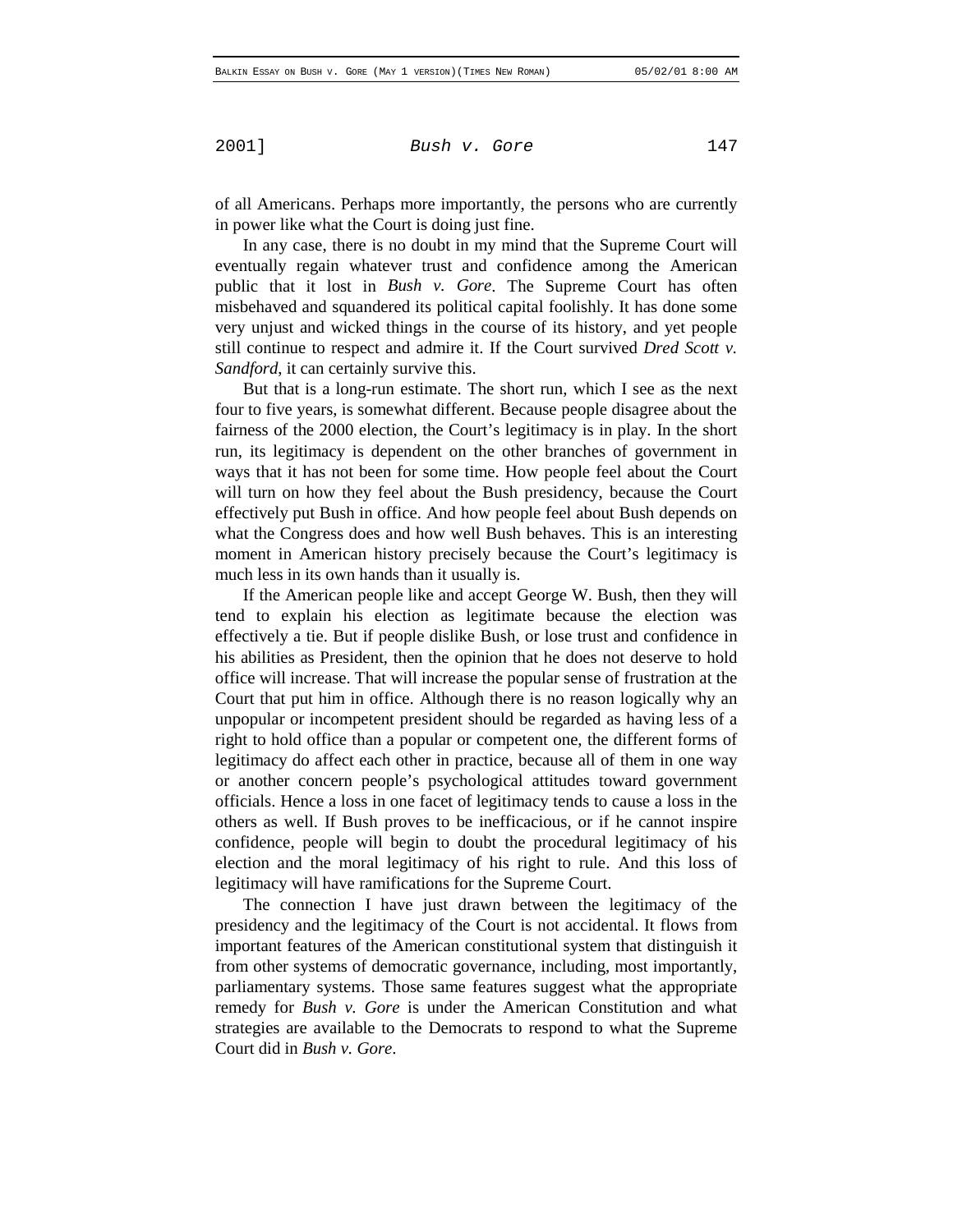of all Americans. Perhaps more importantly, the persons who are currently in power like what the Court is doing just fine.

In any case, there is no doubt in my mind that the Supreme Court will eventually regain whatever trust and confidence among the American public that it lost in *Bush v. Gore*. The Supreme Court has often misbehaved and squandered its political capital foolishly. It has done some very unjust and wicked things in the course of its history, and yet people still continue to respect and admire it. If the Court survived *Dred Scott v. Sandford*, it can certainly survive this.

But that is a long-run estimate. The short run, which I see as the next four to five years, is somewhat different. Because people disagree about the fairness of the 2000 election, the Court's legitimacy is in play. In the short run, its legitimacy is dependent on the other branches of government in ways that it has not been for some time. How people feel about the Court will turn on how they feel about the Bush presidency, because the Court effectively put Bush in office. And how people feel about Bush depends on what the Congress does and how well Bush behaves. This is an interesting moment in American history precisely because the Court's legitimacy is much less in its own hands than it usually is.

If the American people like and accept George W. Bush, then they will tend to explain his election as legitimate because the election was effectively a tie. But if people dislike Bush, or lose trust and confidence in his abilities as President, then the opinion that he does not deserve to hold office will increase. That will increase the popular sense of frustration at the Court that put him in office. Although there is no reason logically why an unpopular or incompetent president should be regarded as having less of a right to hold office than a popular or competent one, the different forms of legitimacy do affect each other in practice, because all of them in one way or another concern people's psychological attitudes toward government officials. Hence a loss in one facet of legitimacy tends to cause a loss in the others as well. If Bush proves to be inefficacious, or if he cannot inspire confidence, people will begin to doubt the procedural legitimacy of his election and the moral legitimacy of his right to rule. And this loss of legitimacy will have ramifications for the Supreme Court.

The connection I have just drawn between the legitimacy of the presidency and the legitimacy of the Court is not accidental. It flows from important features of the American constitutional system that distinguish it from other systems of democratic governance, including, most importantly, parliamentary systems. Those same features suggest what the appropriate remedy for *Bush v. Gore* is under the American Constitution and what strategies are available to the Democrats to respond to what the Supreme Court did in *Bush v. Gore*.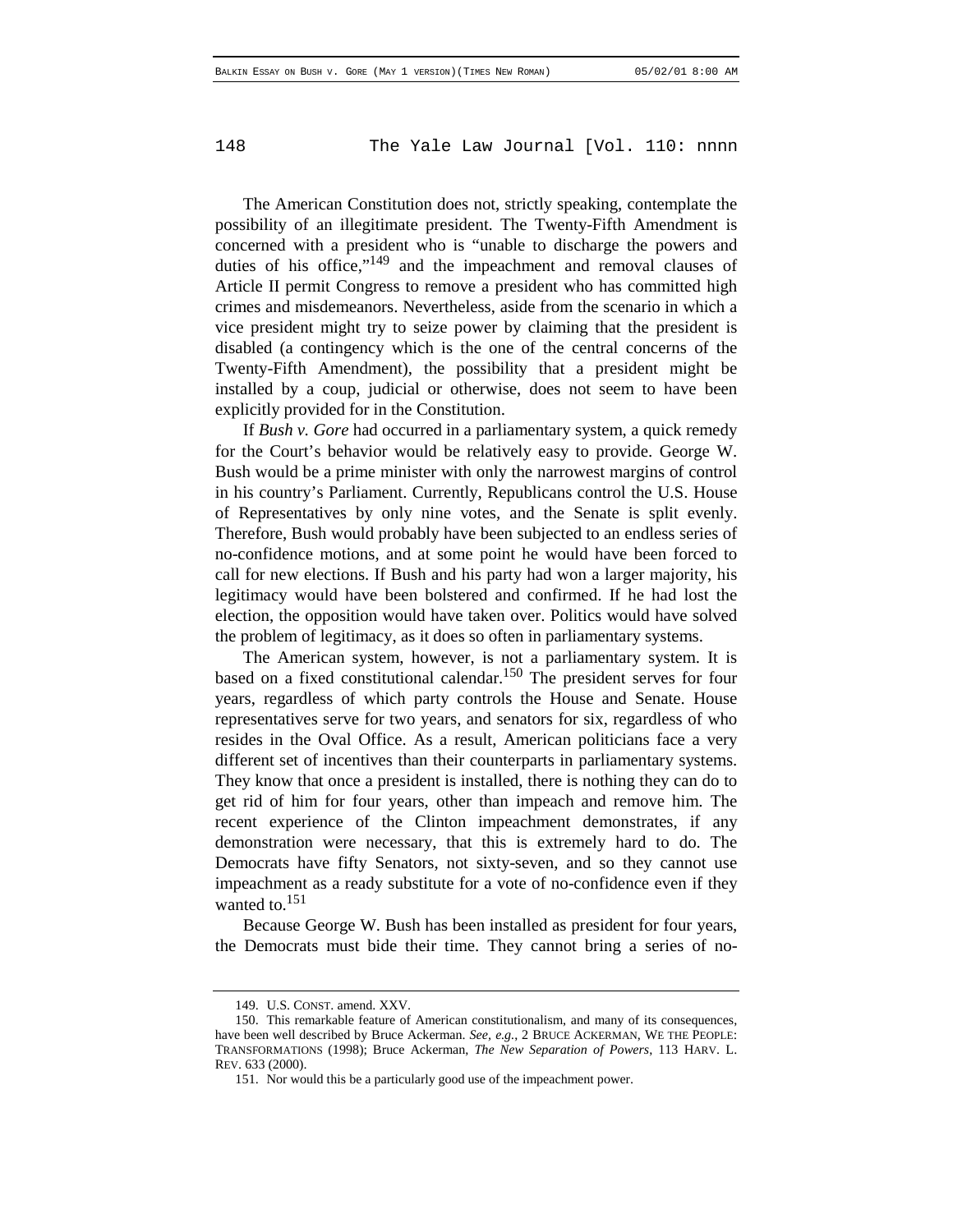The American Constitution does not, strictly speaking, contemplate the possibility of an illegitimate president. The Twenty-Fifth Amendment is concerned with a president who is "unable to discharge the powers and duties of his office,"<sup>149</sup> and the impeachment and removal clauses of Article II permit Congress to remove a president who has committed high crimes and misdemeanors. Nevertheless, aside from the scenario in which a vice president might try to seize power by claiming that the president is disabled (a contingency which is the one of the central concerns of the Twenty-Fifth Amendment), the possibility that a president might be installed by a coup, judicial or otherwise, does not seem to have been explicitly provided for in the Constitution.

If *Bush v. Gore* had occurred in a parliamentary system, a quick remedy for the Court's behavior would be relatively easy to provide. George W. Bush would be a prime minister with only the narrowest margins of control in his country's Parliament. Currently, Republicans control the U.S. House of Representatives by only nine votes, and the Senate is split evenly. Therefore, Bush would probably have been subjected to an endless series of no-confidence motions, and at some point he would have been forced to call for new elections. If Bush and his party had won a larger majority, his legitimacy would have been bolstered and confirmed. If he had lost the election, the opposition would have taken over. Politics would have solved the problem of legitimacy, as it does so often in parliamentary systems.

The American system, however, is not a parliamentary system. It is based on a fixed constitutional calendar.<sup>150</sup> The president serves for four years, regardless of which party controls the House and Senate. House representatives serve for two years, and senators for six, regardless of who resides in the Oval Office. As a result, American politicians face a very different set of incentives than their counterparts in parliamentary systems. They know that once a president is installed, there is nothing they can do to get rid of him for four years, other than impeach and remove him. The recent experience of the Clinton impeachment demonstrates, if any demonstration were necessary, that this is extremely hard to do. The Democrats have fifty Senators, not sixty-seven, and so they cannot use impeachment as a ready substitute for a vote of no-confidence even if they wanted to. $151$ 

Because George W. Bush has been installed as president for four years, the Democrats must bide their time. They cannot bring a series of no-

<sup>149.</sup> U.S. CONST. amend. XXV.

<sup>150.</sup> This remarkable feature of American constitutionalism, and many of its consequences, have been well described by Bruce Ackerman. *See, e.g.*, 2 BRUCE ACKERMAN, WE THE PEOPLE: TRANSFORMATIONS (1998); Bruce Ackerman, *The New Separation of Powers*, 113 HARV. L. REV. 633 (2000).

<sup>151.</sup> Nor would this be a particularly good use of the impeachment power.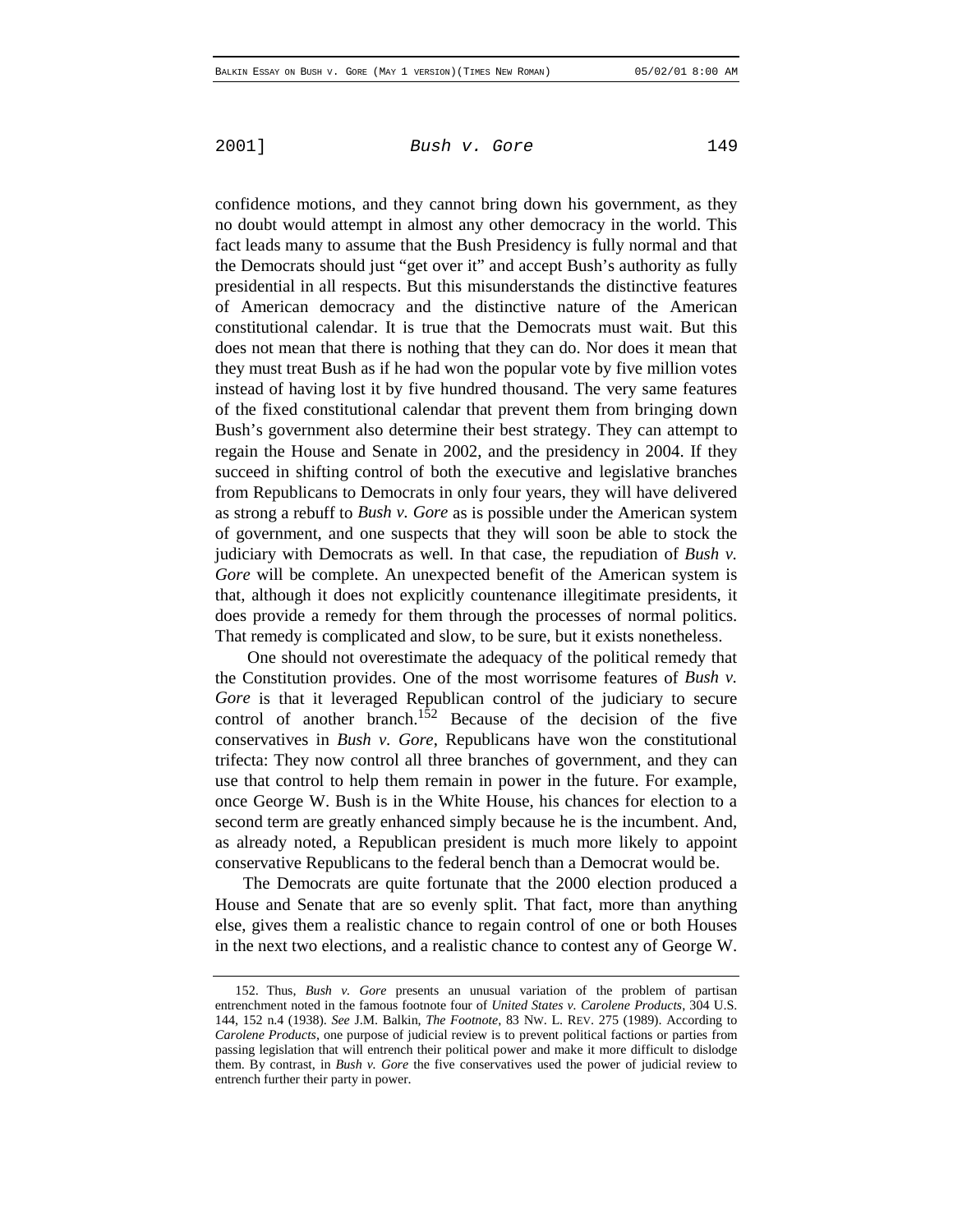confidence motions, and they cannot bring down his government, as they no doubt would attempt in almost any other democracy in the world. This fact leads many to assume that the Bush Presidency is fully normal and that the Democrats should just "get over it" and accept Bush's authority as fully presidential in all respects. But this misunderstands the distinctive features of American democracy and the distinctive nature of the American constitutional calendar. It is true that the Democrats must wait. But this does not mean that there is nothing that they can do. Nor does it mean that they must treat Bush as if he had won the popular vote by five million votes instead of having lost it by five hundred thousand. The very same features of the fixed constitutional calendar that prevent them from bringing down Bush's government also determine their best strategy. They can attempt to regain the House and Senate in 2002, and the presidency in 2004. If they succeed in shifting control of both the executive and legislative branches from Republicans to Democrats in only four years, they will have delivered as strong a rebuff to *Bush v. Gore* as is possible under the American system of government, and one suspects that they will soon be able to stock the judiciary with Democrats as well. In that case, the repudiation of *Bush v. Gore* will be complete. An unexpected benefit of the American system is that, although it does not explicitly countenance illegitimate presidents, it does provide a remedy for them through the processes of normal politics. That remedy is complicated and slow, to be sure, but it exists nonetheless.

 One should not overestimate the adequacy of the political remedy that the Constitution provides. One of the most worrisome features of *Bush v. Gore* is that it leveraged Republican control of the judiciary to secure control of another branch.<sup>152</sup> Because of the decision of the five conservatives in *Bush v. Gore*, Republicans have won the constitutional trifecta: They now control all three branches of government, and they can use that control to help them remain in power in the future. For example, once George W. Bush is in the White House, his chances for election to a second term are greatly enhanced simply because he is the incumbent. And, as already noted, a Republican president is much more likely to appoint conservative Republicans to the federal bench than a Democrat would be.

The Democrats are quite fortunate that the 2000 election produced a House and Senate that are so evenly split. That fact, more than anything else, gives them a realistic chance to regain control of one or both Houses in the next two elections, and a realistic chance to contest any of George W.

<sup>152.</sup> Thus, *Bush v. Gore* presents an unusual variation of the problem of partisan entrenchment noted in the famous footnote four of *United States v. Carolene Products*, 304 U.S. 144, 152 n.4 (1938). *See* J.M. Balkin, *The Footnote*, 83 NW. L. REV. 275 (1989). According to *Carolene Products*, one purpose of judicial review is to prevent political factions or parties from passing legislation that will entrench their political power and make it more difficult to dislodge them. By contrast, in *Bush v. Gore* the five conservatives used the power of judicial review to entrench further their party in power.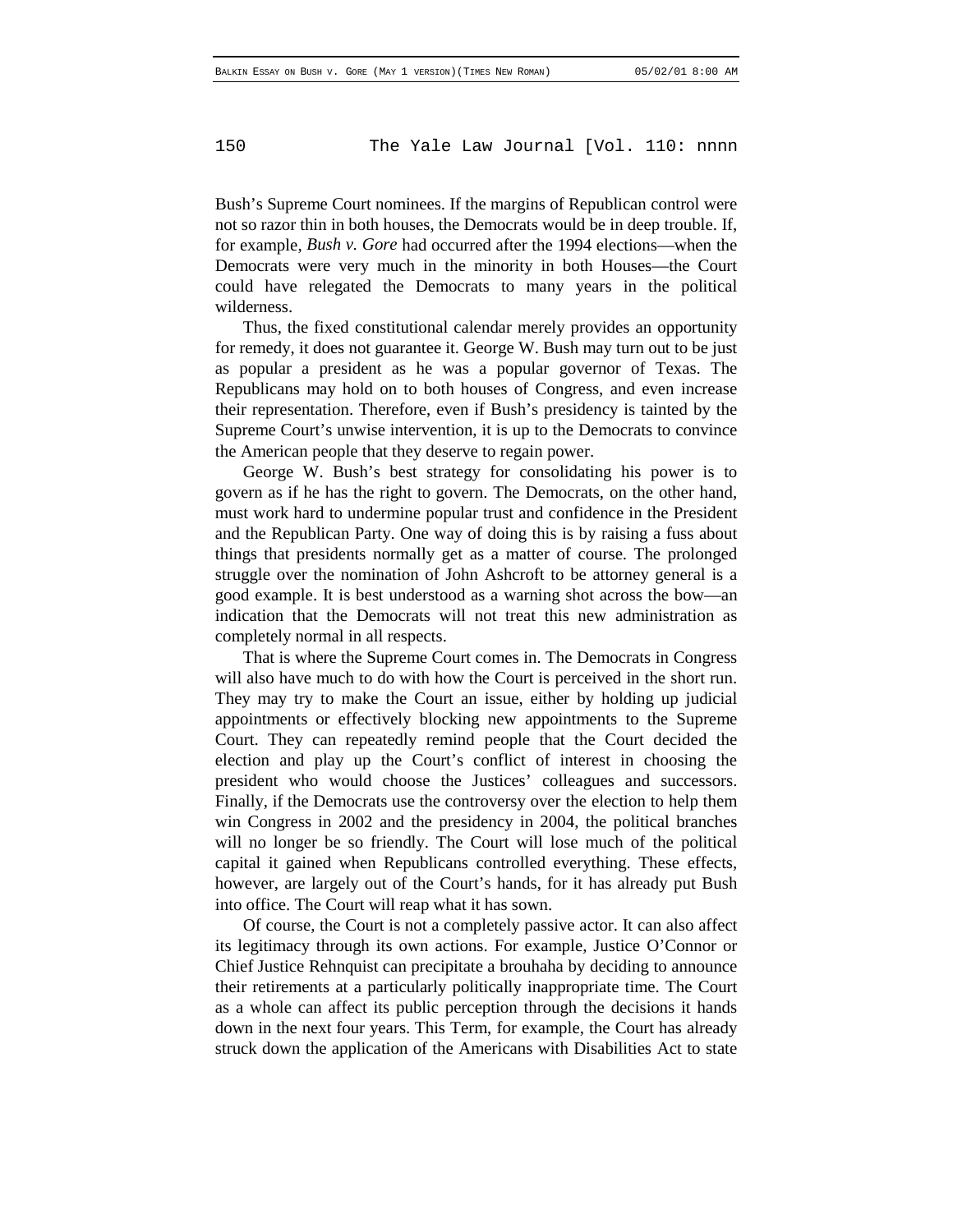Bush's Supreme Court nominees. If the margins of Republican control were not so razor thin in both houses, the Democrats would be in deep trouble. If, for example, *Bush v. Gore* had occurred after the 1994 elections—when the Democrats were very much in the minority in both Houses—the Court could have relegated the Democrats to many years in the political wilderness.

Thus, the fixed constitutional calendar merely provides an opportunity for remedy, it does not guarantee it. George W. Bush may turn out to be just as popular a president as he was a popular governor of Texas. The Republicans may hold on to both houses of Congress, and even increase their representation. Therefore, even if Bush's presidency is tainted by the Supreme Court's unwise intervention, it is up to the Democrats to convince the American people that they deserve to regain power.

George W. Bush's best strategy for consolidating his power is to govern as if he has the right to govern. The Democrats, on the other hand, must work hard to undermine popular trust and confidence in the President and the Republican Party. One way of doing this is by raising a fuss about things that presidents normally get as a matter of course. The prolonged struggle over the nomination of John Ashcroft to be attorney general is a good example. It is best understood as a warning shot across the bow—an indication that the Democrats will not treat this new administration as completely normal in all respects.

That is where the Supreme Court comes in. The Democrats in Congress will also have much to do with how the Court is perceived in the short run. They may try to make the Court an issue, either by holding up judicial appointments or effectively blocking new appointments to the Supreme Court. They can repeatedly remind people that the Court decided the election and play up the Court's conflict of interest in choosing the president who would choose the Justices' colleagues and successors. Finally, if the Democrats use the controversy over the election to help them win Congress in 2002 and the presidency in 2004, the political branches will no longer be so friendly. The Court will lose much of the political capital it gained when Republicans controlled everything. These effects, however, are largely out of the Court's hands, for it has already put Bush into office. The Court will reap what it has sown.

Of course, the Court is not a completely passive actor. It can also affect its legitimacy through its own actions. For example, Justice O'Connor or Chief Justice Rehnquist can precipitate a brouhaha by deciding to announce their retirements at a particularly politically inappropriate time. The Court as a whole can affect its public perception through the decisions it hands down in the next four years. This Term, for example, the Court has already struck down the application of the Americans with Disabilities Act to state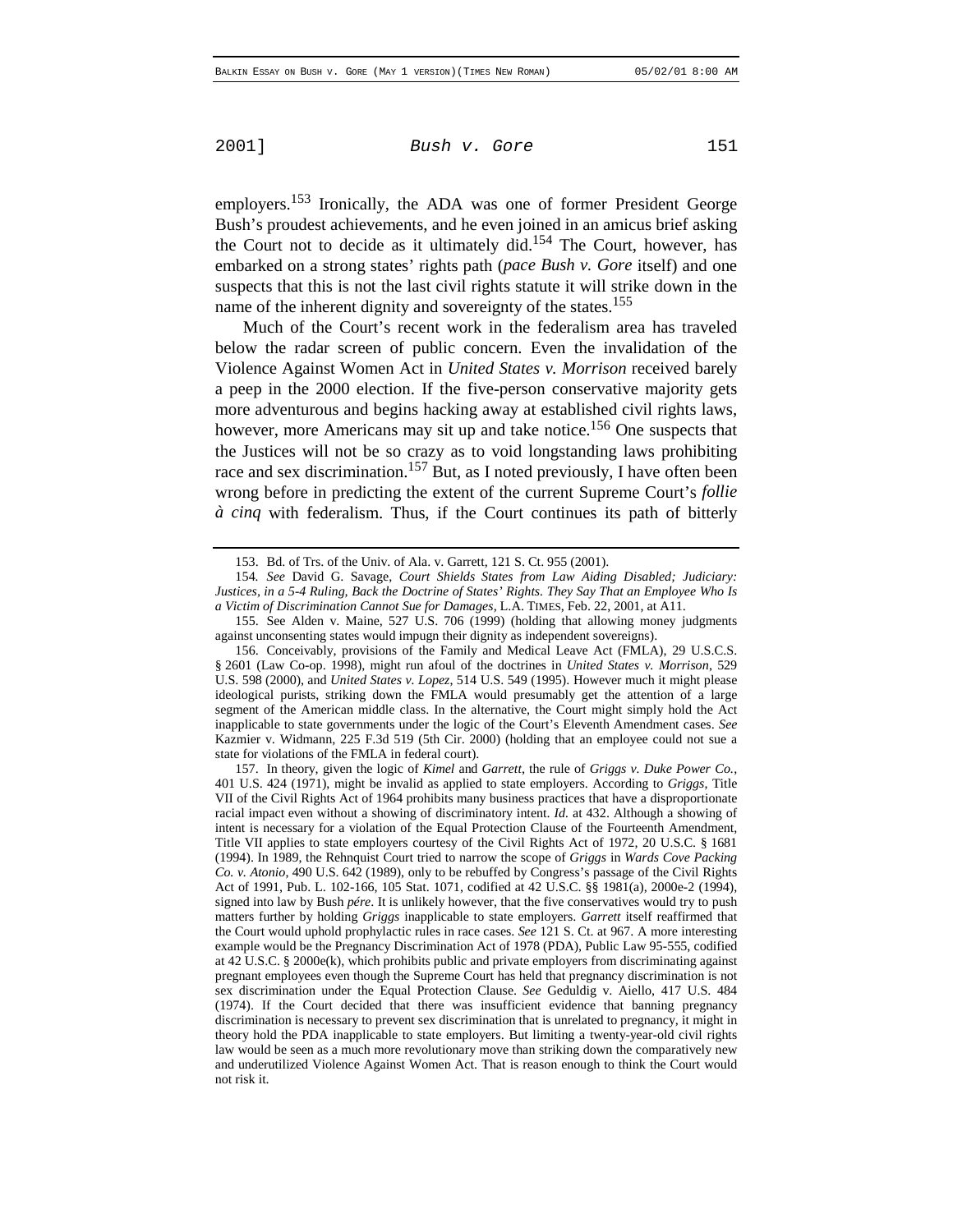employers.<sup>153</sup> Ironically, the ADA was one of former President George Bush's proudest achievements, and he even joined in an amicus brief asking the Court not to decide as it ultimately did.<sup>154</sup> The Court, however, has embarked on a strong states' rights path (*pace Bush v. Gore* itself) and one suspects that this is not the last civil rights statute it will strike down in the name of the inherent dignity and sovereignty of the states.<sup>155</sup>

Much of the Court's recent work in the federalism area has traveled below the radar screen of public concern. Even the invalidation of the Violence Against Women Act in *United States v. Morrison* received barely a peep in the 2000 election. If the five-person conservative majority gets more adventurous and begins hacking away at established civil rights laws, however, more Americans may sit up and take notice.<sup>156</sup> One suspects that the Justices will not be so crazy as to void longstanding laws prohibiting race and sex discrimination.<sup>157</sup> But, as I noted previously, I have often been wrong before in predicting the extent of the current Supreme Court's *follie à cinq* with federalism. Thus, if the Court continues its path of bitterly

<sup>153.</sup> Bd. of Trs. of the Univ. of Ala. v. Garrett, 121 S. Ct. 955 (2001).

<sup>154</sup>*. See* David G. Savage, *Court Shields States from Law Aiding Disabled; Judiciary: Justices, in a 5-4 Ruling, Back the Doctrine of States' Rights. They Say That an Employee Who Is a Victim of Discrimination Cannot Sue for Damages*, L.A. TIMES, Feb. 22, 2001, at A11.

<sup>155.</sup> See Alden v. Maine, 527 U.S. 706 (1999) (holding that allowing money judgments against unconsenting states would impugn their dignity as independent sovereigns).

<sup>156.</sup> Conceivably, provisions of the Family and Medical Leave Act (FMLA), 29 U.S.C.S. § 2601 (Law Co-op. 1998), might run afoul of the doctrines in *United States v. Morrison*, 529 U.S. 598 (2000), and *United States v. Lopez*, 514 U.S. 549 (1995). However much it might please ideological purists, striking down the FMLA would presumably get the attention of a large segment of the American middle class. In the alternative, the Court might simply hold the Act inapplicable to state governments under the logic of the Court's Eleventh Amendment cases. *See* Kazmier v. Widmann, 225 F.3d 519 (5th Cir. 2000) (holding that an employee could not sue a state for violations of the FMLA in federal court).

<sup>157.</sup> In theory, given the logic of *Kimel* and *Garrett*, the rule of *Griggs v. Duke Power Co.*, 401 U.S. 424 (1971), might be invalid as applied to state employers. According to *Griggs*, Title VII of the Civil Rights Act of 1964 prohibits many business practices that have a disproportionate racial impact even without a showing of discriminatory intent. *Id.* at 432. Although a showing of intent is necessary for a violation of the Equal Protection Clause of the Fourteenth Amendment, Title VII applies to state employers courtesy of the Civil Rights Act of 1972, 20 U.S.C. § 1681 (1994). In 1989, the Rehnquist Court tried to narrow the scope of *Griggs* in *Wards Cove Packing Co. v. Atonio*, 490 U.S. 642 (1989), only to be rebuffed by Congress's passage of the Civil Rights Act of 1991, Pub. L. 102-166, 105 Stat. 1071, codified at 42 U.S.C. §§ 1981(a), 2000e-2 (1994), signed into law by Bush *pére*. It is unlikely however, that the five conservatives would try to push matters further by holding *Griggs* inapplicable to state employers. *Garrett* itself reaffirmed that the Court would uphold prophylactic rules in race cases. *See* 121 S. Ct. at 967. A more interesting example would be the Pregnancy Discrimination Act of 1978 (PDA), Public Law 95-555, codified at 42 U.S.C. § 2000e(k), which prohibits public and private employers from discriminating against pregnant employees even though the Supreme Court has held that pregnancy discrimination is not sex discrimination under the Equal Protection Clause. *See* Geduldig v. Aiello, 417 U.S. 484 (1974). If the Court decided that there was insufficient evidence that banning pregnancy discrimination is necessary to prevent sex discrimination that is unrelated to pregnancy, it might in theory hold the PDA inapplicable to state employers. But limiting a twenty-year-old civil rights law would be seen as a much more revolutionary move than striking down the comparatively new and underutilized Violence Against Women Act. That is reason enough to think the Court would not risk it.